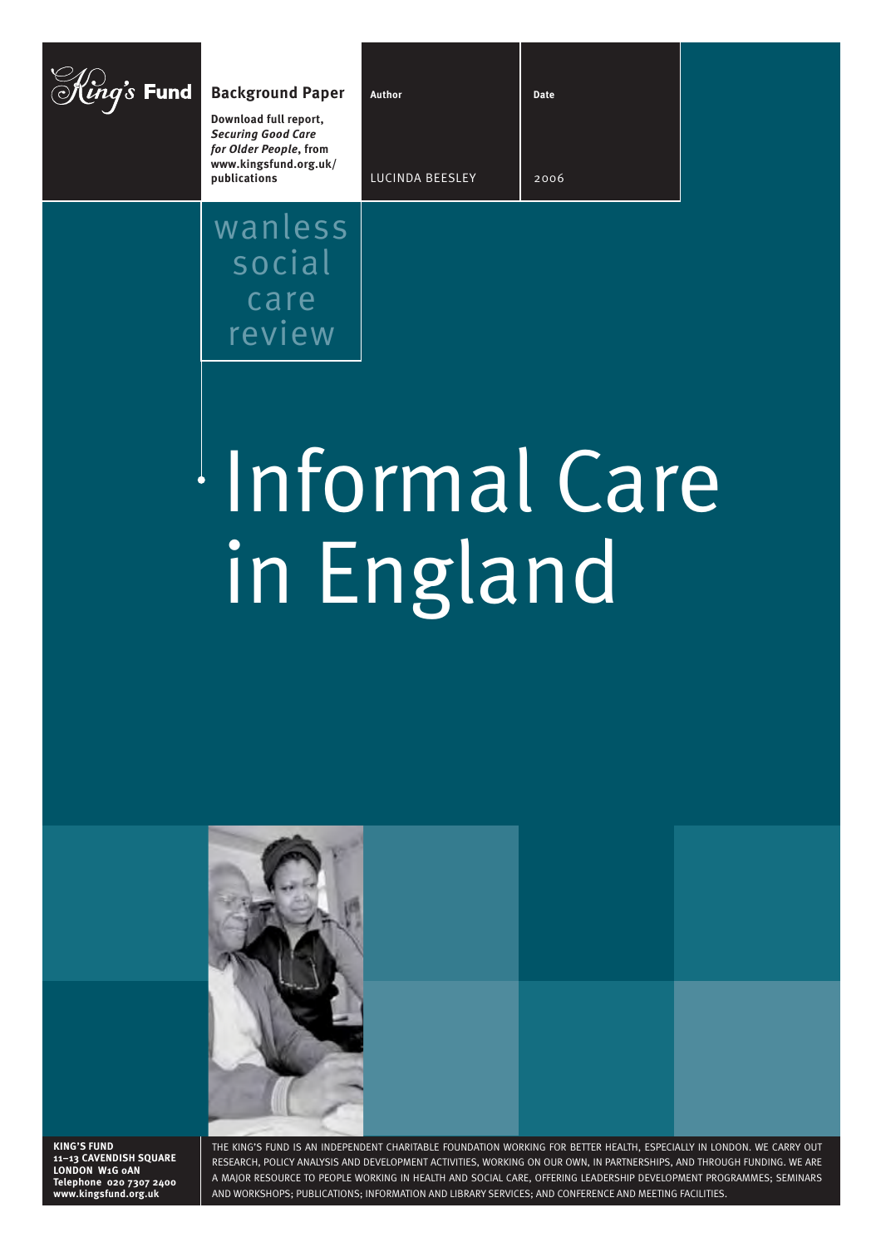| $\vec{rs}$ Fund | <b>Background Paper</b>                                                                                               | Author                 | <b>Date</b> |  |
|-----------------|-----------------------------------------------------------------------------------------------------------------------|------------------------|-------------|--|
|                 | Download full report,<br><b>Securing Good Care</b><br>for Older People, from<br>www.kingsfund.org.uk/<br>publications | <b>LUCINDA BEESLEY</b> | 2006        |  |
|                 | wanless                                                                                                               |                        |             |  |

# Informal Care in England



social

care

review

**KING'S FUND 11–13 CAVENDISH SQUARE LONDON W1G 0AN Telephone 020 7307 2400 www.kingsfund.org.uk**

THE KING'S FUND IS AN INDEPENDENT CHARITABLE FOUNDATION WORKING FOR BETTER HEALTH, ESPECIALLY IN LONDON. WE CARRY OUT RESEARCH, POLICY ANALYSIS AND DEVELOPMENT ACTIVITIES, WORKING ON OUR OWN, IN PARTNERSHIPS, AND THROUGH FUNDING. WE ARE A MAJOR RESOURCE TO PEOPLE WORKING IN HEALTH AND SOCIAL CARE, OFFERING LEADERSHIP DEVELOPMENT PROGRAMMES; SEMINARS AND WORKSHOPS; PUBLICATIONS; INFORMATION AND LIBRARY SERVICES; AND CONFERENCE AND MEETING FACILITIES.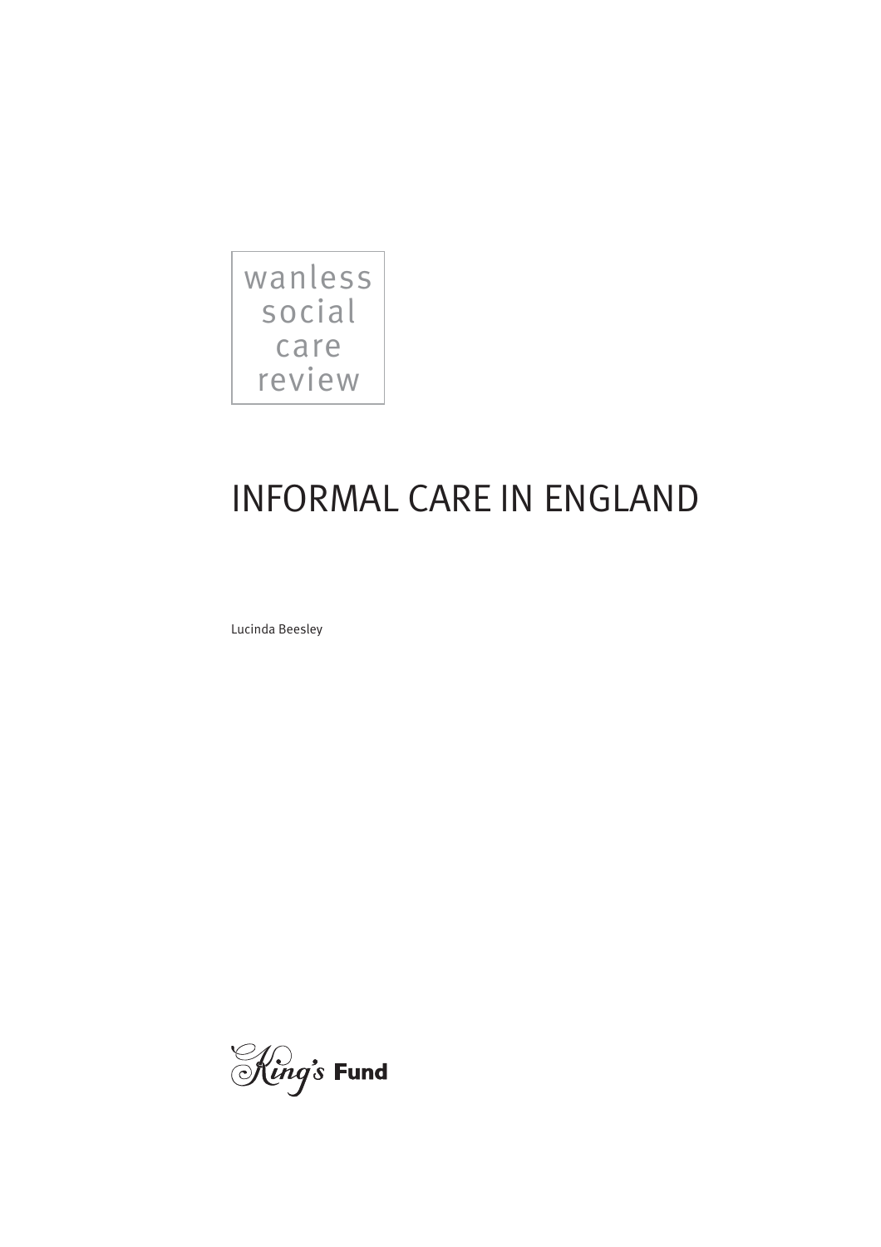

# INFORMAL CARE IN ENGLAND

Lucinda Beesley

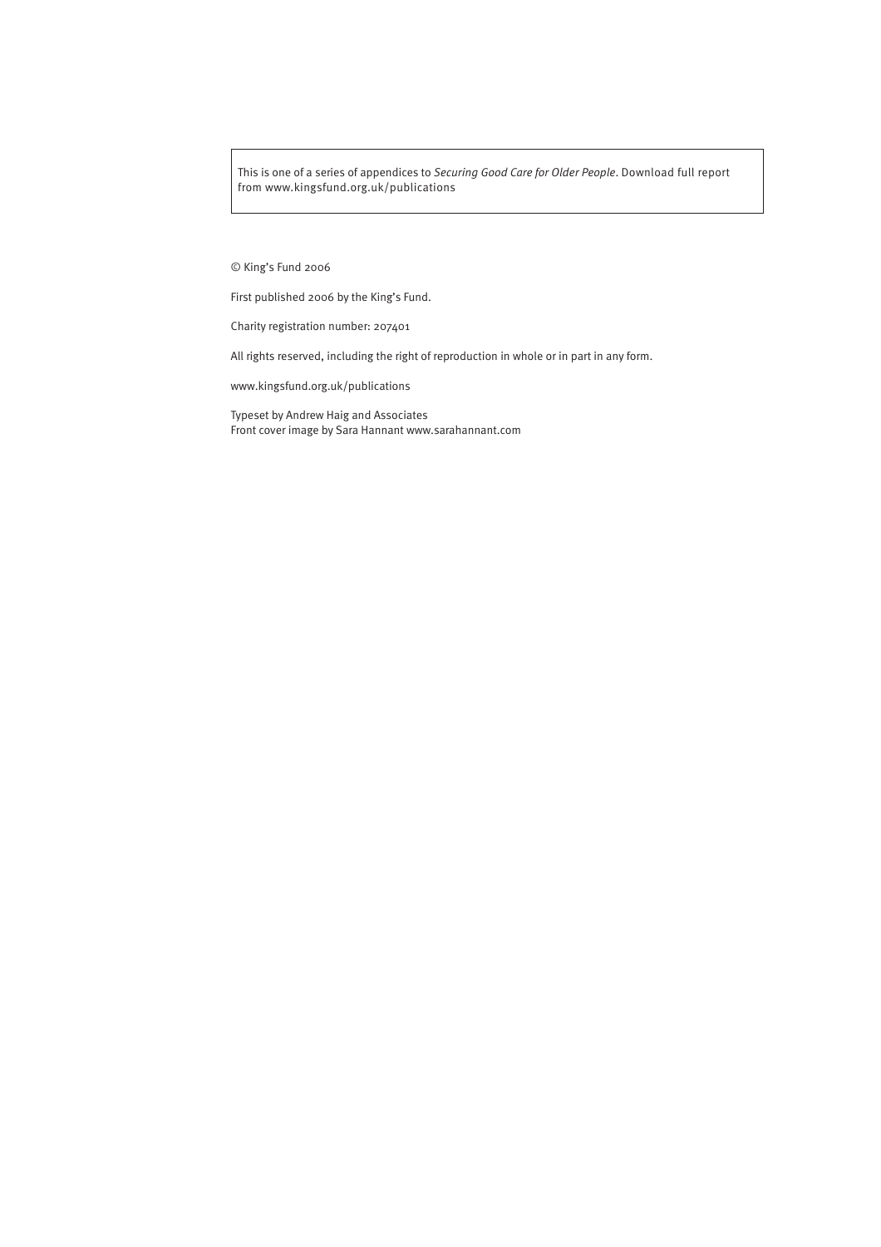This is one of a series of appendices to *Securing Good Care for Older People*. Download full report from www.kingsfund.org.uk/publications

#### © King's Fund 2006

First published 2006 by the King's Fund.

Charity registration number: 207401

All rights reserved, including the right of reproduction in whole or in part in any form.

www.kingsfund.org.uk/publications

Typeset by Andrew Haig and Associates Front cover image by Sara Hannant www.sarahannant.com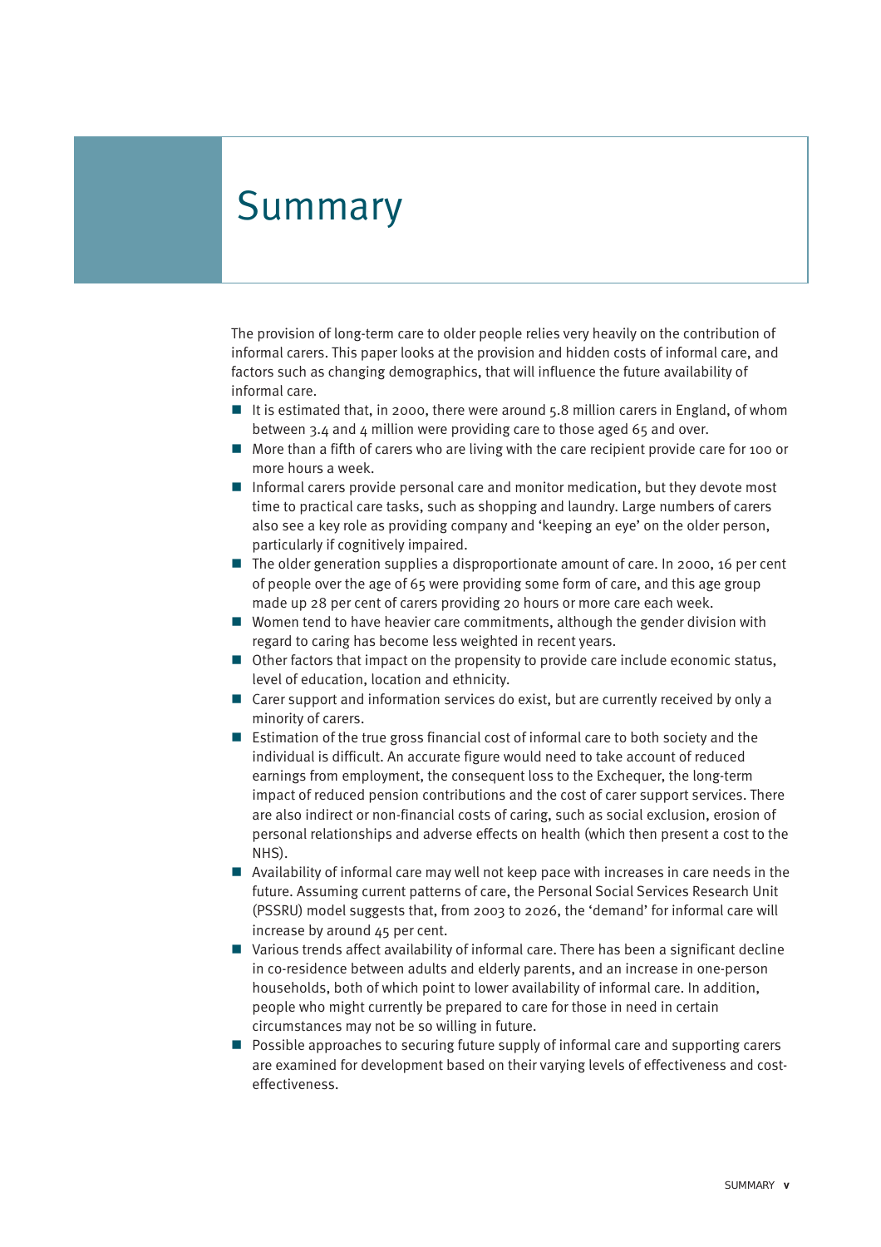# Summary

The provision of long-term care to older people relies very heavily on the contribution of informal carers. This paper looks at the provision and hidden costs of informal care, and factors such as changing demographics, that will influence the future availability of informal care.

- It is estimated that, in 2000, there were around  $5.8$  million carers in England, of whom between 3.4 and 4 million were providing care to those aged 65 and over.
- More than a fifth of carers who are living with the care recipient provide care for 100 or more hours a week.
- Informal carers provide personal care and monitor medication, but they devote most time to practical care tasks, such as shopping and laundry. Large numbers of carers also see a key role as providing company and 'keeping an eye' on the older person, particularly if cognitively impaired.
- $\blacksquare$  The older generation supplies a disproportionate amount of care. In 2000, 16 per cent of people over the age of 65 were providing some form of care, and this age group made up 28 per cent of carers providing 20 hours or more care each week.
- Women tend to have heavier care commitments, although the gender division with regard to caring has become less weighted in recent years.
- Other factors that impact on the propensity to provide care include economic status, level of education, location and ethnicity.
- $\Box$  Carer support and information services do exist, but are currently received by only a minority of carers.
- Estimation of the true gross financial cost of informal care to both society and the individual is difficult. An accurate figure would need to take account of reduced earnings from employment, the consequent loss to the Exchequer, the long-term impact of reduced pension contributions and the cost of carer support services. There are also indirect or non-financial costs of caring, such as social exclusion, erosion of personal relationships and adverse effects on health (which then present a cost to the NHS).
- $\blacksquare$  Availability of informal care may well not keep pace with increases in care needs in the future. Assuming current patterns of care, the Personal Social Services Research Unit (PSSRU) model suggests that, from 2003 to 2026, the 'demand' for informal care will increase by around 45 per cent.
- Various trends affect availability of informal care. There has been a significant decline in co-residence between adults and elderly parents, and an increase in one-person households, both of which point to lower availability of informal care. In addition, people who might currently be prepared to care for those in need in certain circumstances may not be so willing in future.
- **P** Possible approaches to securing future supply of informal care and supporting carers are examined for development based on their varying levels of effectiveness and costeffectiveness.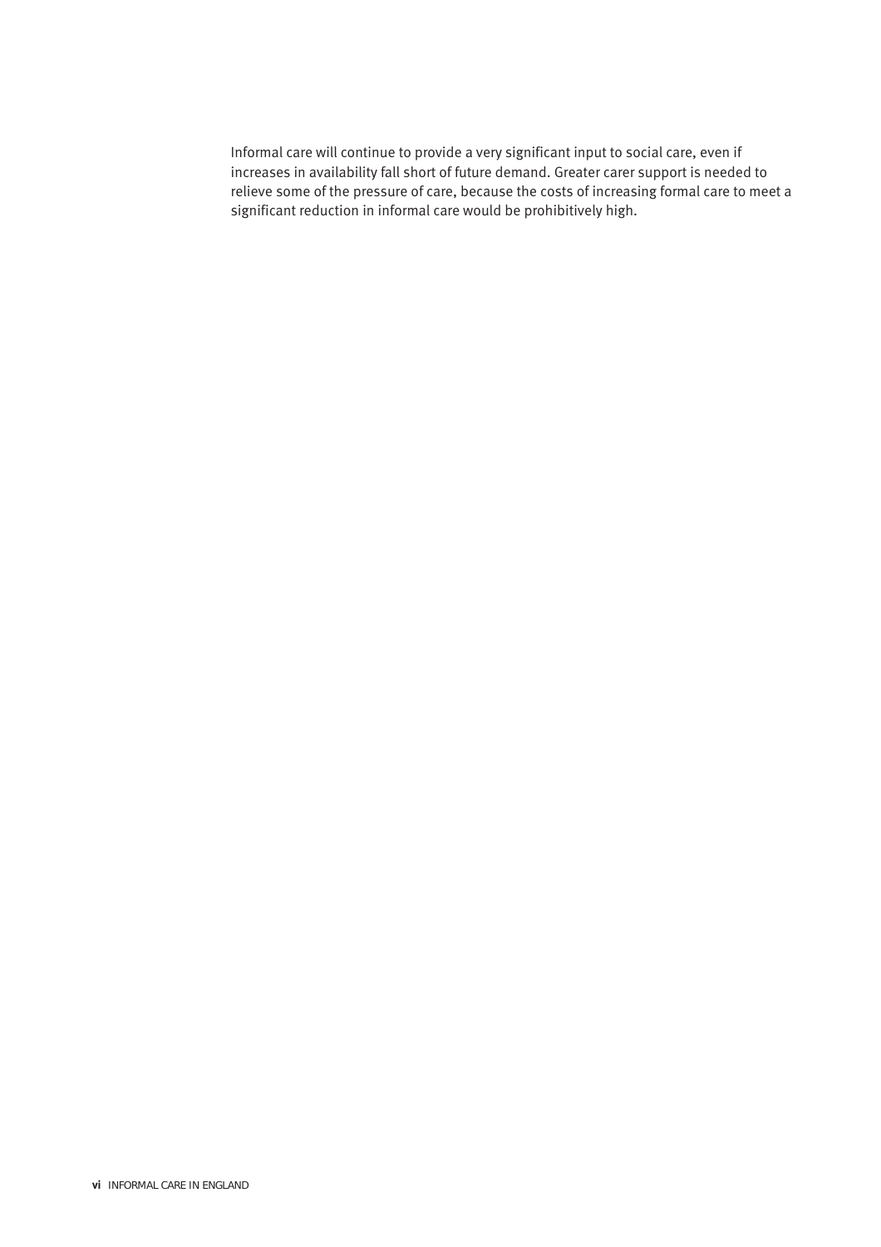Informal care will continue to provide a very significant input to social care, even if increases in availability fall short of future demand. Greater carer support is needed to relieve some of the pressure of care, because the costs of increasing formal care to meet a significant reduction in informal care would be prohibitively high.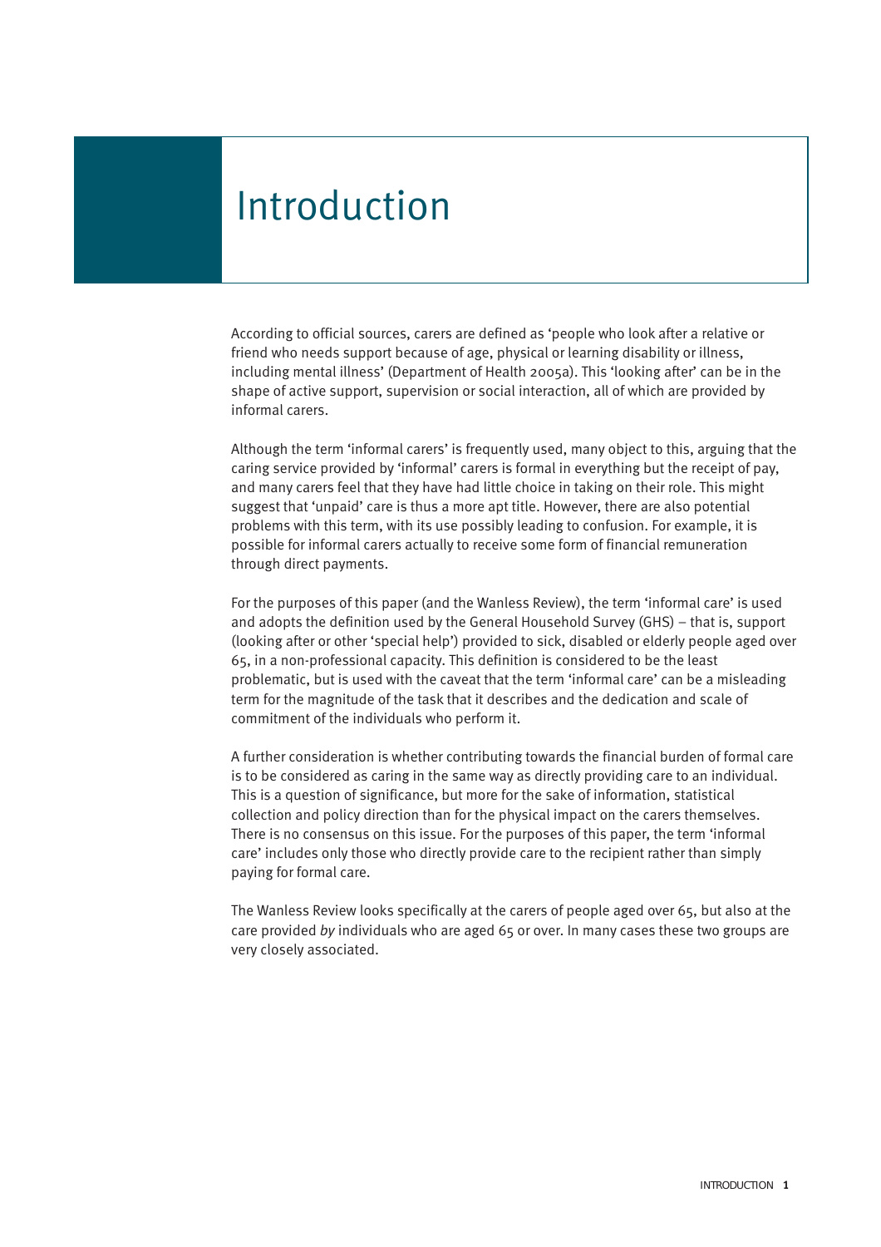# Introduction

According to official sources, carers are defined as 'people who look after a relative or friend who needs support because of age, physical or learning disability or illness, including mental illness' (Department of Health 2005a). This 'looking after' can be in the shape of active support, supervision or social interaction, all of which are provided by informal carers.

Although the term 'informal carers' is frequently used, many object to this, arguing that the caring service provided by 'informal' carers is formal in everything but the receipt of pay, and many carers feel that they have had little choice in taking on their role. This might suggest that 'unpaid' care is thus a more apt title. However, there are also potential problems with this term, with its use possibly leading to confusion. For example, it is possible for informal carers actually to receive some form of financial remuneration through direct payments.

For the purposes of this paper (and the Wanless Review), the term 'informal care' is used and adopts the definition used by the General Household Survey (GHS) – that is, support (looking after or other 'special help') provided to sick, disabled or elderly people aged over 65, in a non-professional capacity. This definition is considered to be the least problematic, but is used with the caveat that the term 'informal care' can be a misleading term for the magnitude of the task that it describes and the dedication and scale of commitment of the individuals who perform it.

A further consideration is whether contributing towards the financial burden of formal care is to be considered as caring in the same way as directly providing care to an individual. This is a question of significance, but more for the sake of information, statistical collection and policy direction than for the physical impact on the carers themselves. There is no consensus on this issue. For the purposes of this paper, the term 'informal care' includes only those who directly provide care to the recipient rather than simply paying for formal care.

The Wanless Review looks specifically at the carers of people aged over 65, but also at the care provided *by* individuals who are aged 65 or over. In many cases these two groups are very closely associated.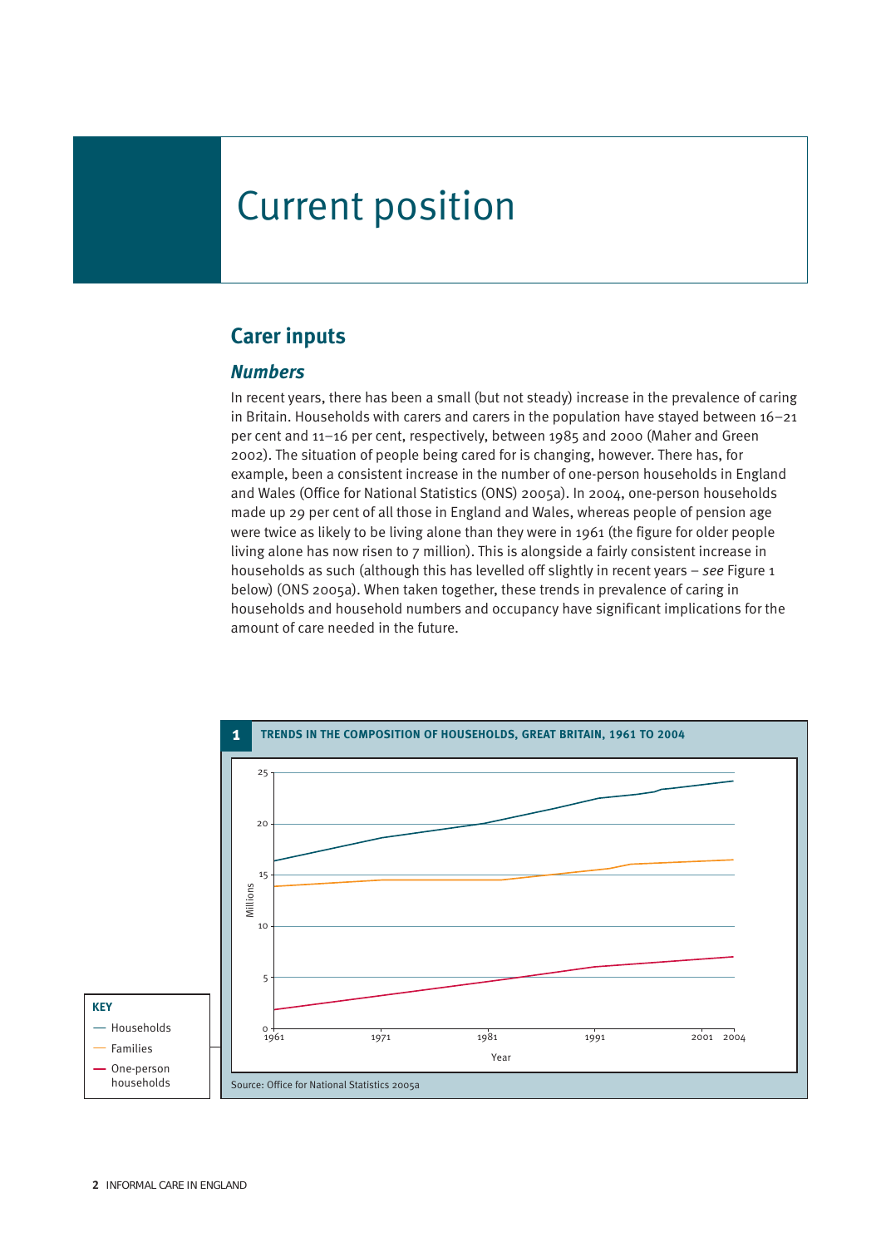# Current position

# **Carer inputs**

#### *Numbers*

In recent years, there has been a small (but not steady) increase in the prevalence of caring in Britain. Households with carers and carers in the population have stayed between  $16-21$ per cent and 11–16 per cent, respectively, between 1985 and 2000 (Maher and Green 2002). The situation of people being cared for is changing, however. There has, for example, been a consistent increase in the number of one-person households in England and Wales (Office for National Statistics (ONS) 2005a). In 2004, one-person households made up 29 per cent of all those in England and Wales, whereas people of pension age were twice as likely to be living alone than they were in 1961 (the figure for older people living alone has now risen to 7 million). This is alongside a fairly consistent increase in households as such (although this has levelled off slightly in recent years – *see* Figure 1 below) (ONS 2005a). When taken together, these trends in prevalence of caring in households and household numbers and occupancy have significant implications for the amount of care needed in the future.

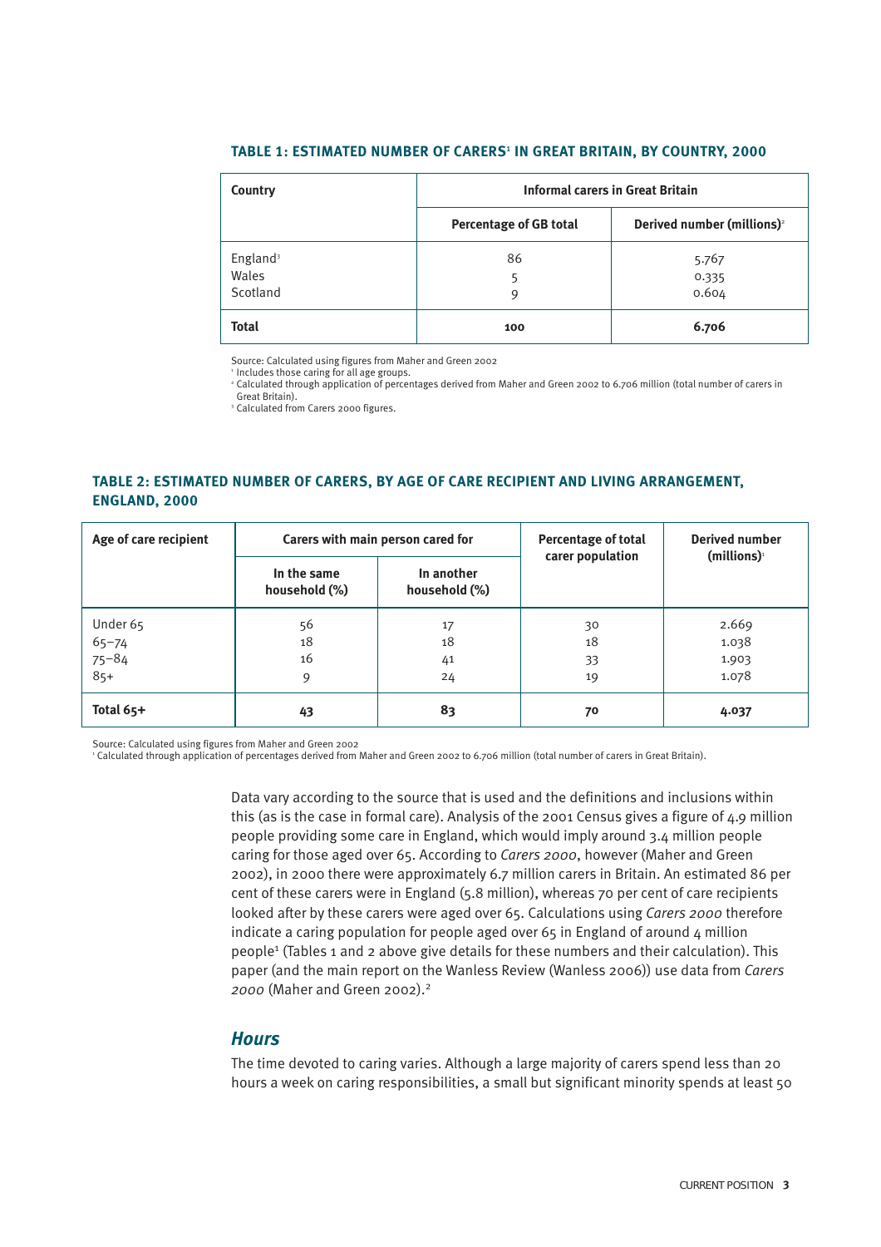#### TABLE 1: ESTIMATED NUMBER OF CARERS<sup>1</sup> IN GREAT BRITAIN, BY COUNTRY, 2000

| Country                                   | <b>Informal carers in Great Britain</b> |                                        |  |  |
|-------------------------------------------|-----------------------------------------|----------------------------------------|--|--|
|                                           | <b>Percentage of GB total</b>           | Derived number (millions) <sup>2</sup> |  |  |
| England <sup>3</sup><br>Wales<br>Scotland | 86<br>5<br>q                            | 5.767<br>0.335<br>0.604                |  |  |
| <b>Total</b>                              | 100                                     | 6.706                                  |  |  |

Source: Calculated using figures from Maher and Green 2002

' Includes those caring for all age groups.<br>' Calculated through application of percentages derived from Maher and Green 2002 to 6.706 million (total number of carers in

Great Britain).

<sup>3</sup> Calculated from Carers 2000 figures.

#### **TABLE 2: ESTIMATED NUMBER OF CARERS, BY AGE OF CARE RECIPIENT AND LIVING ARRANGEMENT, ENGLAND, 2000**

| Age of care recipient | Carers with main person cared for |                             | Percentage of total<br>carer population | <b>Derived number</b><br>$(millions)^{1}$ |
|-----------------------|-----------------------------------|-----------------------------|-----------------------------------------|-------------------------------------------|
|                       | In the same<br>household (%)      | In another<br>household (%) |                                         |                                           |
| Under 65              | 56                                | 17                          | 30                                      | 2.669                                     |
|                       | 18                                | 18                          | 18                                      | 1.038                                     |
| 65-74<br>75-84<br>85+ | 16                                | 41                          | 33                                      | 1.903                                     |
|                       | 9                                 | 24                          | 19                                      | 1.078                                     |
| Total $65+$           | 43                                | 83                          | 70                                      | 4.037                                     |

Source: Calculated using figures from Maher and Green 2002

<sup>1</sup> Calculated through application of percentages derived from Maher and Green 2002 to 6.706 million (total number of carers in Great Britain).

Data vary according to the source that is used and the definitions and inclusions within this (as is the case in formal care). Analysis of the 2001 Census gives a figure of 4.9 million people providing some care in England, which would imply around 3.4 million people caring for those aged over 65. According to *Carers 2000*, however (Maher and Green 2002), in 2000 there were approximately 6.7 million carers in Britain. An estimated 86 per cent of these carers were in England (5.8 million), whereas 70 per cent of care recipients looked after by these carers were aged over 65. Calculations using *Carers 2000* therefore indicate a caring population for people aged over 65 in England of around  $\Delta$  million people1 (Tables 1 and 2 above give details for these numbers and their calculation). This paper (and the main report on the Wanless Review (Wanless 2006)) use data from *Carers 2000* (Maher and Green 2002).2

#### *Hours*

The time devoted to caring varies. Although a large majority of carers spend less than 20 hours a week on caring responsibilities, a small but significant minority spends at least 50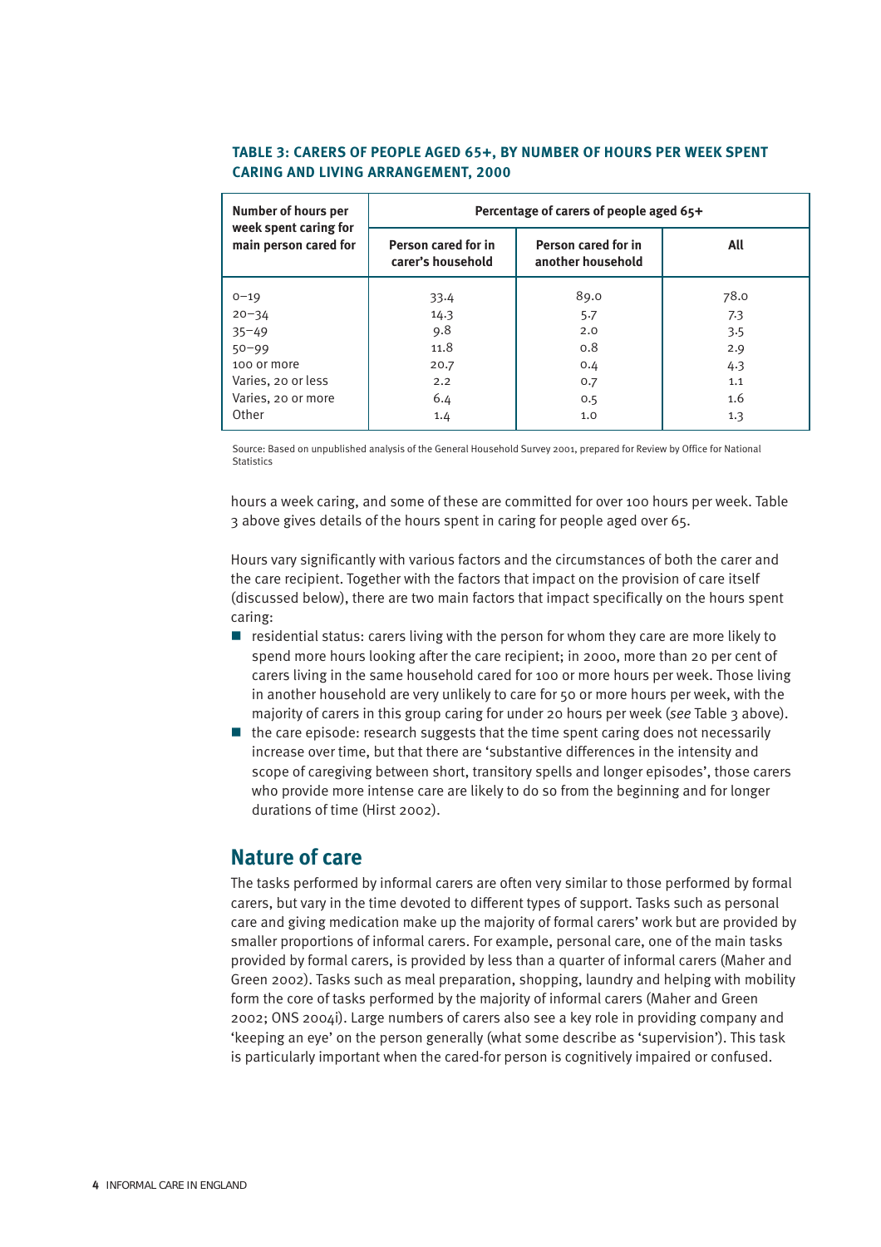#### **TABLE 3: CARERS OF PEOPLE AGED 65+, BY NUMBER OF HOURS PER WEEK SPENT CARING AND LIVING ARRANGEMENT, 2000**

| <b>Number of hours per</b><br>week spent caring for | Percentage of carers of people aged 65+  |                                          |      |  |
|-----------------------------------------------------|------------------------------------------|------------------------------------------|------|--|
| main person cared for                               | Person cared for in<br>carer's household | Person cared for in<br>another household | All  |  |
| $0 - 19$                                            | 33.4                                     | 89.0                                     | 78.0 |  |
| $20 - 34$                                           | 14.3                                     | 5.7                                      | 7.3  |  |
| $35 - 49$                                           | 9.8                                      | 2.0                                      | 3.5  |  |
| $50 - 99$                                           | 11.8                                     | 0.8                                      | 2.9  |  |
| 100 or more                                         | 20.7                                     | 0.4                                      | 4.3  |  |
| Varies, 20 or less                                  | 2.2                                      | 0.7                                      | 1.1  |  |
| Varies, 20 or more                                  | 6.4                                      | 0.5                                      | 1.6  |  |
| Other                                               | 1.4                                      | 1.0                                      | 1.3  |  |

Source: Based on unpublished analysis of the General Household Survey 2001, prepared for Review by Office for National Statistics

hours a week caring, and some of these are committed for over 100 hours per week. Table 3 above gives details of the hours spent in caring for people aged over 65.

Hours vary significantly with various factors and the circumstances of both the carer and the care recipient. Together with the factors that impact on the provision of care itself (discussed below), there are two main factors that impact specifically on the hours spent caring:

- $\blacksquare$  residential status: carers living with the person for whom they care are more likely to spend more hours looking after the care recipient; in 2000, more than 20 per cent of carers living in the same household cared for 100 or more hours per week. Those living in another household are very unlikely to care for 50 or more hours per week, with the majority of carers in this group caring for under 20 hours per week (*see* Table 3 above).
- $\blacksquare$  the care episode: research suggests that the time spent caring does not necessarily increase over time, but that there are 'substantive differences in the intensity and scope of caregiving between short, transitory spells and longer episodes', those carers who provide more intense care are likely to do so from the beginning and for longer durations of time (Hirst 2002).

## **Nature of care**

The tasks performed by informal carers are often very similar to those performed by formal carers, but vary in the time devoted to different types of support. Tasks such as personal care and giving medication make up the majority of formal carers' work but are provided by smaller proportions of informal carers. For example, personal care, one of the main tasks provided by formal carers, is provided by less than a quarter of informal carers (Maher and Green 2002). Tasks such as meal preparation, shopping, laundry and helping with mobility form the core of tasks performed by the majority of informal carers (Maher and Green 2002; ONS 2004i). Large numbers of carers also see a key role in providing company and 'keeping an eye' on the person generally (what some describe as 'supervision'). This task is particularly important when the cared-for person is cognitively impaired or confused.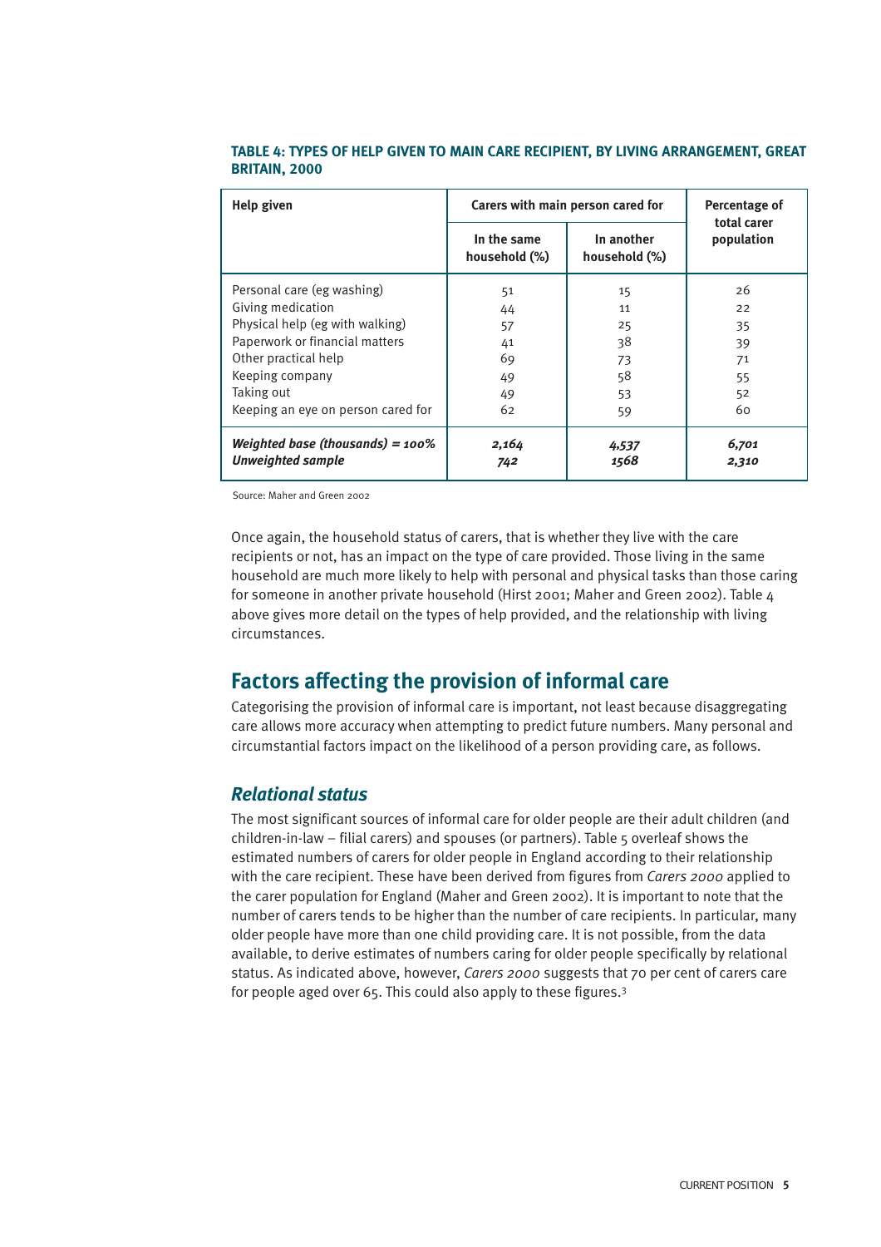| <b>Help given</b>                                               | Carers with main person cared for | Percentage of<br>total carer |                |
|-----------------------------------------------------------------|-----------------------------------|------------------------------|----------------|
|                                                                 | In the same<br>household (%)      | In another<br>household (%)  | population     |
| Personal care (eg washing)                                      | 51                                | 15                           | 26             |
| Giving medication                                               | 44                                | 11                           | 22             |
| Physical help (eg with walking)                                 | 57                                | 25                           | 35             |
| Paperwork or financial matters                                  | 41                                | 38                           | 39             |
| Other practical help                                            | 69                                | 73                           | 71             |
| Keeping company                                                 | 49                                | 58                           | 55             |
| Taking out                                                      | 49                                | 53                           | 52             |
| Keeping an eye on person cared for                              | 62                                | 59                           | 60             |
| Weighted base (thousands) = $100\%$<br><b>Unweighted sample</b> | 2,164<br>742                      | 4,537<br>1568                | 6,701<br>2,310 |

#### **TABLE 4: TYPES OF HELP GIVEN TO MAIN CARE RECIPIENT, BY LIVING ARRANGEMENT, GREAT BRITAIN, 2000**

Source: Maher and Green 2002

Once again, the household status of carers, that is whether they live with the care recipients or not, has an impact on the type of care provided. Those living in the same household are much more likely to help with personal and physical tasks than those caring for someone in another private household (Hirst 2001; Maher and Green 2002). Table 4 above gives more detail on the types of help provided, and the relationship with living circumstances.

### **Factors affecting the provision of informal care**

Categorising the provision of informal care is important, not least because disaggregating care allows more accuracy when attempting to predict future numbers. Many personal and circumstantial factors impact on the likelihood of a person providing care, as follows.

#### *Relational status*

The most significant sources of informal care for older people are their adult children (and children-in-law – filial carers) and spouses (or partners). Table  $5$  overleaf shows the estimated numbers of carers for older people in England according to their relationship with the care recipient. These have been derived from figures from *Carers 2000* applied to the carer population for England (Maher and Green 2002). It is important to note that the number of carers tends to be higher than the number of care recipients. In particular, many older people have more than one child providing care. It is not possible, from the data available, to derive estimates of numbers caring for older people specifically by relational status. As indicated above, however, *Carers 2000* suggests that 70 per cent of carers care for people aged over 65. This could also apply to these figures.3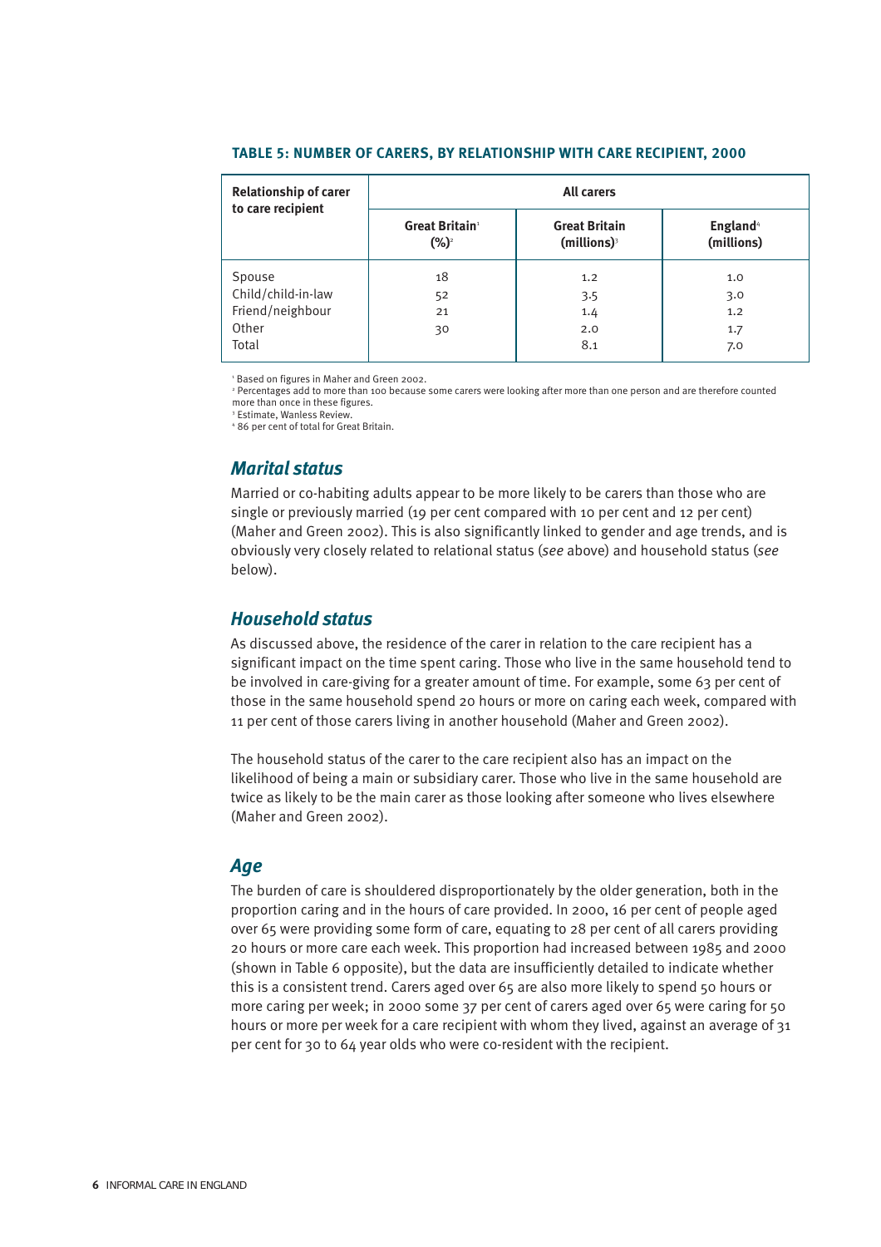| <b>Relationship of carer</b><br>to care recipient | <b>All carers</b>                             |                                                   |                                    |  |
|---------------------------------------------------|-----------------------------------------------|---------------------------------------------------|------------------------------------|--|
|                                                   | <b>Great Britain</b> <sup>1</sup><br>$(\%)^2$ | <b>Great Britain</b><br>$(millions)$ <sup>3</sup> | England <sup>4</sup><br>(millions) |  |
| Spouse                                            | 18                                            | 1.2                                               | 1.0                                |  |
| Child/child-in-law                                | 52                                            | 3.5                                               | 3.0                                |  |
| Friend/neighbour                                  | 21                                            | 1.4                                               | 1.2                                |  |
| Other                                             | 30                                            | 2.0                                               | 1.7                                |  |
| Total                                             |                                               | 8.1                                               | 7.0                                |  |

#### **TABLE 5: NUMBER OF CARERS, BY RELATIONSHIP WITH CARE RECIPIENT, 2000**

<sup>1</sup> Based on figures in Maher and Green 2002.

<sup>2</sup> Percentages add to more than 100 because some carers were looking after more than one person and are therefore counted more than once in these figures.

<sup>3</sup> Estimate, Wanless Review.

<sup>4</sup> 86 per cent of total for Great Britain.

#### *Marital status*

Married or co-habiting adults appear to be more likely to be carers than those who are single or previously married (19 per cent compared with 10 per cent and 12 per cent) (Maher and Green 2002). This is also significantly linked to gender and age trends, and is obviously very closely related to relational status (*see* above) and household status (*see* below).

#### *Household status*

As discussed above, the residence of the carer in relation to the care recipient has a significant impact on the time spent caring. Those who live in the same household tend to be involved in care-giving for a greater amount of time. For example, some 63 per cent of those in the same household spend 20 hours or more on caring each week, compared with 11 per cent of those carers living in another household (Maher and Green 2002).

The household status of the carer to the care recipient also has an impact on the likelihood of being a main or subsidiary carer. Those who live in the same household are twice as likely to be the main carer as those looking after someone who lives elsewhere (Maher and Green 2002).

#### *Age*

The burden of care is shouldered disproportionately by the older generation, both in the proportion caring and in the hours of care provided. In 2000, 16 per cent of people aged over 65 were providing some form of care, equating to 28 per cent of all carers providing 20 hours or more care each week. This proportion had increased between 1985 and 2000 (shown in Table 6 opposite), but the data are insufficiently detailed to indicate whether this is a consistent trend. Carers aged over 65 are also more likely to spend 50 hours or more caring per week; in 2000 some 37 per cent of carers aged over 65 were caring for 50 hours or more per week for a care recipient with whom they lived, against an average of 31 per cent for 30 to 64 year olds who were co-resident with the recipient.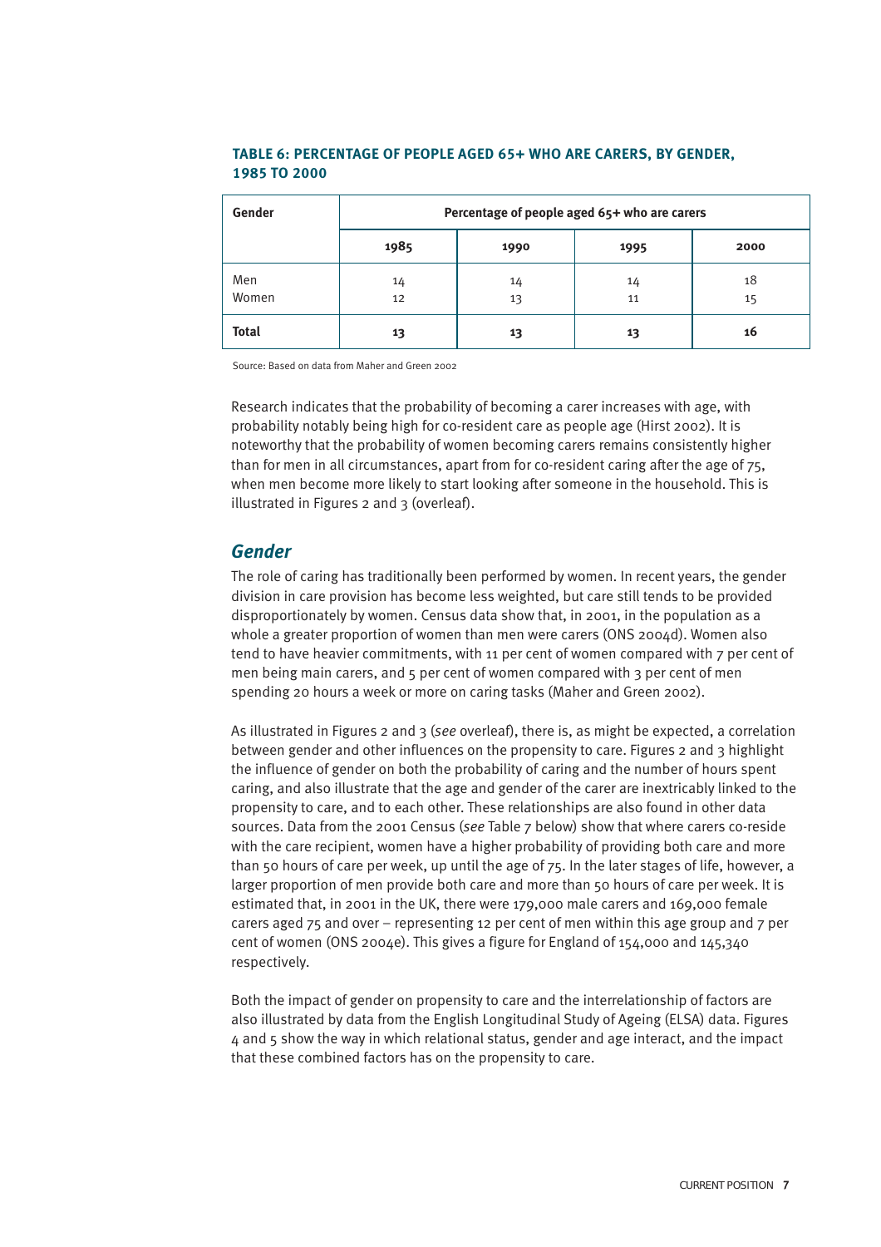#### **TABLE 6: PERCENTAGE OF PEOPLE AGED 65+ WHO ARE CARERS, BY GENDER, 1985 TO 2000**

| Gender       | Percentage of people aged 65+ who are carers |          |          |          |  |
|--------------|----------------------------------------------|----------|----------|----------|--|
|              | 1985                                         | 1990     | 1995     | 2000     |  |
| Men<br>Women | 14<br>12                                     | 14<br>13 | 14<br>11 | 18<br>15 |  |
| <b>Total</b> | 13                                           | 13       | 13       | 16       |  |

Source: Based on data from Maher and Green 2002

Research indicates that the probability of becoming a carer increases with age, with probability notably being high for co-resident care as people age (Hirst 2002). It is noteworthy that the probability of women becoming carers remains consistently higher than for men in all circumstances, apart from for co-resident caring after the age of 75, when men become more likely to start looking after someone in the household. This is illustrated in Figures 2 and 3 (overleaf).

#### *Gender*

The role of caring has traditionally been performed by women. In recent years, the gender division in care provision has become less weighted, but care still tends to be provided disproportionately by women. Census data show that, in 2001, in the population as a whole a greater proportion of women than men were carers (ONS 2004d). Women also tend to have heavier commitments, with 11 per cent of women compared with 7 per cent of men being main carers, and 5 per cent of women compared with 3 per cent of men spending 20 hours a week or more on caring tasks (Maher and Green 2002).

As illustrated in Figures 2 and 3 (*see* overleaf), there is, as might be expected, a correlation between gender and other influences on the propensity to care. Figures 2 and 3 highlight the influence of gender on both the probability of caring and the number of hours spent caring, and also illustrate that the age and gender of the carer are inextricably linked to the propensity to care, and to each other. These relationships are also found in other data sources. Data from the 2001 Census (*see* Table 7 below) show that where carers co-reside with the care recipient, women have a higher probability of providing both care and more than 50 hours of care per week, up until the age of 75. In the later stages of life, however, a larger proportion of men provide both care and more than 50 hours of care per week. It is estimated that, in 2001 in the UK, there were 179,000 male carers and 169,000 female carers aged 75 and over – representing 12 per cent of men within this age group and 7 per cent of women (ONS 2004e). This gives a figure for England of 154,000 and 145,340 respectively.

Both the impact of gender on propensity to care and the interrelationship of factors are also illustrated by data from the English Longitudinal Study of Ageing (ELSA) data. Figures 4 and 5 show the way in which relational status, gender and age interact, and the impact that these combined factors has on the propensity to care.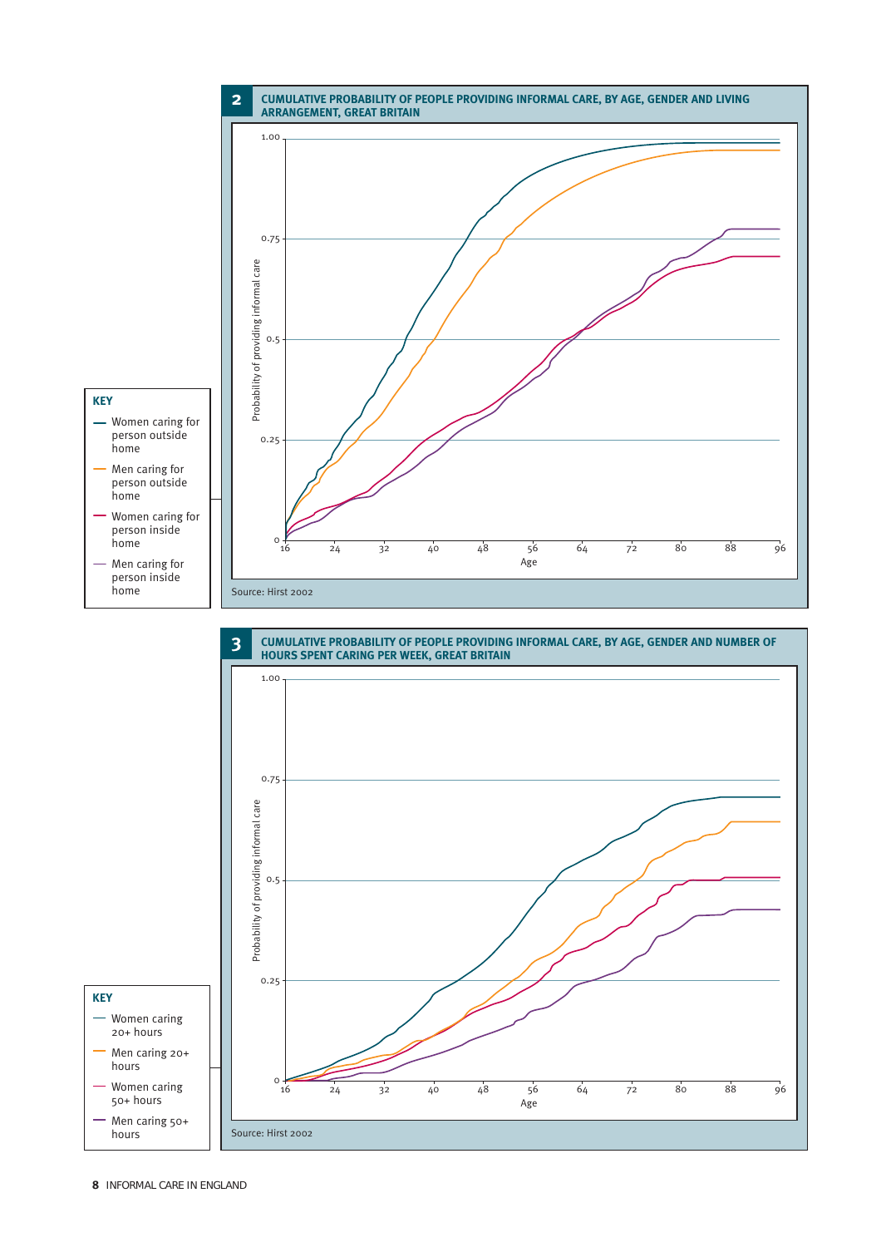



**KEY**

hours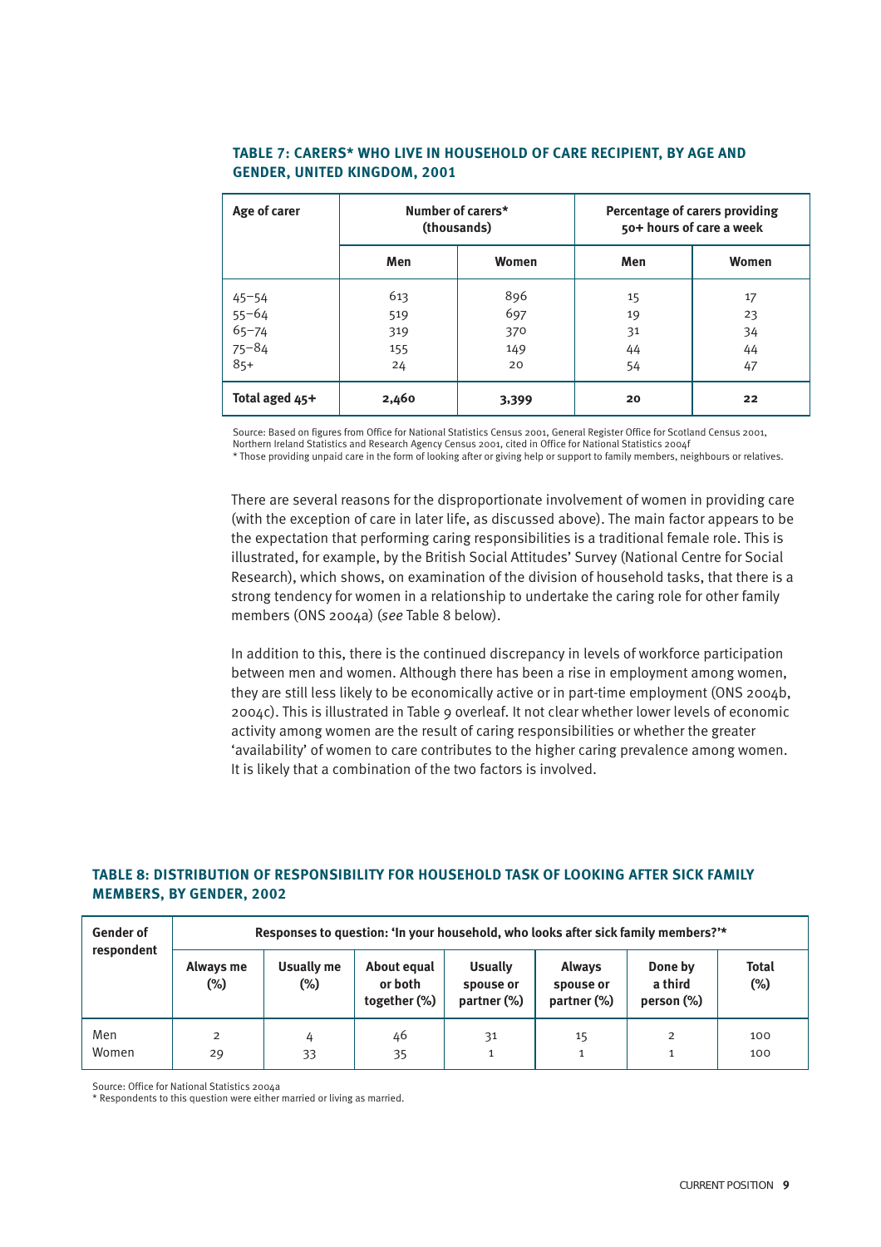| Age of carer                        | Number of carers*<br>(thousands) |       | Percentage of carers providing<br>50+ hours of care a week |       |
|-------------------------------------|----------------------------------|-------|------------------------------------------------------------|-------|
|                                     | Men                              | Women | Men                                                        | Women |
| $45 - 54$                           | 613                              | 896   | 15                                                         | 17    |
| $55 - 64$<br>$65 - 74$<br>$75 - 84$ | 519                              | 697   | 19                                                         | 23    |
|                                     | 319                              | 370   | 31                                                         | 34    |
|                                     | 155                              | 149   | 44                                                         | 44    |
| $85+$                               | 24                               | 20    | 54                                                         | 47    |
| Total aged 45+                      | 2,460                            | 3,399 | 20                                                         | 22    |

#### **TABLE 7: CARERS\* WHO LIVE IN HOUSEHOLD OF CARE RECIPIENT, BY AGE AND GENDER, UNITED KINGDOM, 2001**

Source: Based on figures from Office for National Statistics Census 2001, General Register Office for Scotland Census 2001, Northern Ireland Statistics and Research Agency Census 2001, cited in Office for National Statistics 2004f

\* Those providing unpaid care in the form of looking after or giving help or support to family members, neighbours or relatives.

There are several reasons for the disproportionate involvement of women in providing care (with the exception of care in later life, as discussed above). The main factor appears to be the expectation that performing caring responsibilities is a traditional female role. This is illustrated, for example, by the British Social Attitudes' Survey (National Centre for Social Research), which shows, on examination of the division of household tasks, that there is a strong tendency for women in a relationship to undertake the caring role for other family members (ONS 2004a) (*see* Table 8 below).

In addition to this, there is the continued discrepancy in levels of workforce participation between men and women. Although there has been a rise in employment among women, they are still less likely to be economically active or in part-time employment (ONS 2004b, 2004c). This is illustrated in Table 9 overleaf. It not clear whether lower levels of economic activity among women are the result of caring responsibilities or whether the greater 'availability' of women to care contributes to the higher caring prevalence among women. It is likely that a combination of the two factors is involved.

#### **TABLE 8: DISTRIBUTION OF RESPONSIBILITY FOR HOUSEHOLD TASK OF LOOKING AFTER SICK FAMILY MEMBERS, BY GENDER, 2002**

| <b>Gender of</b> | Responses to question: 'In your household, who looks after sick family members?'* |                   |                                        |                                            |                                           |                                  |                        |
|------------------|-----------------------------------------------------------------------------------|-------------------|----------------------------------------|--------------------------------------------|-------------------------------------------|----------------------------------|------------------------|
| respondent       | Always me<br>(%)                                                                  | Usually me<br>(%) | About equal<br>or both<br>together (%) | <b>Usually</b><br>spouse or<br>partner (%) | <b>Always</b><br>spouse or<br>partner (%) | Done by<br>a third<br>person (%) | <b>Total</b><br>$(\%)$ |
| Men<br>Women     | $\overline{2}$<br>29                                                              | 33                | 46<br>35                               | 31                                         | 15                                        | 2                                | 100<br>100             |

Source: Office for National Statistics 2004a

\* Respondents to this question were either married or living as married.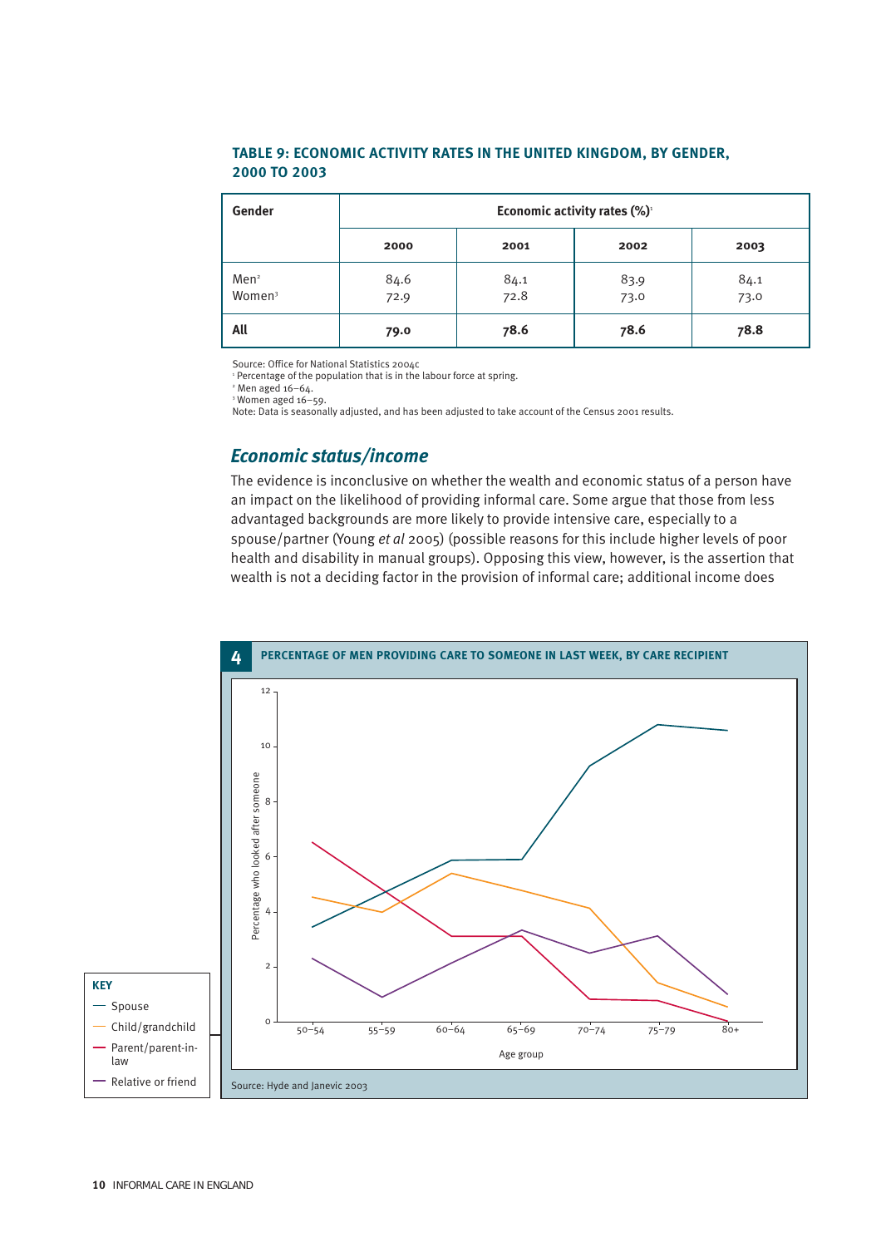#### **TABLE 9: ECONOMIC ACTIVITY RATES IN THE UNITED KINGDOM, BY GENDER, 2000 TO 2003**

| Gender                                 | Economic activity rates (%) <sup>1</sup> |              |              |              |  |
|----------------------------------------|------------------------------------------|--------------|--------------|--------------|--|
|                                        | 2000                                     | 2001         | 2002         | 2003         |  |
| Men <sup>2</sup><br>Women <sup>3</sup> | 84.6<br>72.9                             | 84.1<br>72.8 | 83.9<br>73.0 | 84.1<br>73.0 |  |
| All                                    | 79.0                                     | 78.6         | 78.6         | 78.8         |  |

Source: Office for National Statistics 2004c

<sup>1</sup> Percentage of the population that is in the labour force at spring.

 $2$  Men aged 16-64.

<sup>3</sup> Women aged 16–59. Note: Data is seasonally adjusted, and has been adjusted to take account of the Census 2001 results.

#### *Economic status/income*

The evidence is inconclusive on whether the wealth and economic status of a person have an impact on the likelihood of providing informal care. Some argue that those from less advantaged backgrounds are more likely to provide intensive care, especially to a spouse/partner (Young *et al* 2005) (possible reasons for this include higher levels of poor health and disability in manual groups). Opposing this view, however, is the assertion that wealth is not a deciding factor in the provision of informal care; additional income does

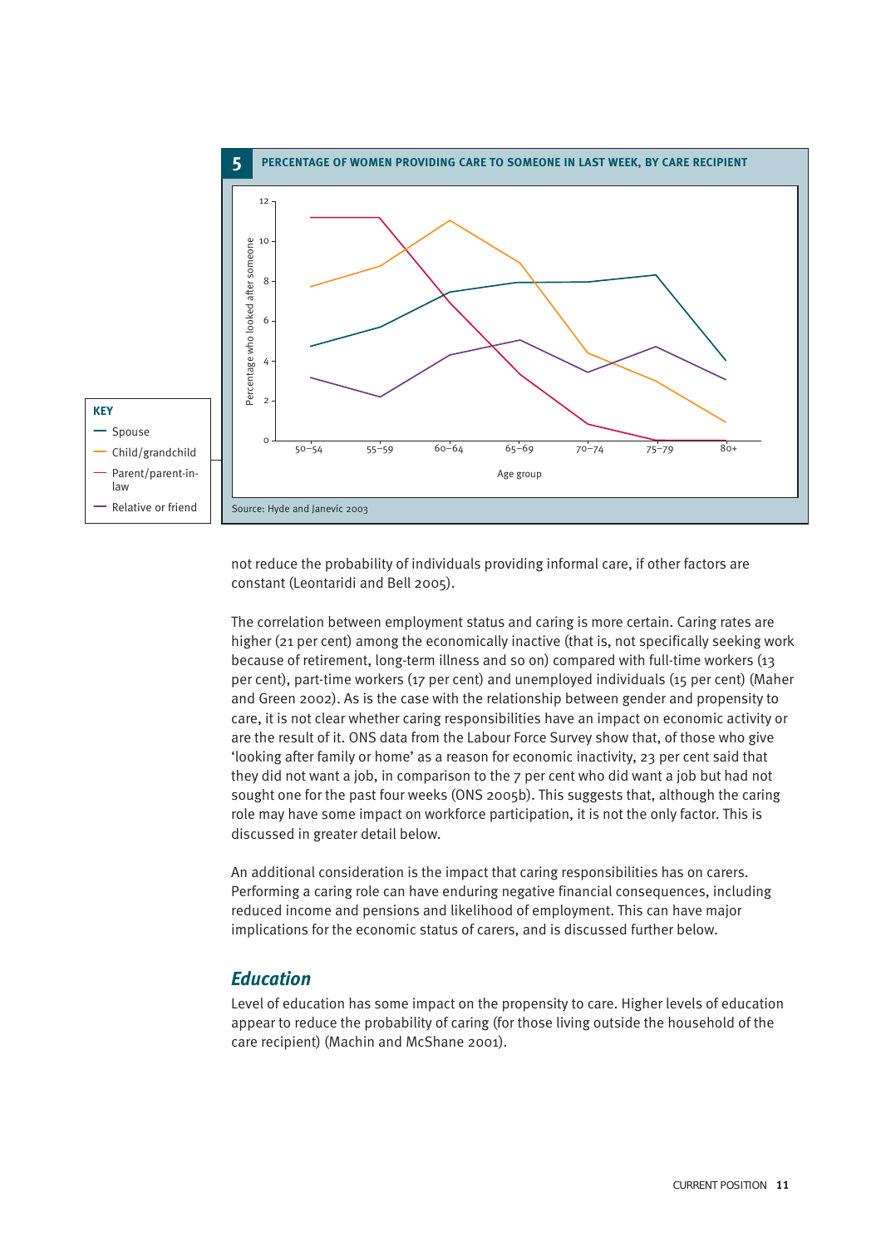

not reduce the probability of individuals providing informal care, if other factors are constant (Leontaridi and Bell 2005).

The correlation between employment status and caring is more certain. Caring rates are higher (21 per cent) among the economically inactive (that is, not specifically seeking work because of retirement, long-term illness and so on) compared with full-time workers (13 per cent), part-time workers (17 per cent) and unemployed individuals (15 per cent) (Maher and Green 2002). As is the case with the relationship between gender and propensity to care, it is not clear whether caring responsibilities have an impact on economic activity or are the result of it. ONS data from the Labour Force Survey show that, of those who give 'looking after family or home' as a reason for economic inactivity, 23 per cent said that they did not want a job, in comparison to the 7 per cent who did want a job but had not sought one for the past four weeks (ONS 2005b). This suggests that, although the caring role may have some impact on workforce participation, it is not the only factor. This is discussed in greater detail below.

An additional consideration is the impact that caring responsibilities has on carers. Performing a caring role can have enduring negative financial consequences, including reduced income and pensions and likelihood of employment. This can have major implications for the economic status of carers, and is discussed further below.

#### *Education*

Level of education has some impact on the propensity to care. Higher levels of education appear to reduce the probability of caring (for those living outside the household of the care recipient) (Machin and McShane 2001).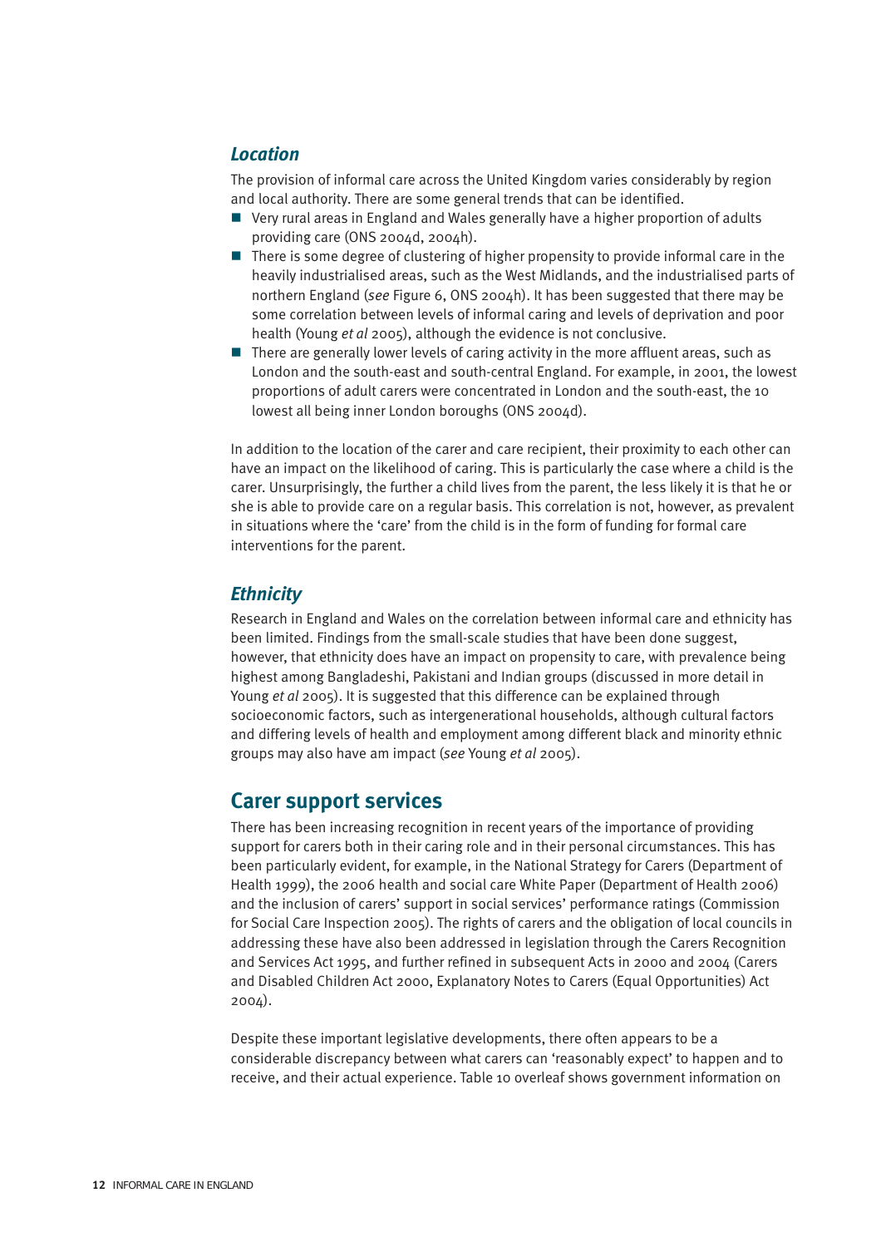#### *Location*

The provision of informal care across the United Kingdom varies considerably by region and local authority. There are some general trends that can be identified.

- Very rural areas in England and Wales generally have a higher proportion of adults providing care (ONS 2004d, 2004h).
- $\blacksquare$  There is some degree of clustering of higher propensity to provide informal care in the heavily industrialised areas, such as the West Midlands, and the industrialised parts of northern England (*see* Figure 6, ONS 2004h). It has been suggested that there may be some correlation between levels of informal caring and levels of deprivation and poor health (Young *et al* 2005), although the evidence is not conclusive.
- $\blacksquare$  There are generally lower levels of caring activity in the more affluent areas, such as London and the south-east and south-central England. For example, in 2001, the lowest proportions of adult carers were concentrated in London and the south-east, the 10 lowest all being inner London boroughs (ONS 2004d).

In addition to the location of the carer and care recipient, their proximity to each other can have an impact on the likelihood of caring. This is particularly the case where a child is the carer. Unsurprisingly, the further a child lives from the parent, the less likely it is that he or she is able to provide care on a regular basis. This correlation is not, however, as prevalent in situations where the 'care' from the child is in the form of funding for formal care interventions for the parent.

#### *Ethnicity*

Research in England and Wales on the correlation between informal care and ethnicity has been limited. Findings from the small-scale studies that have been done suggest, however, that ethnicity does have an impact on propensity to care, with prevalence being highest among Bangladeshi, Pakistani and Indian groups (discussed in more detail in Young *et al* 2005). It is suggested that this difference can be explained through socioeconomic factors, such as intergenerational households, although cultural factors and differing levels of health and employment among different black and minority ethnic groups may also have am impact (*see* Young *et al* 2005).

### **Carer support services**

There has been increasing recognition in recent years of the importance of providing support for carers both in their caring role and in their personal circumstances. This has been particularly evident, for example, in the National Strategy for Carers (Department of Health 1999), the 2006 health and social care White Paper (Department of Health 2006) and the inclusion of carers' support in social services' performance ratings (Commission for Social Care Inspection 2005). The rights of carers and the obligation of local councils in addressing these have also been addressed in legislation through the Carers Recognition and Services Act 1995, and further refined in subsequent Acts in 2000 and 2004 (Carers and Disabled Children Act 2000, Explanatory Notes to Carers (Equal Opportunities) Act 2004).

Despite these important legislative developments, there often appears to be a considerable discrepancy between what carers can 'reasonably expect' to happen and to receive, and their actual experience. Table 10 overleaf shows government information on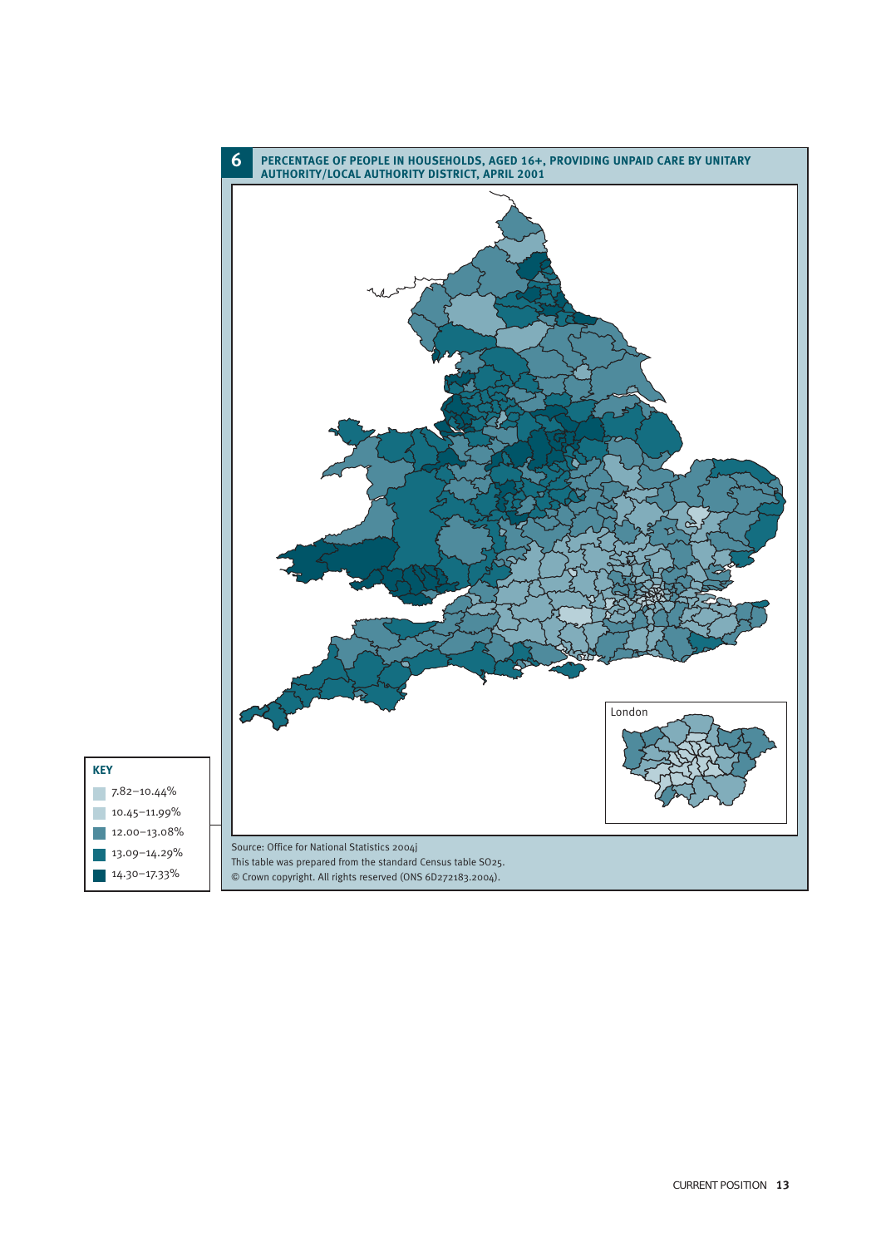

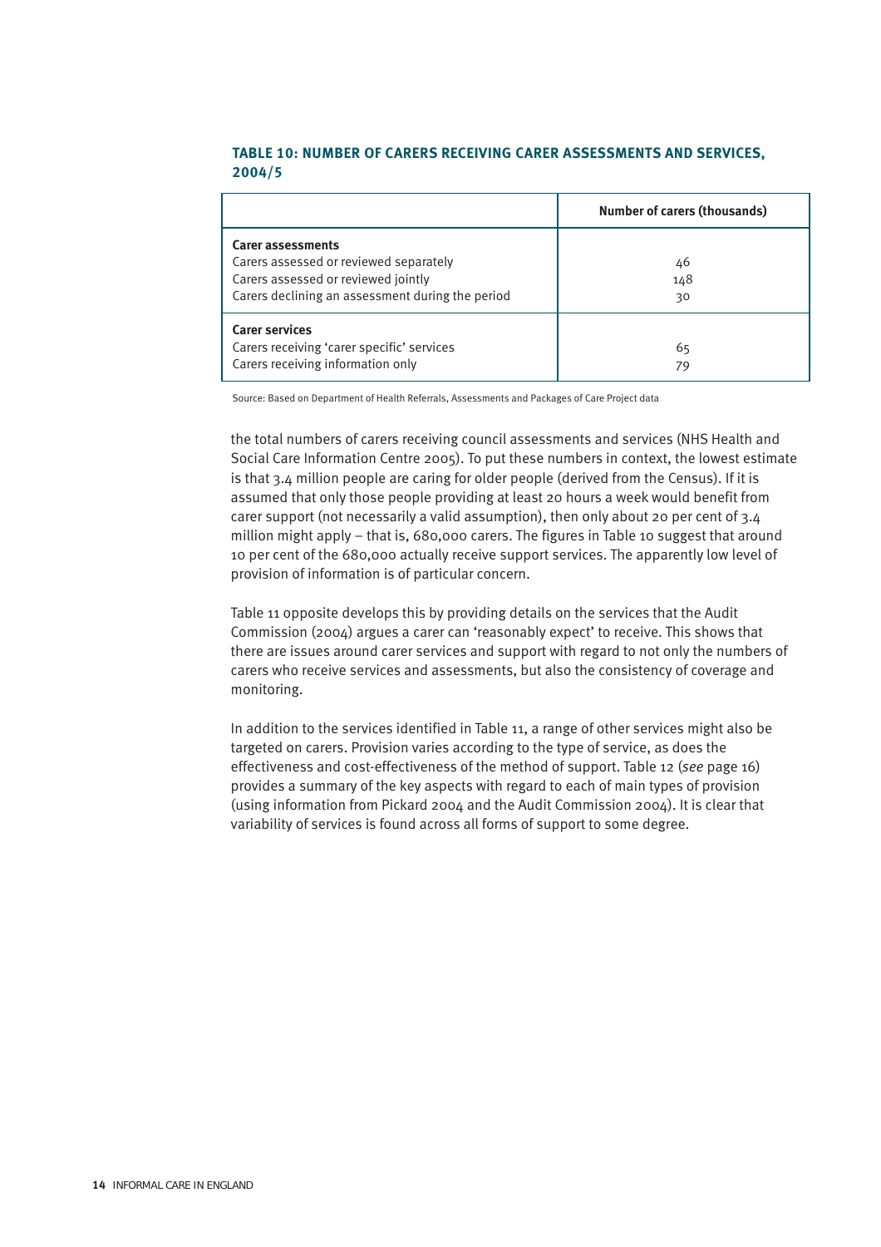#### **TABLE 10: NUMBER OF CARERS RECEIVING CARER ASSESSMENTS AND SERVICES, 2004/5**

|                                                                                                                                                        | <b>Number of carers (thousands)</b> |
|--------------------------------------------------------------------------------------------------------------------------------------------------------|-------------------------------------|
| Carer assessments<br>Carers assessed or reviewed separately<br>Carers assessed or reviewed jointly<br>Carers declining an assessment during the period | 46<br>148<br>30                     |
| <b>Carer services</b><br>Carers receiving 'carer specific' services<br>Carers receiving information only                                               | 65<br>79                            |

Source: Based on Department of Health Referrals, Assessments and Packages of Care Project data

the total numbers of carers receiving council assessments and services (NHS Health and Social Care Information Centre 2005). To put these numbers in context, the lowest estimate is that 3.4 million people are caring for older people (derived from the Census). If it is assumed that only those people providing at least 20 hours a week would benefit from carer support (not necessarily a valid assumption), then only about 20 per cent of 3.4 million might apply – that is, 680,000 carers. The figures in Table 10 suggest that around 10 per cent of the 680,000 actually receive support services. The apparently low level of provision of information is of particular concern.

Table 11 opposite develops this by providing details on the services that the Audit Commission (2004) argues a carer can 'reasonably expect' to receive. This shows that there are issues around carer services and support with regard to not only the numbers of carers who receive services and assessments, but also the consistency of coverage and monitoring.

In addition to the services identified in Table 11, a range of other services might also be targeted on carers. Provision varies according to the type of service, as does the effectiveness and cost-effectiveness of the method of support. Table 12 (*see* page 16) provides a summary of the key aspects with regard to each of main types of provision (using information from Pickard 2004 and the Audit Commission 2004). It is clear that variability of services is found across all forms of support to some degree.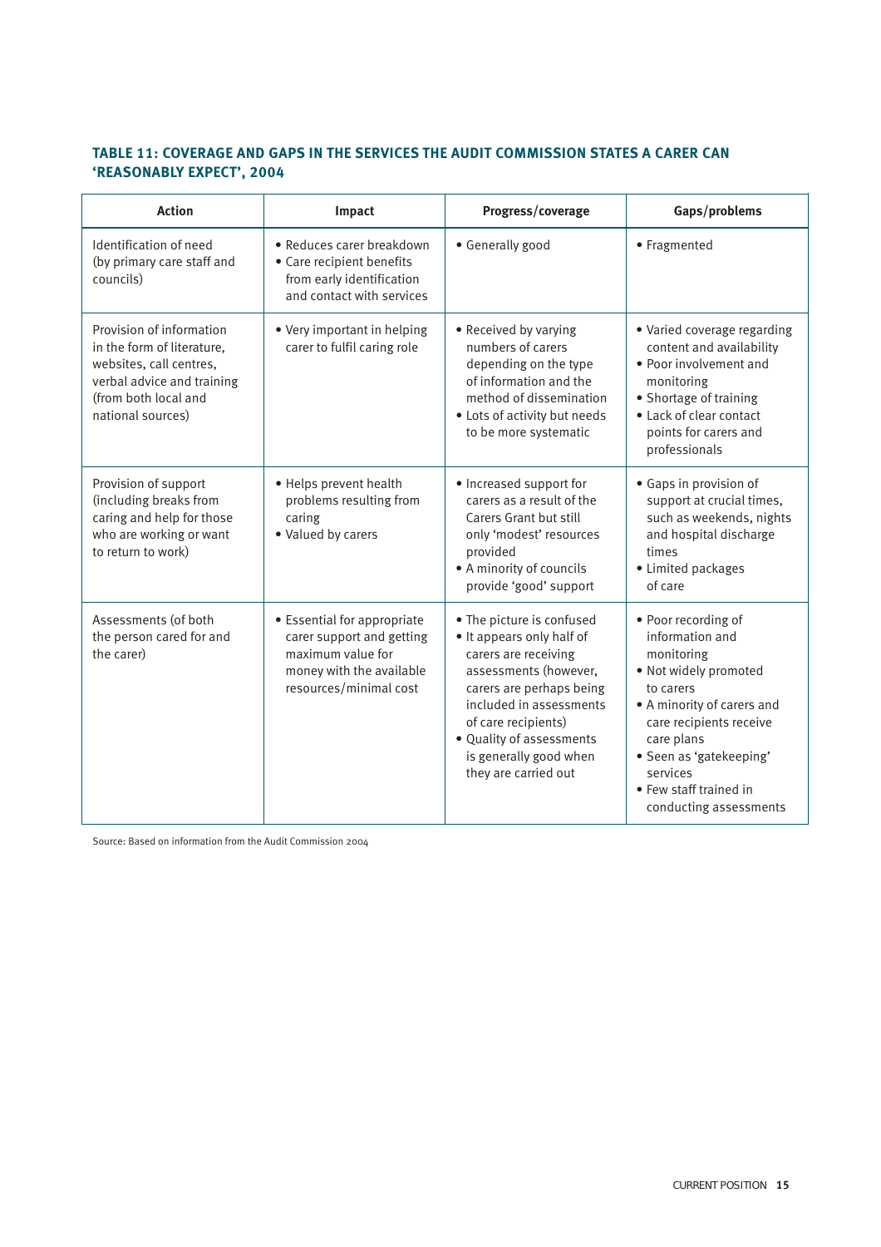#### **TABLE 11: COVERAGE AND GAPS IN THE SERVICES THE AUDIT COMMISSION STATES A CARER CAN 'REASONABLY EXPECT', 2004**

| <b>Action</b>                                                                                                                                                | Impact                                                                                                                              | Progress/coverage                                                                                                                                                                                                                                                   | Gaps/problems                                                                                                                                                                                                                                                |
|--------------------------------------------------------------------------------------------------------------------------------------------------------------|-------------------------------------------------------------------------------------------------------------------------------------|---------------------------------------------------------------------------------------------------------------------------------------------------------------------------------------------------------------------------------------------------------------------|--------------------------------------------------------------------------------------------------------------------------------------------------------------------------------------------------------------------------------------------------------------|
| Identification of need<br>(by primary care staff and<br>councils)                                                                                            | • Reduces carer breakdown<br>• Care recipient benefits<br>from early identification<br>and contact with services                    | • Generally good                                                                                                                                                                                                                                                    | • Fragmented                                                                                                                                                                                                                                                 |
| Provision of information<br>in the form of literature.<br>websites, call centres,<br>verbal advice and training<br>(from both local and<br>national sources) | • Very important in helping<br>carer to fulfil caring role                                                                          | • Received by varying<br>numbers of carers<br>depending on the type<br>of information and the<br>method of dissemination<br>• Lots of activity but needs<br>to be more systematic                                                                                   | • Varied coverage regarding<br>content and availability<br>• Poor involvement and<br>monitoring<br>• Shortage of training<br>• Lack of clear contact<br>points for carers and<br>professionals                                                               |
| Provision of support<br>(including breaks from<br>caring and help for those<br>who are working or want<br>to return to work)                                 | • Helps prevent health<br>problems resulting from<br>caring<br>• Valued by carers                                                   | • Increased support for<br>carers as a result of the<br>Carers Grant but still<br>only 'modest' resources<br>provided<br>• A minority of councils<br>provide 'good' support                                                                                         | • Gaps in provision of<br>support at crucial times,<br>such as weekends, nights<br>and hospital discharge<br>times<br>• Limited packages<br>of care                                                                                                          |
| Assessments (of both<br>the person cared for and<br>the carer)                                                                                               | • Essential for appropriate<br>carer support and getting<br>maximum value for<br>money with the available<br>resources/minimal cost | • The picture is confused<br>• It appears only half of<br>carers are receiving<br>assessments (however,<br>carers are perhaps being<br>included in assessments<br>of care recipients)<br>· Quality of assessments<br>is generally good when<br>they are carried out | • Poor recording of<br>information and<br>monitoring<br>. Not widely promoted<br>to carers<br>• A minority of carers and<br>care recipients receive<br>care plans<br>· Seen as 'gatekeeping'<br>services<br>• Few staff trained in<br>conducting assessments |

Source: Based on information from the Audit Commission 2004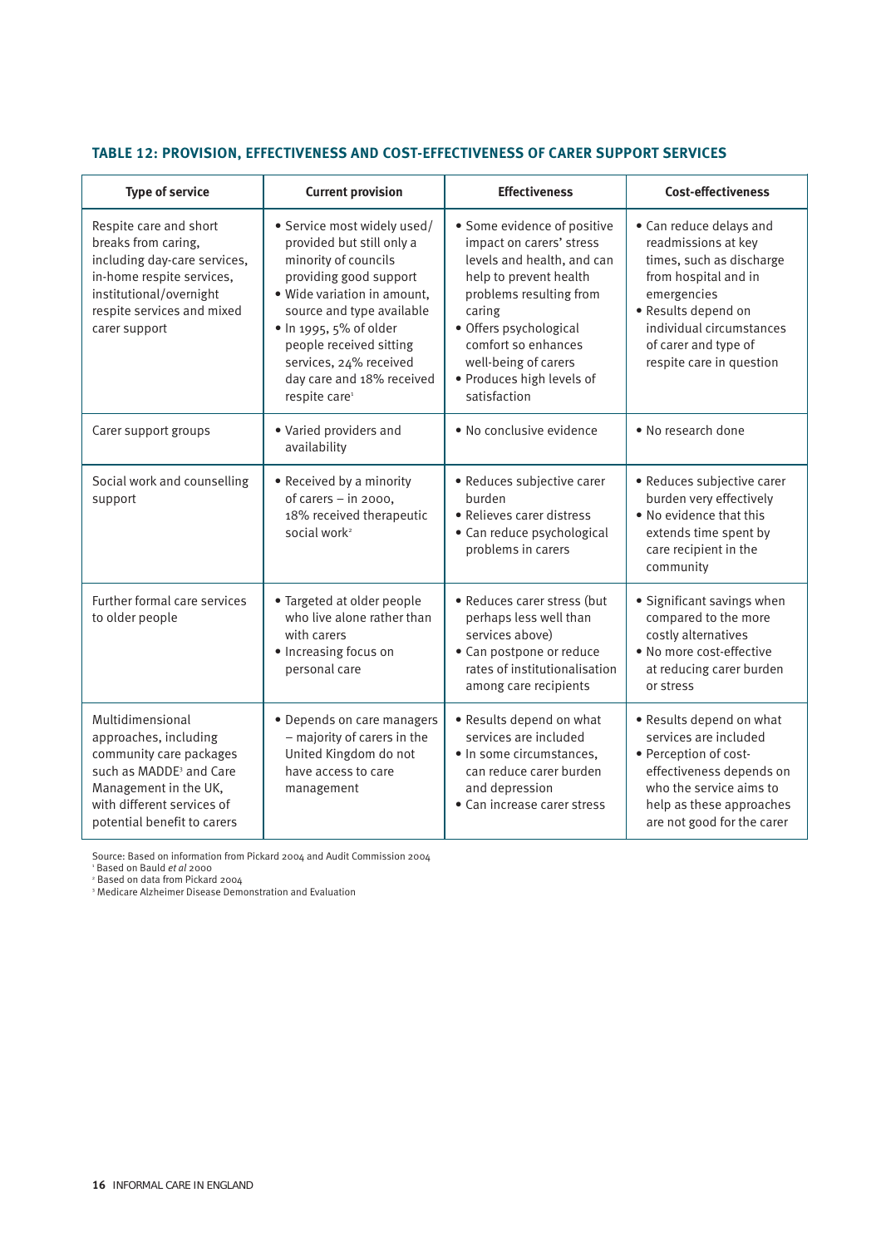| <b>Type of service</b>                                                                                                                                                                            | <b>Current provision</b>                                                                                                                                                                                                                                                                                        | <b>Effectiveness</b>                                                                                                                                                                                                                                                       | <b>Cost-effectiveness</b>                                                                                                                                                                                                |  |
|---------------------------------------------------------------------------------------------------------------------------------------------------------------------------------------------------|-----------------------------------------------------------------------------------------------------------------------------------------------------------------------------------------------------------------------------------------------------------------------------------------------------------------|----------------------------------------------------------------------------------------------------------------------------------------------------------------------------------------------------------------------------------------------------------------------------|--------------------------------------------------------------------------------------------------------------------------------------------------------------------------------------------------------------------------|--|
| Respite care and short<br>breaks from caring,<br>including day-care services,<br>in-home respite services,<br>institutional/overnight<br>respite services and mixed<br>carer support              | · Service most widely used/<br>provided but still only a<br>minority of councils<br>providing good support<br>· Wide variation in amount,<br>source and type available<br>· In 1995, 5% of older<br>people received sitting<br>services, 24% received<br>day care and 18% received<br>respite care <sup>1</sup> | • Some evidence of positive<br>impact on carers' stress<br>levels and health, and can<br>help to prevent health<br>problems resulting from<br>caring<br>· Offers psychological<br>comfort so enhances<br>well-being of carers<br>· Produces high levels of<br>satisfaction | • Can reduce delays and<br>readmissions at key<br>times, such as discharge<br>from hospital and in<br>emergencies<br>· Results depend on<br>individual circumstances<br>of carer and type of<br>respite care in question |  |
| Carer support groups                                                                                                                                                                              | • Varied providers and<br>availability                                                                                                                                                                                                                                                                          | • No conclusive evidence                                                                                                                                                                                                                                                   | • No research done                                                                                                                                                                                                       |  |
| Social work and counselling<br>support                                                                                                                                                            | • Received by a minority<br>of carers - in 2000,<br>18% received therapeutic<br>social work <sup>2</sup>                                                                                                                                                                                                        | · Reduces subjective carer<br>burden<br>· Relieves carer distress<br>· Can reduce psychological<br>problems in carers                                                                                                                                                      | • Reduces subjective carer<br>burden very effectively<br>. No evidence that this<br>extends time spent by<br>care recipient in the<br>community                                                                          |  |
| Further formal care services<br>to older people                                                                                                                                                   | • Targeted at older people<br>who live alone rather than<br>with carers<br>· Increasing focus on<br>personal care                                                                                                                                                                                               | · Reduces carer stress (but<br>perhaps less well than<br>services above)<br>• Can postpone or reduce<br>rates of institutionalisation<br>among care recipients                                                                                                             | • Significant savings when<br>compared to the more<br>costly alternatives<br>· No more cost-effective<br>at reducing carer burden<br>or stress                                                                           |  |
| Multidimensional<br>approaches, including<br>community care packages<br>such as MADDE <sup>3</sup> and Care<br>Management in the UK,<br>with different services of<br>potential benefit to carers | • Depends on care managers<br>- majority of carers in the<br>United Kingdom do not<br>have access to care<br>management                                                                                                                                                                                         | • Results depend on what<br>services are included<br>· In some circumstances,<br>can reduce carer burden<br>and depression<br>• Can increase carer stress                                                                                                                  | • Results depend on what<br>services are included<br>· Perception of cost-<br>effectiveness depends on<br>who the service aims to<br>help as these approaches<br>are not good for the carer                              |  |

#### **TABLE 12: PROVISION, EFFECTIVENESS AND COST-EFFECTIVENESS OF CARER SUPPORT SERVICES**

Source: Based on information from Pickard 2004 and Audit Commission 2004

<sup>1</sup> Based on Bauld *et al* 2000<br><sup>2</sup> Based on data from Pickard 2004

<sup>3</sup> Medicare Alzheimer Disease Demonstration and Evaluation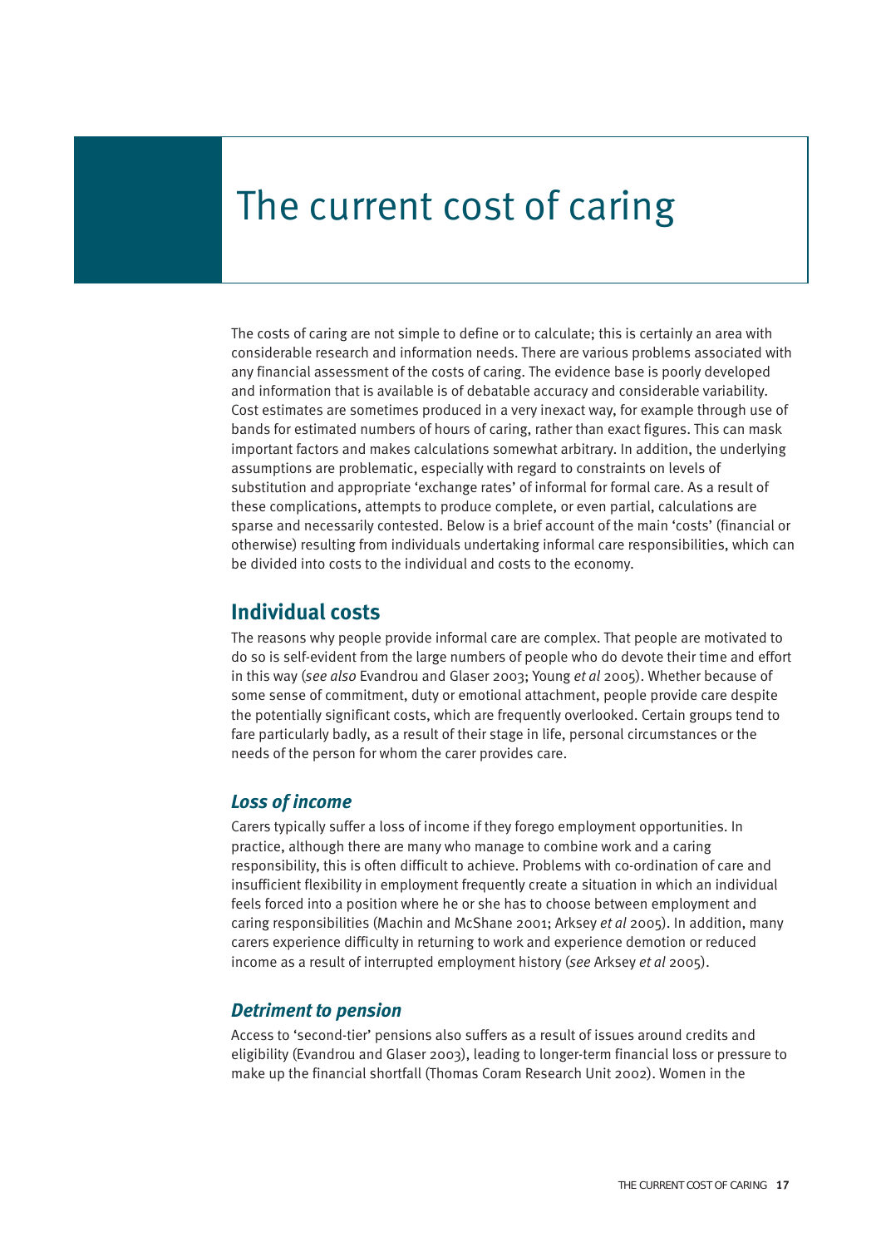# The current cost of caring

The costs of caring are not simple to define or to calculate; this is certainly an area with considerable research and information needs. There are various problems associated with any financial assessment of the costs of caring. The evidence base is poorly developed and information that is available is of debatable accuracy and considerable variability. Cost estimates are sometimes produced in a very inexact way, for example through use of bands for estimated numbers of hours of caring, rather than exact figures. This can mask important factors and makes calculations somewhat arbitrary. In addition, the underlying assumptions are problematic, especially with regard to constraints on levels of substitution and appropriate 'exchange rates' of informal for formal care. As a result of these complications, attempts to produce complete, or even partial, calculations are sparse and necessarily contested. Below is a brief account of the main 'costs' (financial or otherwise) resulting from individuals undertaking informal care responsibilities, which can be divided into costs to the individual and costs to the economy.

### **Individual costs**

The reasons why people provide informal care are complex. That people are motivated to do so is self-evident from the large numbers of people who do devote their time and effort in this way (*see also* Evandrou and Glaser 2003; Young *et al* 2005). Whether because of some sense of commitment, duty or emotional attachment, people provide care despite the potentially significant costs, which are frequently overlooked. Certain groups tend to fare particularly badly, as a result of their stage in life, personal circumstances or the needs of the person for whom the carer provides care.

#### *Loss of income*

Carers typically suffer a loss of income if they forego employment opportunities. In practice, although there are many who manage to combine work and a caring responsibility, this is often difficult to achieve. Problems with co-ordination of care and insufficient flexibility in employment frequently create a situation in which an individual feels forced into a position where he or she has to choose between employment and caring responsibilities (Machin and McShane 2001; Arksey *et al* 2005). In addition, many carers experience difficulty in returning to work and experience demotion or reduced income as a result of interrupted employment history (*see* Arksey *et al* 2005).

#### *Detriment to pension*

Access to 'second-tier' pensions also suffers as a result of issues around credits and eligibility (Evandrou and Glaser 2003), leading to longer-term financial loss or pressure to make up the financial shortfall (Thomas Coram Research Unit 2002). Women in the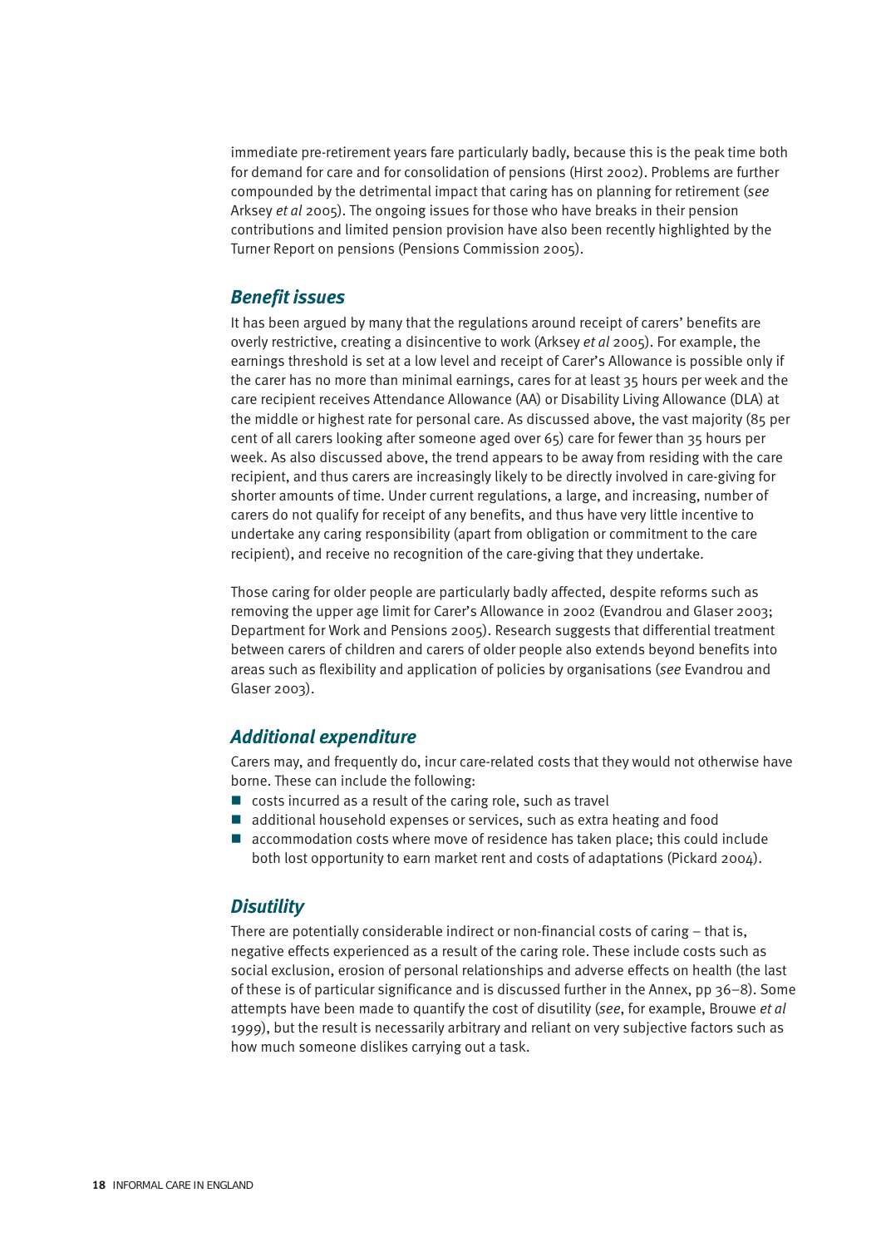immediate pre-retirement years fare particularly badly, because this is the peak time both for demand for care and for consolidation of pensions (Hirst 2002). Problems are further compounded by the detrimental impact that caring has on planning for retirement (*see* Arksey *et al* 2005). The ongoing issues for those who have breaks in their pension contributions and limited pension provision have also been recently highlighted by the Turner Report on pensions (Pensions Commission 2005).

#### *Benefit issues*

It has been argued by many that the regulations around receipt of carers' benefits are overly restrictive, creating a disincentive to work (Arksey *et al* 2005). For example, the earnings threshold is set at a low level and receipt of Carer's Allowance is possible only if the carer has no more than minimal earnings, cares for at least 35 hours per week and the care recipient receives Attendance Allowance (AA) or Disability Living Allowance (DLA) at the middle or highest rate for personal care. As discussed above, the vast majority (85 per cent of all carers looking after someone aged over 65) care for fewer than 35 hours per week. As also discussed above, the trend appears to be away from residing with the care recipient, and thus carers are increasingly likely to be directly involved in care-giving for shorter amounts of time. Under current regulations, a large, and increasing, number of carers do not qualify for receipt of any benefits, and thus have very little incentive to undertake any caring responsibility (apart from obligation or commitment to the care recipient), and receive no recognition of the care-giving that they undertake.

Those caring for older people are particularly badly affected, despite reforms such as removing the upper age limit for Carer's Allowance in 2002 (Evandrou and Glaser 2003; Department for Work and Pensions 2005). Research suggests that differential treatment between carers of children and carers of older people also extends beyond benefits into areas such as flexibility and application of policies by organisations (*see* Evandrou and Glaser 2003).

### *Additional expenditure*

Carers may, and frequently do, incur care-related costs that they would not otherwise have borne. These can include the following:

- costs incurred as a result of the caring role, such as travel
- additional household expenses or services, such as extra heating and food
- accommodation costs where move of residence has taken place; this could include both lost opportunity to earn market rent and costs of adaptations (Pickard 2004).

#### *Disutility*

There are potentially considerable indirect or non-financial costs of caring – that is, negative effects experienced as a result of the caring role. These include costs such as social exclusion, erosion of personal relationships and adverse effects on health (the last of these is of particular significance and is discussed further in the Annex, pp 36–8). Some attempts have been made to quantify the cost of disutility (*see*, for example, Brouwe *et al* 1999), but the result is necessarily arbitrary and reliant on very subjective factors such as how much someone dislikes carrying out a task.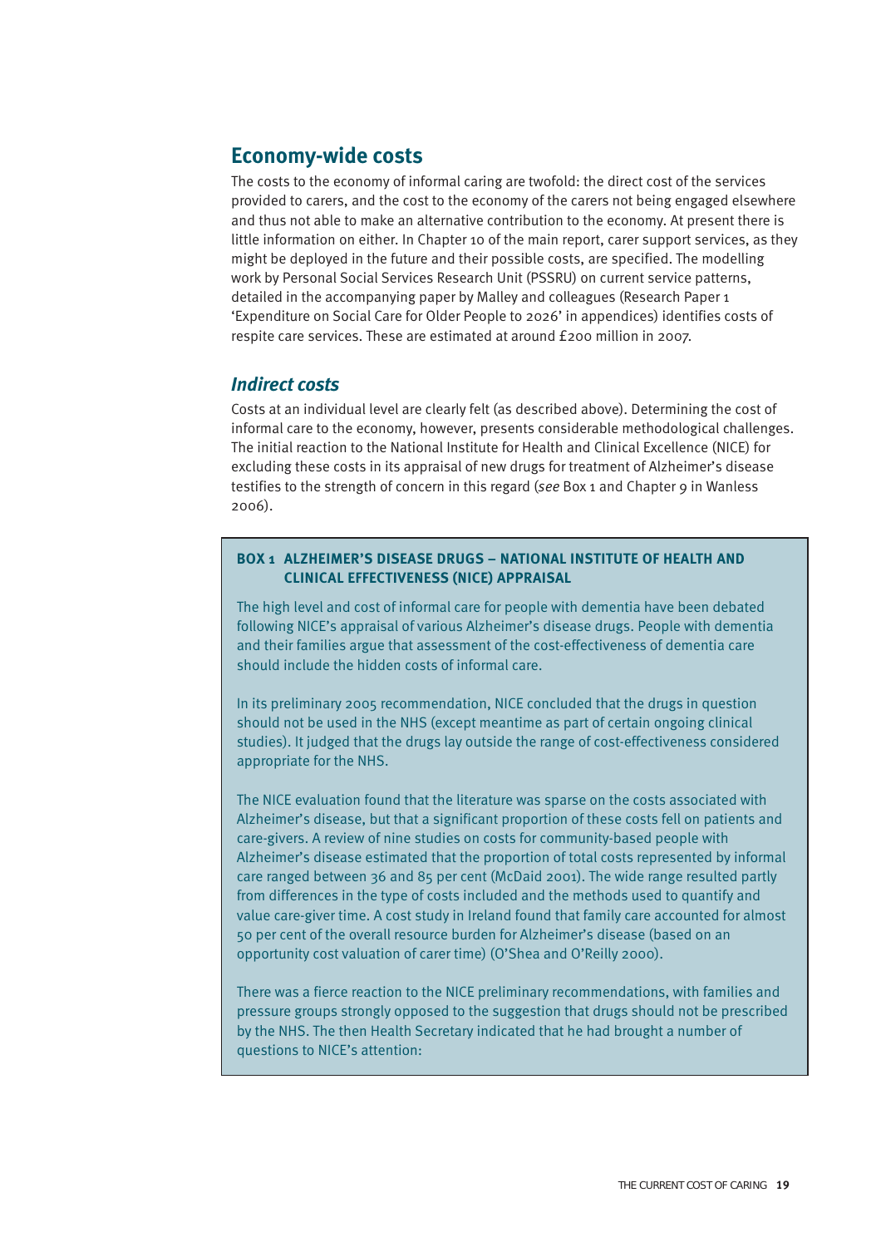### **Economy-wide costs**

The costs to the economy of informal caring are twofold: the direct cost of the services provided to carers, and the cost to the economy of the carers not being engaged elsewhere and thus not able to make an alternative contribution to the economy. At present there is little information on either. In Chapter 10 of the main report, carer support services, as they might be deployed in the future and their possible costs, are specified. The modelling work by Personal Social Services Research Unit (PSSRU) on current service patterns, detailed in the accompanying paper by Malley and colleagues (Research Paper 1 'Expenditure on Social Care for Older People to 2026' in appendices) identifies costs of respite care services. These are estimated at around £200 million in 2007.

#### *Indirect costs*

Costs at an individual level are clearly felt (as described above). Determining the cost of informal care to the economy, however, presents considerable methodological challenges. The initial reaction to the National Institute for Health and Clinical Excellence (NICE) for excluding these costs in its appraisal of new drugs for treatment of Alzheimer's disease testifies to the strength of concern in this regard (*see* Box 1 and Chapter 9 in Wanless 2006).

#### **BOX 1 ALZHEIMER'S DISEASE DRUGS – NATIONAL INSTITUTE OF HEALTH AND CLINICAL EFFECTIVENESS (NICE) APPRAISAL**

The high level and cost of informal care for people with dementia have been debated following NICE's appraisal of various Alzheimer's disease drugs. People with dementia and their families argue that assessment of the cost-effectiveness of dementia care should include the hidden costs of informal care.

In its preliminary 2005 recommendation, NICE concluded that the drugs in question should not be used in the NHS (except meantime as part of certain ongoing clinical studies). It judged that the drugs lay outside the range of cost-effectiveness considered appropriate for the NHS.

The NICE evaluation found that the literature was sparse on the costs associated with Alzheimer's disease, but that a significant proportion of these costs fell on patients and care-givers. A review of nine studies on costs for community-based people with Alzheimer's disease estimated that the proportion of total costs represented by informal care ranged between 36 and 85 per cent (McDaid 2001). The wide range resulted partly from differences in the type of costs included and the methods used to quantify and value care-giver time. A cost study in Ireland found that family care accounted for almost 50 per cent of the overall resource burden for Alzheimer's disease (based on an opportunity cost valuation of carer time) (O'Shea and O'Reilly 2000).

There was a fierce reaction to the NICE preliminary recommendations, with families and pressure groups strongly opposed to the suggestion that drugs should not be prescribed by the NHS. The then Health Secretary indicated that he had brought a number of questions to NICE's attention: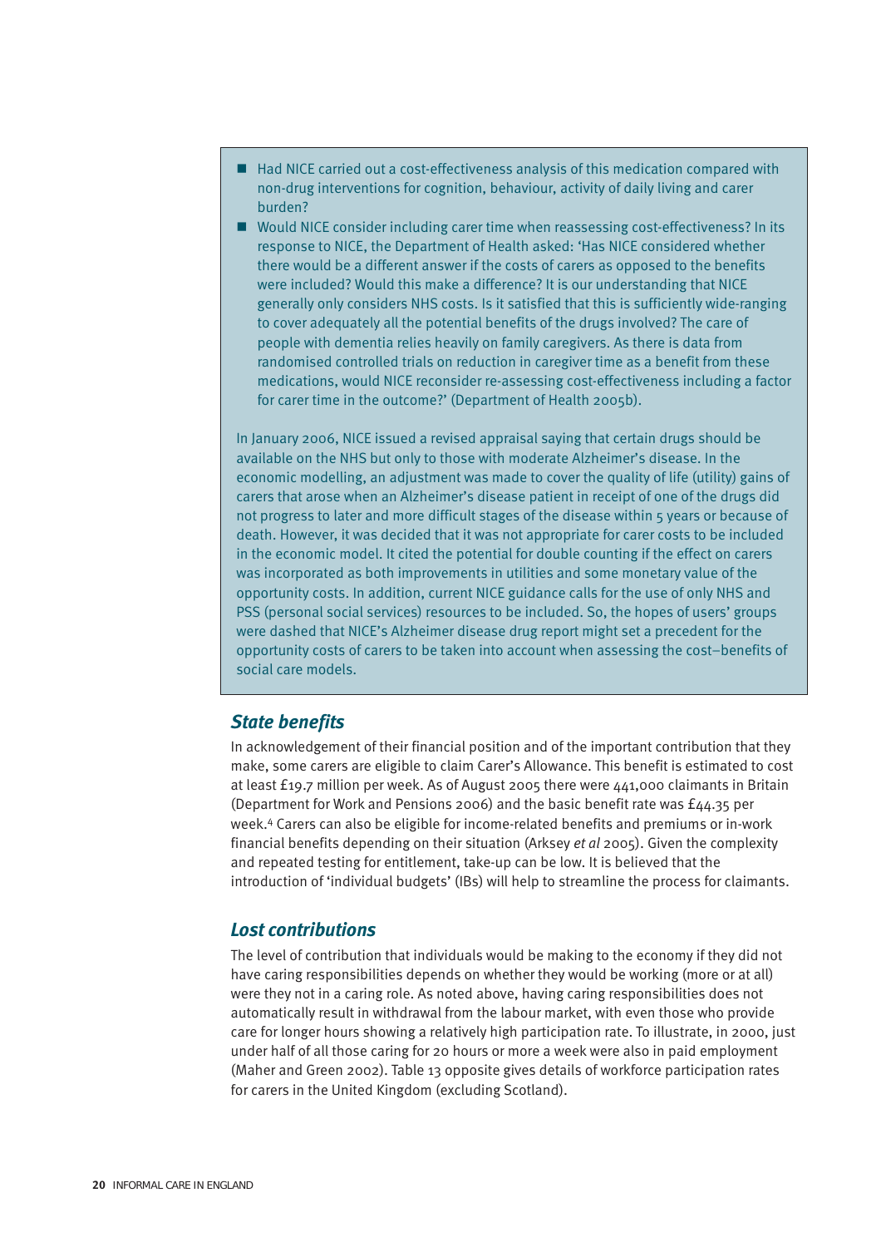- Had NICE carried out a cost-effectiveness analysis of this medication compared with non-drug interventions for cognition, behaviour, activity of daily living and carer burden?
- Would NICE consider including carer time when reassessing cost-effectiveness? In its response to NICE, the Department of Health asked: 'Has NICE considered whether there would be a different answer if the costs of carers as opposed to the benefits were included? Would this make a difference? It is our understanding that NICE generally only considers NHS costs. Is it satisfied that this is sufficiently wide-ranging to cover adequately all the potential benefits of the drugs involved? The care of people with dementia relies heavily on family caregivers. As there is data from randomised controlled trials on reduction in caregiver time as a benefit from these medications, would NICE reconsider re-assessing cost-effectiveness including a factor for carer time in the outcome?' (Department of Health 2005b).

In January 2006, NICE issued a revised appraisal saying that certain drugs should be available on the NHS but only to those with moderate Alzheimer's disease. In the economic modelling, an adjustment was made to cover the quality of life (utility) gains of carers that arose when an Alzheimer's disease patient in receipt of one of the drugs did not progress to later and more difficult stages of the disease within 5 years or because of death. However, it was decided that it was not appropriate for carer costs to be included in the economic model. It cited the potential for double counting if the effect on carers was incorporated as both improvements in utilities and some monetary value of the opportunity costs. In addition, current NICE guidance calls for the use of only NHS and PSS (personal social services) resources to be included. So, the hopes of users' groups were dashed that NICE's Alzheimer disease drug report might set a precedent for the opportunity costs of carers to be taken into account when assessing the cost–benefits of social care models.

#### *State benefits*

In acknowledgement of their financial position and of the important contribution that they make, some carers are eligible to claim Carer's Allowance. This benefit is estimated to cost at least £19.7 million per week. As of August 2005 there were 441,000 claimants in Britain (Department for Work and Pensions 2006) and the basic benefit rate was £44.35 per week.4 Carers can also be eligible for income-related benefits and premiums or in-work financial benefits depending on their situation (Arksey *et al* 2005). Given the complexity and repeated testing for entitlement, take-up can be low. It is believed that the introduction of 'individual budgets' (IBs) will help to streamline the process for claimants.

#### *Lost contributions*

The level of contribution that individuals would be making to the economy if they did not have caring responsibilities depends on whether they would be working (more or at all) were they not in a caring role. As noted above, having caring responsibilities does not automatically result in withdrawal from the labour market, with even those who provide care for longer hours showing a relatively high participation rate. To illustrate, in 2000, just under half of all those caring for 20 hours or more a week were also in paid employment (Maher and Green 2002). Table 13 opposite gives details of workforce participation rates for carers in the United Kingdom (excluding Scotland).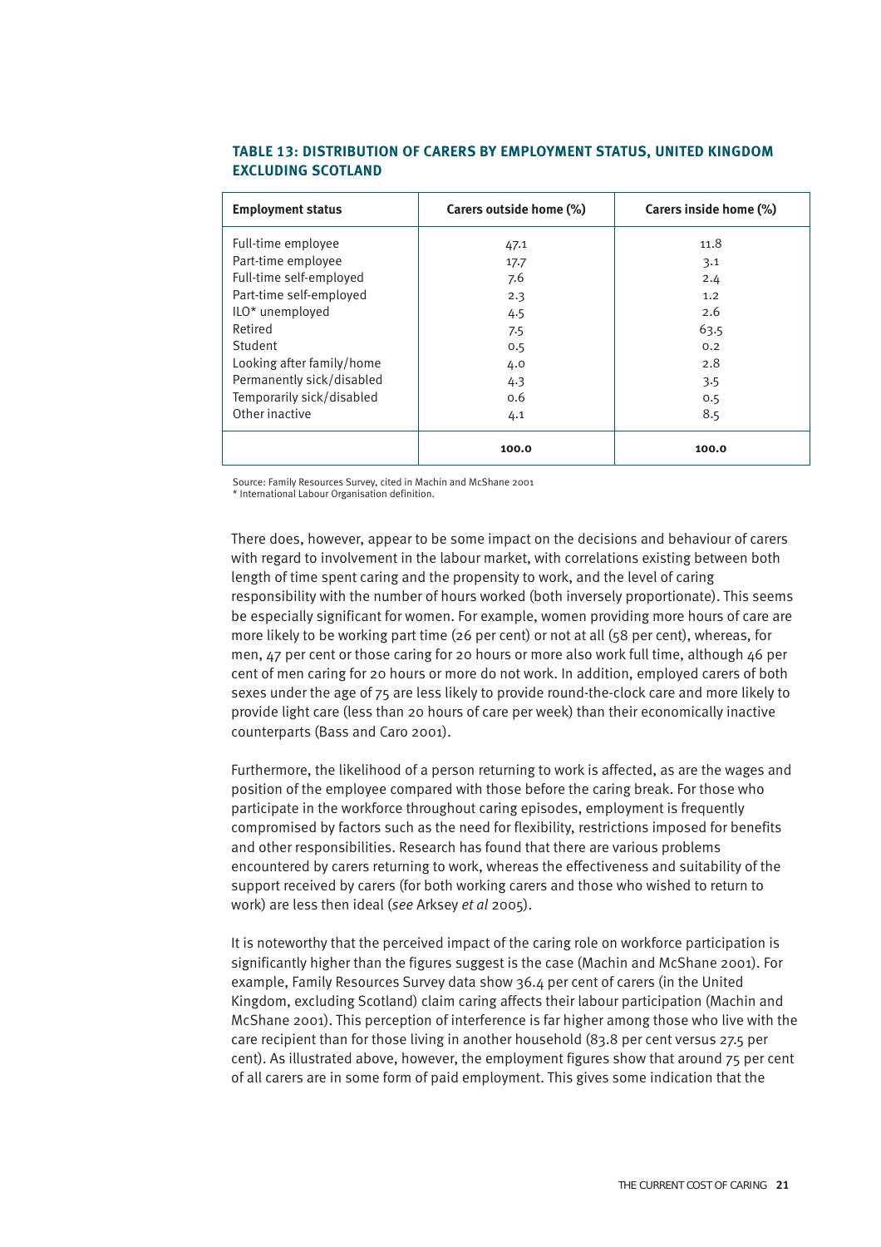| <b>Employment status</b>  | Carers outside home (%) | Carers inside home (%) |
|---------------------------|-------------------------|------------------------|
| Full-time employee        | 47.1                    | 11.8                   |
| Part-time employee        | 17.7                    | 3.1                    |
| Full-time self-employed   | 7.6                     | 2.4                    |
| Part-time self-employed   | 2.3                     | 1.2                    |
| ILO* unemployed           | 4.5                     | 2.6                    |
| Retired                   | 7.5                     | 63.5                   |
| Student                   | 0.5                     | 0.2                    |
| Looking after family/home | 4.0                     | 2.8                    |
| Permanently sick/disabled | 4.3                     | 3.5                    |
| Temporarily sick/disabled | 0.6                     | 0.5                    |
| Other inactive            | 4.1                     | 8.5                    |
|                           | 100.0                   | 100.0                  |

#### **TABLE 13: DISTRIBUTION OF CARERS BY EMPLOYMENT STATUS, UNITED KINGDOM EXCLUDING SCOTLAND**

Source: Family Resources Survey, cited in Machin and McShane 2001

\* International Labour Organisation definition.

There does, however, appear to be some impact on the decisions and behaviour of carers with regard to involvement in the labour market, with correlations existing between both length of time spent caring and the propensity to work, and the level of caring responsibility with the number of hours worked (both inversely proportionate). This seems be especially significant for women. For example, women providing more hours of care are more likely to be working part time (26 per cent) or not at all (58 per cent), whereas, for men, 47 per cent or those caring for 20 hours or more also work full time, although 46 per cent of men caring for 20 hours or more do not work. In addition, employed carers of both sexes under the age of 75 are less likely to provide round-the-clock care and more likely to provide light care (less than 20 hours of care per week) than their economically inactive counterparts (Bass and Caro 2001).

Furthermore, the likelihood of a person returning to work is affected, as are the wages and position of the employee compared with those before the caring break. For those who participate in the workforce throughout caring episodes, employment is frequently compromised by factors such as the need for flexibility, restrictions imposed for benefits and other responsibilities. Research has found that there are various problems encountered by carers returning to work, whereas the effectiveness and suitability of the support received by carers (for both working carers and those who wished to return to work) are less then ideal (*see* Arksey *et al* 2005).

It is noteworthy that the perceived impact of the caring role on workforce participation is significantly higher than the figures suggest is the case (Machin and McShane 2001). For example, Family Resources Survey data show 36.4 per cent of carers (in the United Kingdom, excluding Scotland) claim caring affects their labour participation (Machin and McShane 2001). This perception of interference is far higher among those who live with the care recipient than for those living in another household (83.8 per cent versus 27.5 per cent). As illustrated above, however, the employment figures show that around 75 per cent of all carers are in some form of paid employment. This gives some indication that the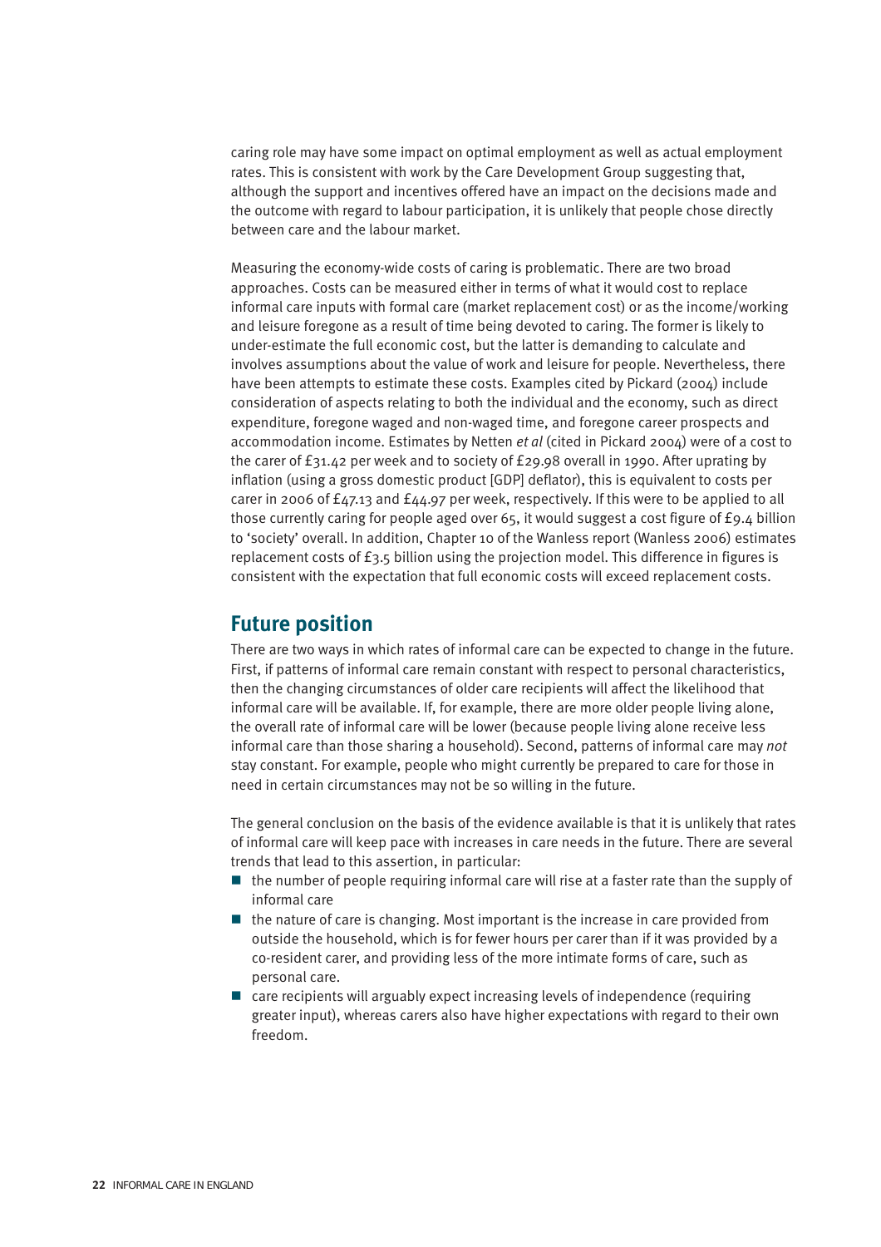caring role may have some impact on optimal employment as well as actual employment rates. This is consistent with work by the Care Development Group suggesting that, although the support and incentives offered have an impact on the decisions made and the outcome with regard to labour participation, it is unlikely that people chose directly between care and the labour market.

Measuring the economy-wide costs of caring is problematic. There are two broad approaches. Costs can be measured either in terms of what it would cost to replace informal care inputs with formal care (market replacement cost) or as the income/working and leisure foregone as a result of time being devoted to caring. The former is likely to under-estimate the full economic cost, but the latter is demanding to calculate and involves assumptions about the value of work and leisure for people. Nevertheless, there have been attempts to estimate these costs. Examples cited by Pickard (2004) include consideration of aspects relating to both the individual and the economy, such as direct expenditure, foregone waged and non-waged time, and foregone career prospects and accommodation income. Estimates by Netten *et al* (cited in Pickard 2004) were of a cost to the carer of £31.42 per week and to society of £29.98 overall in 1990. After uprating by inflation (using a gross domestic product [GDP] deflator), this is equivalent to costs per carer in 2006 of  $f_{47.13}$  and  $f_{44.97}$  per week, respectively. If this were to be applied to all those currently caring for people aged over 65, it would suggest a cost figure of £9.4 billion to 'society' overall. In addition, Chapter 10 of the Wanless report (Wanless 2006) estimates replacement costs of £3.5 billion using the projection model. This difference in figures is consistent with the expectation that full economic costs will exceed replacement costs.

### **Future position**

There are two ways in which rates of informal care can be expected to change in the future. First, if patterns of informal care remain constant with respect to personal characteristics, then the changing circumstances of older care recipients will affect the likelihood that informal care will be available. If, for example, there are more older people living alone, the overall rate of informal care will be lower (because people living alone receive less informal care than those sharing a household). Second, patterns of informal care may *not* stay constant. For example, people who might currently be prepared to care for those in need in certain circumstances may not be so willing in the future.

The general conclusion on the basis of the evidence available is that it is unlikely that rates of informal care will keep pace with increases in care needs in the future. There are several trends that lead to this assertion, in particular:

- $\blacksquare$  the number of people requiring informal care will rise at a faster rate than the supply of informal care
- $\blacksquare$  the nature of care is changing. Most important is the increase in care provided from outside the household, which is for fewer hours per carer than if it was provided by a co-resident carer, and providing less of the more intimate forms of care, such as personal care.
- care recipients will arguably expect increasing levels of independence (requiring greater input), whereas carers also have higher expectations with regard to their own freedom.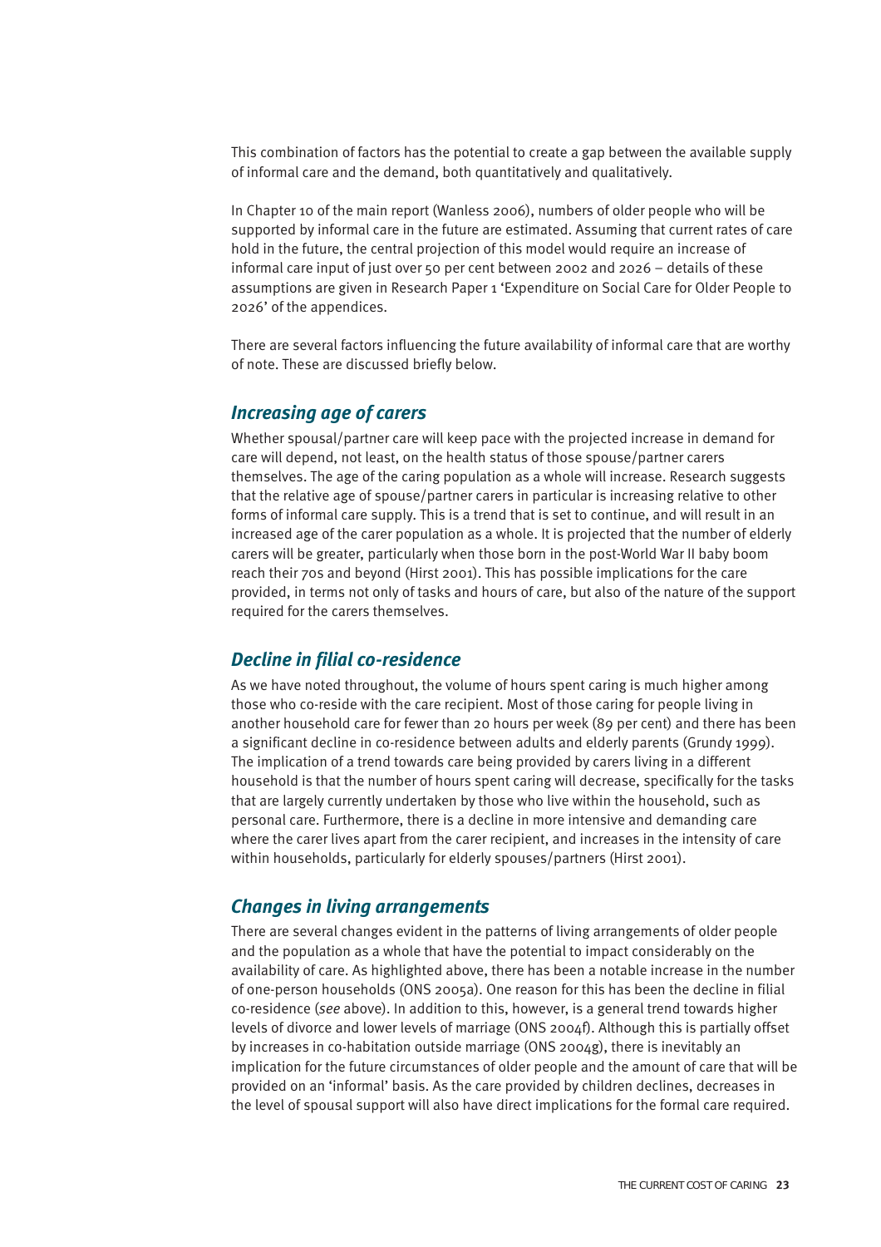This combination of factors has the potential to create a gap between the available supply of informal care and the demand, both quantitatively and qualitatively.

In Chapter 10 of the main report (Wanless 2006), numbers of older people who will be supported by informal care in the future are estimated. Assuming that current rates of care hold in the future, the central projection of this model would require an increase of informal care input of just over 50 per cent between 2002 and 2026 – details of these assumptions are given in Research Paper 1 'Expenditure on Social Care for Older People to 2026' of the appendices.

There are several factors influencing the future availability of informal care that are worthy of note. These are discussed briefly below.

#### *Increasing age of carers*

Whether spousal/partner care will keep pace with the projected increase in demand for care will depend, not least, on the health status of those spouse/partner carers themselves. The age of the caring population as a whole will increase. Research suggests that the relative age of spouse/partner carers in particular is increasing relative to other forms of informal care supply. This is a trend that is set to continue, and will result in an increased age of the carer population as a whole. It is projected that the number of elderly carers will be greater, particularly when those born in the post-World War II baby boom reach their 70s and beyond (Hirst 2001). This has possible implications for the care provided, in terms not only of tasks and hours of care, but also of the nature of the support required for the carers themselves.

#### *Decline in filial co-residence*

As we have noted throughout, the volume of hours spent caring is much higher among those who co-reside with the care recipient. Most of those caring for people living in another household care for fewer than 20 hours per week (89 per cent) and there has been a significant decline in co-residence between adults and elderly parents (Grundy 1999). The implication of a trend towards care being provided by carers living in a different household is that the number of hours spent caring will decrease, specifically for the tasks that are largely currently undertaken by those who live within the household, such as personal care. Furthermore, there is a decline in more intensive and demanding care where the carer lives apart from the carer recipient, and increases in the intensity of care within households, particularly for elderly spouses/partners (Hirst 2001).

#### *Changes in living arrangements*

There are several changes evident in the patterns of living arrangements of older people and the population as a whole that have the potential to impact considerably on the availability of care. As highlighted above, there has been a notable increase in the number of one-person households (ONS 2005a). One reason for this has been the decline in filial co-residence (*see* above). In addition to this, however, is a general trend towards higher levels of divorce and lower levels of marriage (ONS 2004f). Although this is partially offset by increases in co-habitation outside marriage (ONS 2004g), there is inevitably an implication for the future circumstances of older people and the amount of care that will be provided on an 'informal' basis. As the care provided by children declines, decreases in the level of spousal support will also have direct implications for the formal care required.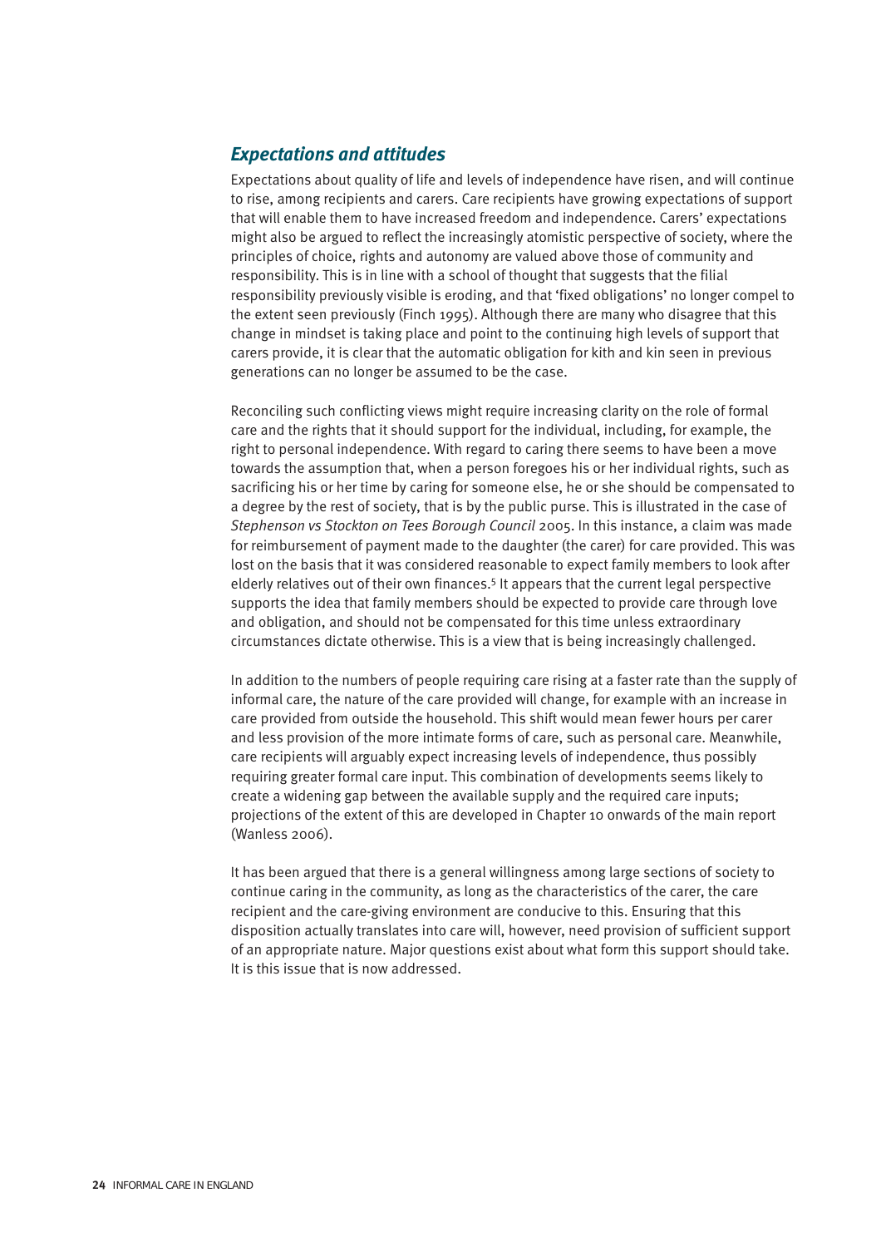#### *Expectations and attitudes*

Expectations about quality of life and levels of independence have risen, and will continue to rise, among recipients and carers. Care recipients have growing expectations of support that will enable them to have increased freedom and independence. Carers' expectations might also be argued to reflect the increasingly atomistic perspective of society, where the principles of choice, rights and autonomy are valued above those of community and responsibility. This is in line with a school of thought that suggests that the filial responsibility previously visible is eroding, and that 'fixed obligations' no longer compel to the extent seen previously (Finch 1995). Although there are many who disagree that this change in mindset is taking place and point to the continuing high levels of support that carers provide, it is clear that the automatic obligation for kith and kin seen in previous generations can no longer be assumed to be the case.

Reconciling such conflicting views might require increasing clarity on the role of formal care and the rights that it should support for the individual, including, for example, the right to personal independence. With regard to caring there seems to have been a move towards the assumption that, when a person foregoes his or her individual rights, such as sacrificing his or her time by caring for someone else, he or she should be compensated to a degree by the rest of society, that is by the public purse. This is illustrated in the case of *Stephenson vs Stockton on Tees Borough Council* 2005. In this instance, a claim was made for reimbursement of payment made to the daughter (the carer) for care provided. This was lost on the basis that it was considered reasonable to expect family members to look after elderly relatives out of their own finances.5 It appears that the current legal perspective supports the idea that family members should be expected to provide care through love and obligation, and should not be compensated for this time unless extraordinary circumstances dictate otherwise. This is a view that is being increasingly challenged.

In addition to the numbers of people requiring care rising at a faster rate than the supply of informal care, the nature of the care provided will change, for example with an increase in care provided from outside the household. This shift would mean fewer hours per carer and less provision of the more intimate forms of care, such as personal care. Meanwhile, care recipients will arguably expect increasing levels of independence, thus possibly requiring greater formal care input. This combination of developments seems likely to create a widening gap between the available supply and the required care inputs; projections of the extent of this are developed in Chapter 10 onwards of the main report (Wanless 2006).

It has been argued that there is a general willingness among large sections of society to continue caring in the community, as long as the characteristics of the carer, the care recipient and the care-giving environment are conducive to this. Ensuring that this disposition actually translates into care will, however, need provision of sufficient support of an appropriate nature. Major questions exist about what form this support should take. It is this issue that is now addressed.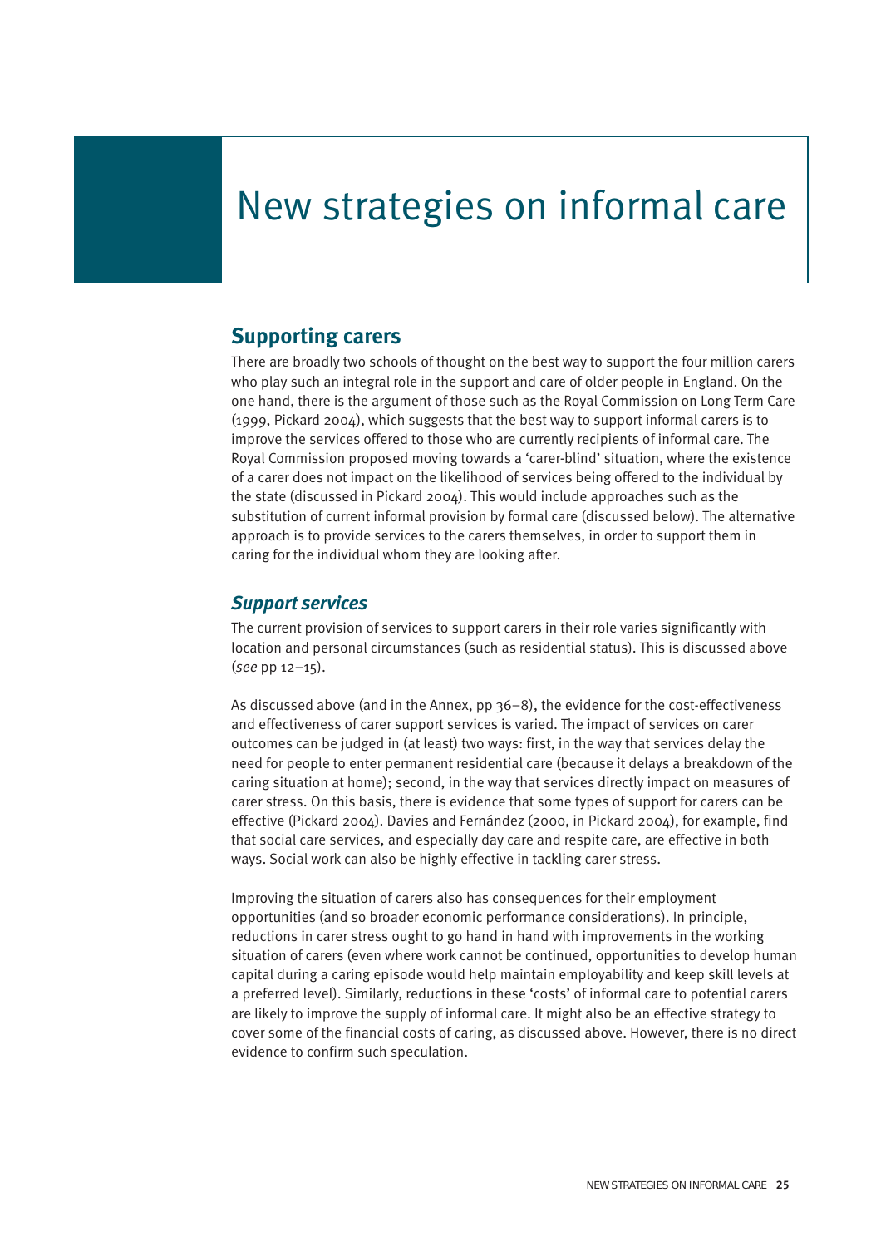# New strategies on informal care

### **Supporting carers**

There are broadly two schools of thought on the best way to support the four million carers who play such an integral role in the support and care of older people in England. On the one hand, there is the argument of those such as the Royal Commission on Long Term Care (1999, Pickard 2004), which suggests that the best way to support informal carers is to improve the services offered to those who are currently recipients of informal care. The Royal Commission proposed moving towards a 'carer-blind' situation, where the existence of a carer does not impact on the likelihood of services being offered to the individual by the state (discussed in Pickard 2004). This would include approaches such as the substitution of current informal provision by formal care (discussed below). The alternative approach is to provide services to the carers themselves, in order to support them in caring for the individual whom they are looking after.

#### *Support services*

The current provision of services to support carers in their role varies significantly with location and personal circumstances (such as residential status). This is discussed above (*see* pp 12–15).

As discussed above (and in the Annex, pp 36–8), the evidence for the cost-effectiveness and effectiveness of carer support services is varied. The impact of services on carer outcomes can be judged in (at least) two ways: first, in the way that services delay the need for people to enter permanent residential care (because it delays a breakdown of the caring situation at home); second, in the way that services directly impact on measures of carer stress. On this basis, there is evidence that some types of support for carers can be effective (Pickard 2004). Davies and Fernández (2000, in Pickard 2004), for example, find that social care services, and especially day care and respite care, are effective in both ways. Social work can also be highly effective in tackling carer stress.

Improving the situation of carers also has consequences for their employment opportunities (and so broader economic performance considerations). In principle, reductions in carer stress ought to go hand in hand with improvements in the working situation of carers (even where work cannot be continued, opportunities to develop human capital during a caring episode would help maintain employability and keep skill levels at a preferred level). Similarly, reductions in these 'costs' of informal care to potential carers are likely to improve the supply of informal care. It might also be an effective strategy to cover some of the financial costs of caring, as discussed above. However, there is no direct evidence to confirm such speculation.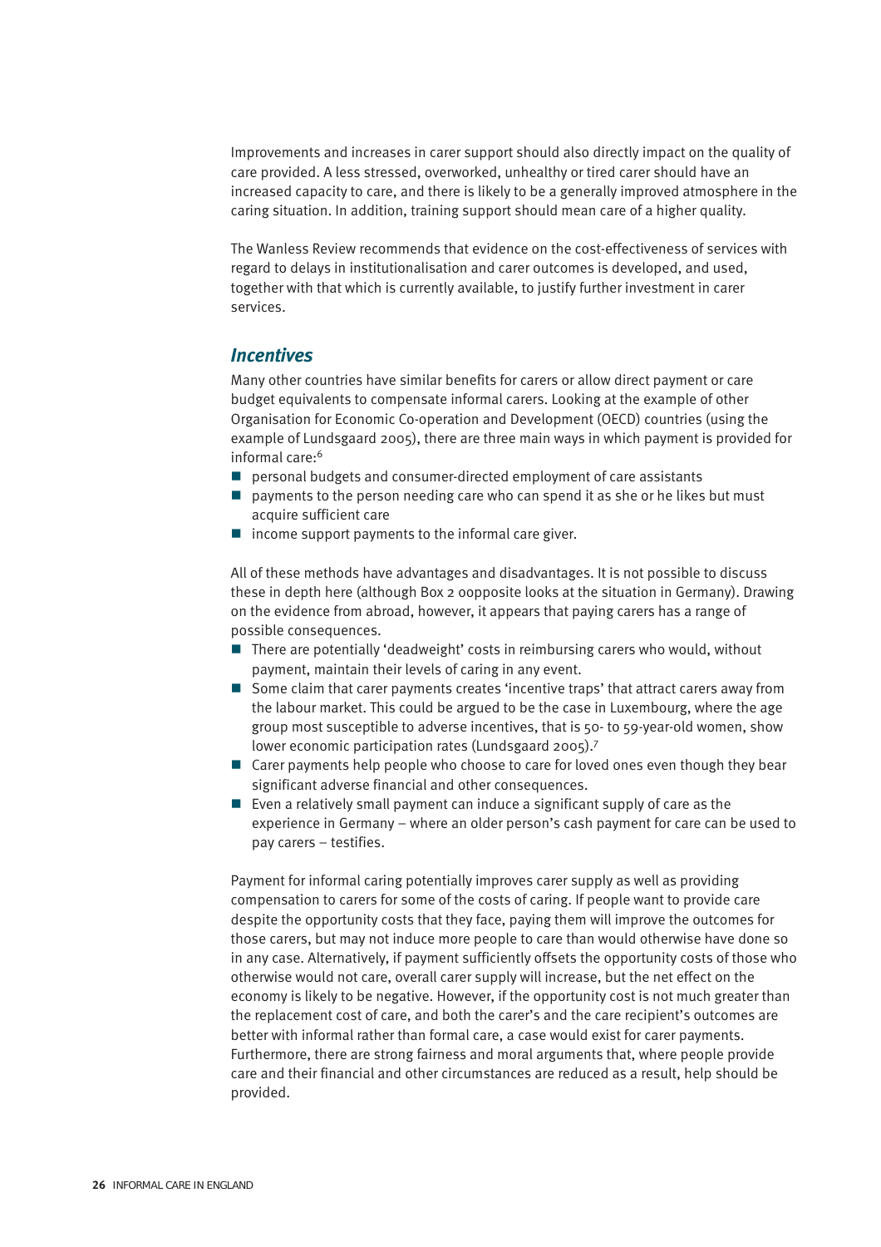Improvements and increases in carer support should also directly impact on the quality of care provided. A less stressed, overworked, unhealthy or tired carer should have an increased capacity to care, and there is likely to be a generally improved atmosphere in the caring situation. In addition, training support should mean care of a higher quality.

The Wanless Review recommends that evidence on the cost-effectiveness of services with regard to delays in institutionalisation and carer outcomes is developed, and used, together with that which is currently available, to justify further investment in carer services.

#### *Incentives*

Many other countries have similar benefits for carers or allow direct payment or care budget equivalents to compensate informal carers. Looking at the example of other Organisation for Economic Co-operation and Development (OECD) countries (using the example of Lundsgaard 2005), there are three main ways in which payment is provided for informal care:<sup>6</sup>

- **P** personal budgets and consumer-directed employment of care assistants
- **P** payments to the person needing care who can spend it as she or he likes but must acquire sufficient care
- $\blacksquare$  income support payments to the informal care giver.

All of these methods have advantages and disadvantages. It is not possible to discuss these in depth here (although Box 2 oopposite looks at the situation in Germany). Drawing on the evidence from abroad, however, it appears that paying carers has a range of possible consequences.

- There are potentially 'deadweight' costs in reimbursing carers who would, without payment, maintain their levels of caring in any event.
- Some claim that carer payments creates 'incentive traps' that attract carers away from the labour market. This could be argued to be the case in Luxembourg, where the age group most susceptible to adverse incentives, that is 50- to 59-year-old women, show lower economic participation rates (Lundsgaard 2005).7
- Carer payments help people who choose to care for loved ones even though they bear significant adverse financial and other consequences.
- $\blacksquare$  Even a relatively small payment can induce a significant supply of care as the experience in Germany – where an older person's cash payment for care can be used to pay carers – testifies.

Payment for informal caring potentially improves carer supply as well as providing compensation to carers for some of the costs of caring. If people want to provide care despite the opportunity costs that they face, paying them will improve the outcomes for those carers, but may not induce more people to care than would otherwise have done so in any case. Alternatively, if payment sufficiently offsets the opportunity costs of those who otherwise would not care, overall carer supply will increase, but the net effect on the economy is likely to be negative. However, if the opportunity cost is not much greater than the replacement cost of care, and both the carer's and the care recipient's outcomes are better with informal rather than formal care, a case would exist for carer payments. Furthermore, there are strong fairness and moral arguments that, where people provide care and their financial and other circumstances are reduced as a result, help should be provided.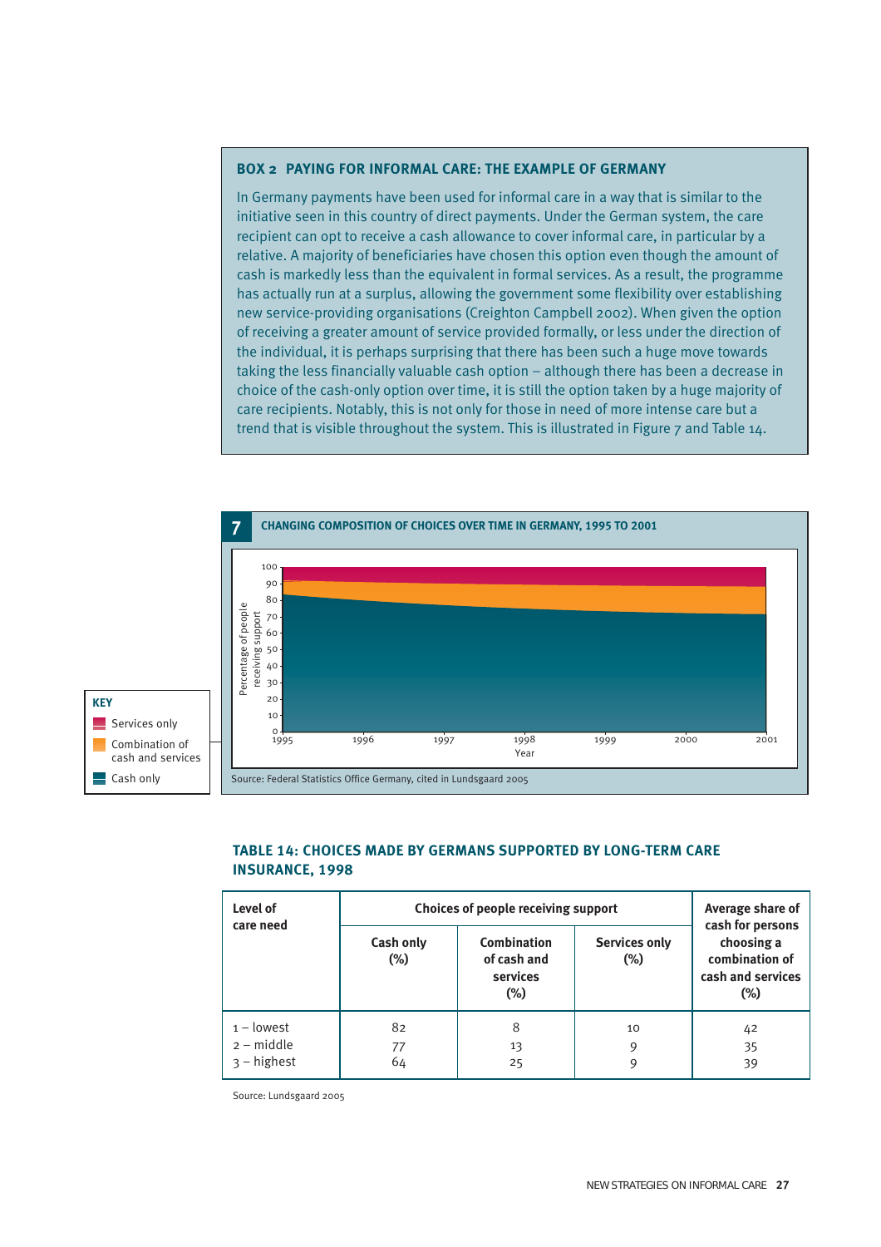#### **BOX 2 PAYING FOR INFORMAL CARE: THE EXAMPLE OF GERMANY**

In Germany payments have been used for informal care in a way that is similar to the initiative seen in this country of direct payments. Under the German system, the care recipient can opt to receive a cash allowance to cover informal care, in particular by a relative. A majority of beneficiaries have chosen this option even though the amount of cash is markedly less than the equivalent in formal services. As a result, the programme has actually run at a surplus, allowing the government some flexibility over establishing new service-providing organisations (Creighton Campbell 2002). When given the option of receiving a greater amount of service provided formally, or less under the direction of the individual, it is perhaps surprising that there has been such a huge move towards taking the less financially valuable cash option – although there has been a decrease in choice of the cash-only option over time, it is still the option taken by a huge majority of care recipients. Notably, this is not only for those in need of more intense care but a trend that is visible throughout the system. This is illustrated in Figure 7 and Table 14.



#### **TABLE 14: CHOICES MADE BY GERMANS SUPPORTED BY LONG-TERM CARE INSURANCE, 1998**

| Level of<br>care need                         | Choices of people receiving support | Average share of<br>cash for persons             |                                |                                                             |
|-----------------------------------------------|-------------------------------------|--------------------------------------------------|--------------------------------|-------------------------------------------------------------|
|                                               | Cash only<br>$(\%)$                 | Combination<br>of cash and<br>services<br>$(\%)$ | <b>Services only</b><br>$(\%)$ | choosing a<br>combination of<br>cash and services<br>$(\%)$ |
| $1 -$ lowest<br>$2 - middle$<br>$3 - highest$ | 82<br>77<br>64                      | 8<br>13<br>25                                    | 10<br>9<br>9                   | 42<br>35<br>39                                              |

Source: Lundsgaard 2005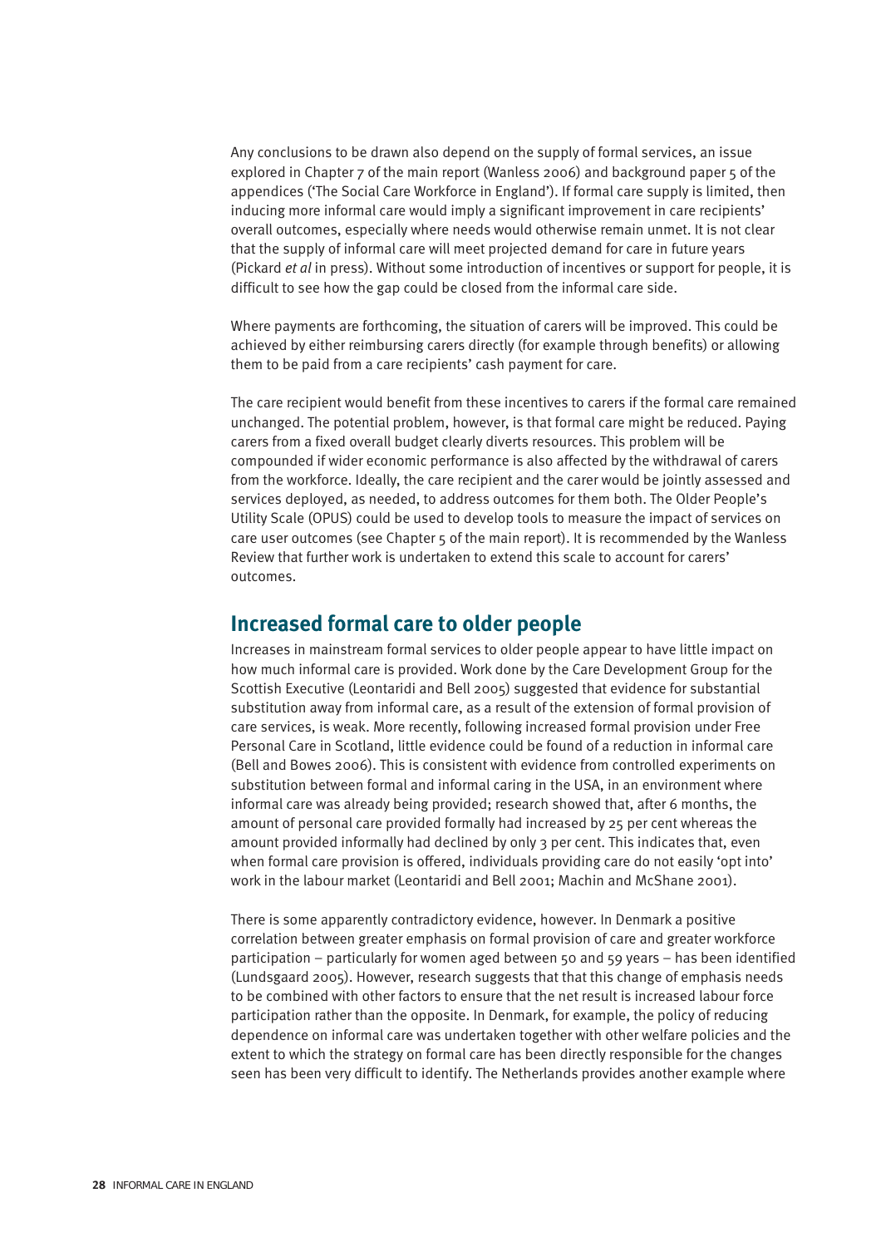Any conclusions to be drawn also depend on the supply of formal services, an issue explored in Chapter 7 of the main report (Wanless 2006) and background paper 5 of the appendices ('The Social Care Workforce in England'). If formal care supply is limited, then inducing more informal care would imply a significant improvement in care recipients' overall outcomes, especially where needs would otherwise remain unmet. It is not clear that the supply of informal care will meet projected demand for care in future years (Pickard *et al* in press). Without some introduction of incentives or support for people, it is difficult to see how the gap could be closed from the informal care side.

Where payments are forthcoming, the situation of carers will be improved. This could be achieved by either reimbursing carers directly (for example through benefits) or allowing them to be paid from a care recipients' cash payment for care.

The care recipient would benefit from these incentives to carers if the formal care remained unchanged. The potential problem, however, is that formal care might be reduced. Paying carers from a fixed overall budget clearly diverts resources. This problem will be compounded if wider economic performance is also affected by the withdrawal of carers from the workforce. Ideally, the care recipient and the carer would be jointly assessed and services deployed, as needed, to address outcomes for them both. The Older People's Utility Scale (OPUS) could be used to develop tools to measure the impact of services on care user outcomes (see Chapter 5 of the main report). It is recommended by the Wanless Review that further work is undertaken to extend this scale to account for carers' outcomes.

### **Increased formal care to older people**

Increases in mainstream formal services to older people appear to have little impact on how much informal care is provided. Work done by the Care Development Group for the Scottish Executive (Leontaridi and Bell 2005) suggested that evidence for substantial substitution away from informal care, as a result of the extension of formal provision of care services, is weak. More recently, following increased formal provision under Free Personal Care in Scotland, little evidence could be found of a reduction in informal care (Bell and Bowes 2006). This is consistent with evidence from controlled experiments on substitution between formal and informal caring in the USA, in an environment where informal care was already being provided; research showed that, after 6 months, the amount of personal care provided formally had increased by 25 per cent whereas the amount provided informally had declined by only 3 per cent. This indicates that, even when formal care provision is offered, individuals providing care do not easily 'opt into' work in the labour market (Leontaridi and Bell 2001; Machin and McShane 2001).

There is some apparently contradictory evidence, however. In Denmark a positive correlation between greater emphasis on formal provision of care and greater workforce participation – particularly for women aged between 50 and 59 years – has been identified (Lundsgaard 2005). However, research suggests that that this change of emphasis needs to be combined with other factors to ensure that the net result is increased labour force participation rather than the opposite. In Denmark, for example, the policy of reducing dependence on informal care was undertaken together with other welfare policies and the extent to which the strategy on formal care has been directly responsible for the changes seen has been very difficult to identify. The Netherlands provides another example where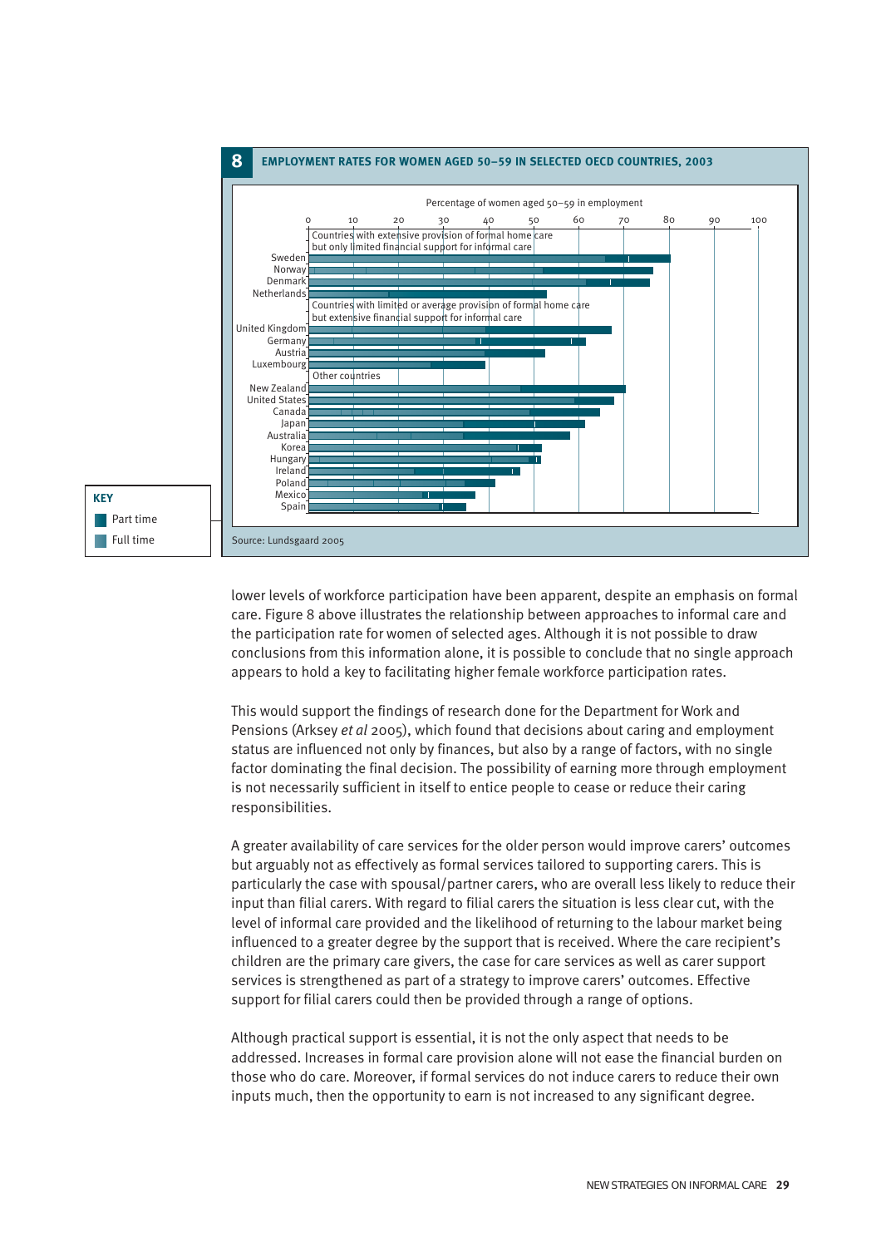

lower levels of workforce participation have been apparent, despite an emphasis on formal care. Figure 8 above illustrates the relationship between approaches to informal care and the participation rate for women of selected ages. Although it is not possible to draw conclusions from this information alone, it is possible to conclude that no single approach appears to hold a key to facilitating higher female workforce participation rates.

This would support the findings of research done for the Department for Work and Pensions (Arksey *et al* 2005), which found that decisions about caring and employment status are influenced not only by finances, but also by a range of factors, with no single factor dominating the final decision. The possibility of earning more through employment is not necessarily sufficient in itself to entice people to cease or reduce their caring responsibilities.

A greater availability of care services for the older person would improve carers' outcomes but arguably not as effectively as formal services tailored to supporting carers. This is particularly the case with spousal/partner carers, who are overall less likely to reduce their input than filial carers. With regard to filial carers the situation is less clear cut, with the level of informal care provided and the likelihood of returning to the labour market being influenced to a greater degree by the support that is received. Where the care recipient's children are the primary care givers, the case for care services as well as carer support services is strengthened as part of a strategy to improve carers' outcomes. Effective support for filial carers could then be provided through a range of options.

Although practical support is essential, it is not the only aspect that needs to be addressed. Increases in formal care provision alone will not ease the financial burden on those who do care. Moreover, if formal services do not induce carers to reduce their own inputs much, then the opportunity to earn is not increased to any significant degree.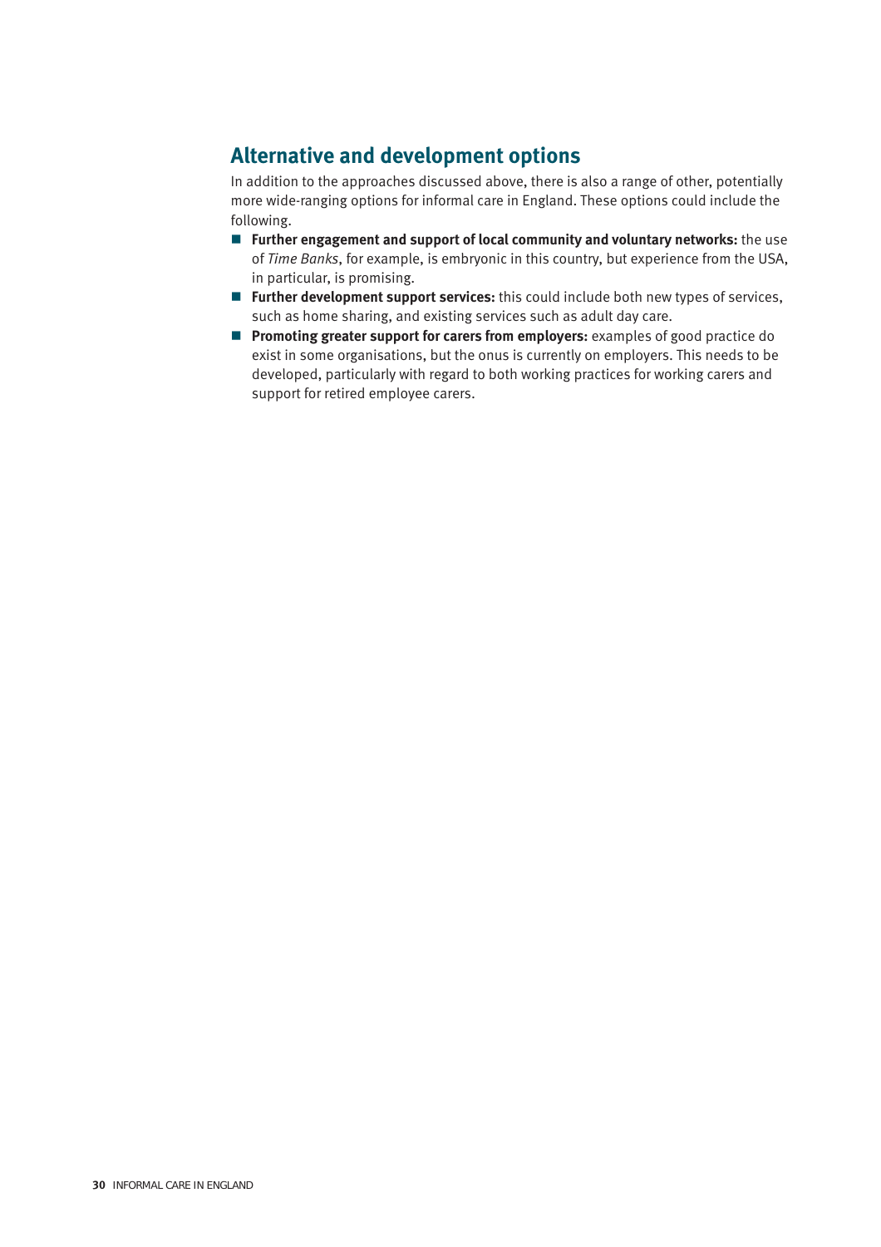# **Alternative and development options**

In addition to the approaches discussed above, there is also a range of other, potentially more wide-ranging options for informal care in England. These options could include the following.

- **Further engagement and support of local community and voluntary networks:** the use of *Time Banks*, for example, is embryonic in this country, but experience from the USA, in particular, is promising.
- **Further development support services:** this could include both new types of services, such as home sharing, and existing services such as adult day care.
- **Promoting greater support for carers from employers:** examples of good practice do exist in some organisations, but the onus is currently on employers. This needs to be developed, particularly with regard to both working practices for working carers and support for retired employee carers.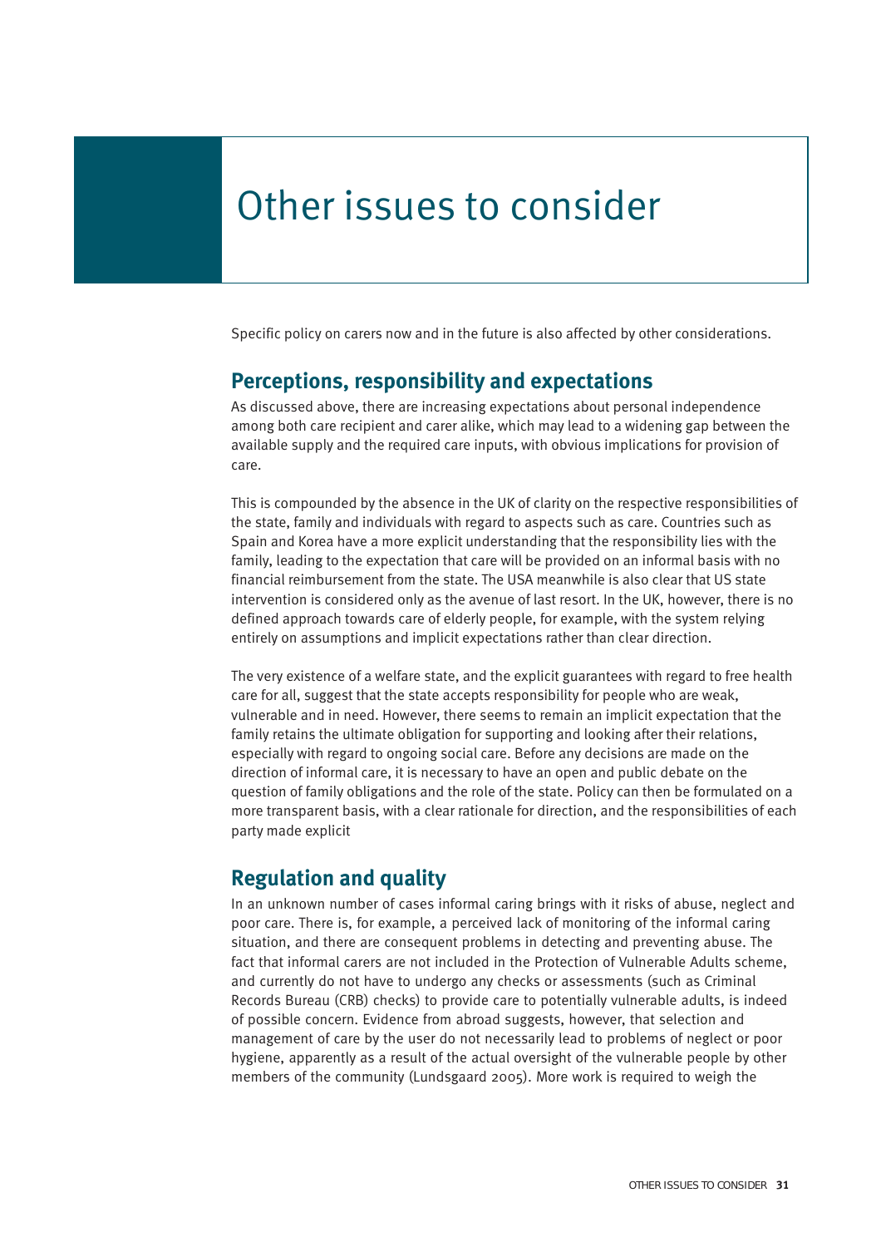# Other issues to consider

Specific policy on carers now and in the future is also affected by other considerations.

### **Perceptions, responsibility and expectations**

As discussed above, there are increasing expectations about personal independence among both care recipient and carer alike, which may lead to a widening gap between the available supply and the required care inputs, with obvious implications for provision of care.

This is compounded by the absence in the UK of clarity on the respective responsibilities of the state, family and individuals with regard to aspects such as care. Countries such as Spain and Korea have a more explicit understanding that the responsibility lies with the family, leading to the expectation that care will be provided on an informal basis with no financial reimbursement from the state. The USA meanwhile is also clear that US state intervention is considered only as the avenue of last resort. In the UK, however, there is no defined approach towards care of elderly people, for example, with the system relying entirely on assumptions and implicit expectations rather than clear direction.

The very existence of a welfare state, and the explicit guarantees with regard to free health care for all, suggest that the state accepts responsibility for people who are weak, vulnerable and in need. However, there seems to remain an implicit expectation that the family retains the ultimate obligation for supporting and looking after their relations, especially with regard to ongoing social care. Before any decisions are made on the direction of informal care, it is necessary to have an open and public debate on the question of family obligations and the role of the state. Policy can then be formulated on a more transparent basis, with a clear rationale for direction, and the responsibilities of each party made explicit

### **Regulation and quality**

In an unknown number of cases informal caring brings with it risks of abuse, neglect and poor care. There is, for example, a perceived lack of monitoring of the informal caring situation, and there are consequent problems in detecting and preventing abuse. The fact that informal carers are not included in the Protection of Vulnerable Adults scheme, and currently do not have to undergo any checks or assessments (such as Criminal Records Bureau (CRB) checks) to provide care to potentially vulnerable adults, is indeed of possible concern. Evidence from abroad suggests, however, that selection and management of care by the user do not necessarily lead to problems of neglect or poor hygiene, apparently as a result of the actual oversight of the vulnerable people by other members of the community (Lundsgaard 2005). More work is required to weigh the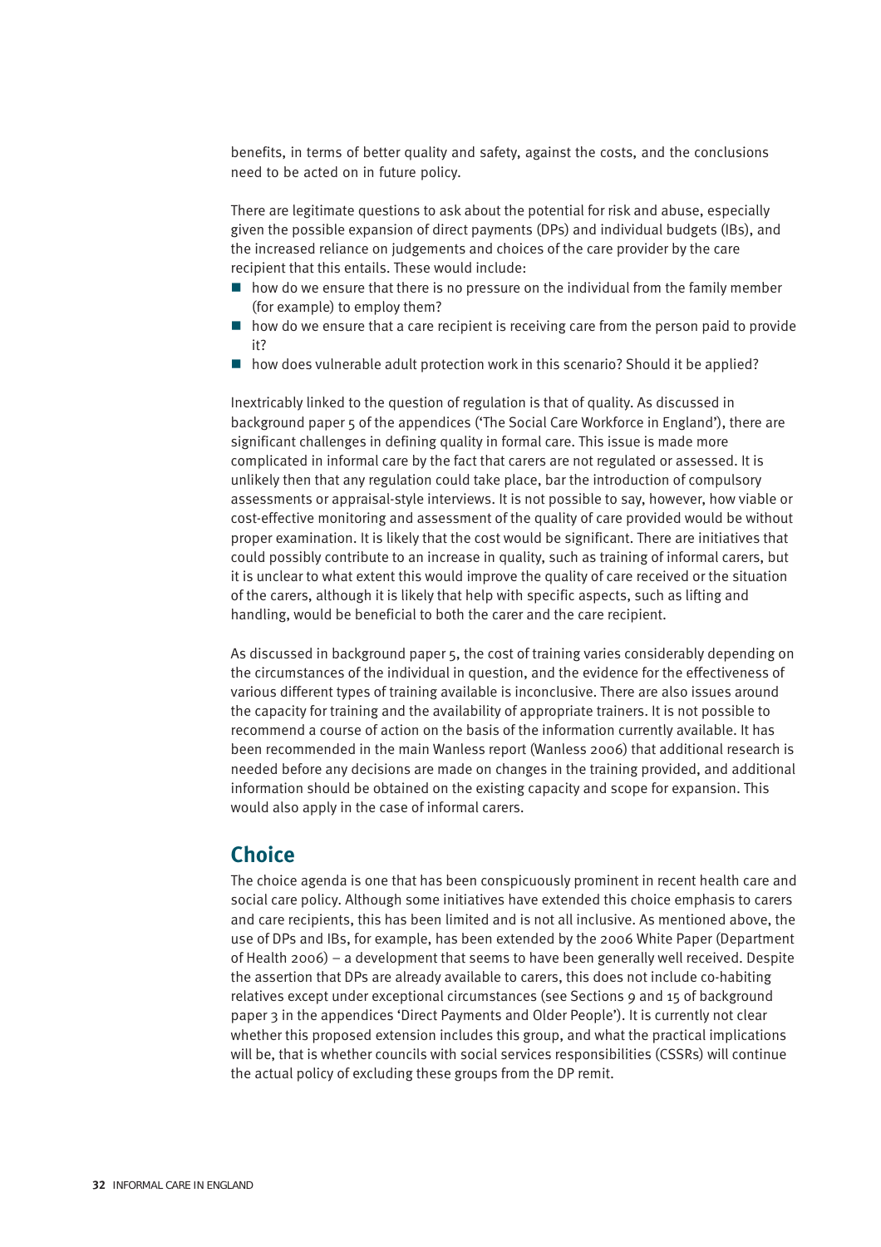benefits, in terms of better quality and safety, against the costs, and the conclusions need to be acted on in future policy.

There are legitimate questions to ask about the potential for risk and abuse, especially given the possible expansion of direct payments (DPs) and individual budgets (IBs), and the increased reliance on judgements and choices of the care provider by the care recipient that this entails. These would include:

- $\blacksquare$  how do we ensure that there is no pressure on the individual from the family member (for example) to employ them?
- $\blacksquare$  how do we ensure that a care recipient is receiving care from the person paid to provide it?
- how does vulnerable adult protection work in this scenario? Should it be applied?

Inextricably linked to the question of regulation is that of quality. As discussed in background paper 5 of the appendices ('The Social Care Workforce in England'), there are significant challenges in defining quality in formal care. This issue is made more complicated in informal care by the fact that carers are not regulated or assessed. It is unlikely then that any regulation could take place, bar the introduction of compulsory assessments or appraisal-style interviews. It is not possible to say, however, how viable or cost-effective monitoring and assessment of the quality of care provided would be without proper examination. It is likely that the cost would be significant. There are initiatives that could possibly contribute to an increase in quality, such as training of informal carers, but it is unclear to what extent this would improve the quality of care received or the situation of the carers, although it is likely that help with specific aspects, such as lifting and handling, would be beneficial to both the carer and the care recipient.

As discussed in background paper 5, the cost of training varies considerably depending on the circumstances of the individual in question, and the evidence for the effectiveness of various different types of training available is inconclusive. There are also issues around the capacity for training and the availability of appropriate trainers. It is not possible to recommend a course of action on the basis of the information currently available. It has been recommended in the main Wanless report (Wanless 2006) that additional research is needed before any decisions are made on changes in the training provided, and additional information should be obtained on the existing capacity and scope for expansion. This would also apply in the case of informal carers.

### **Choice**

The choice agenda is one that has been conspicuously prominent in recent health care and social care policy. Although some initiatives have extended this choice emphasis to carers and care recipients, this has been limited and is not all inclusive. As mentioned above, the use of DPs and IBs, for example, has been extended by the 2006 White Paper (Department of Health 2006) – a development that seems to have been generally well received. Despite the assertion that DPs are already available to carers, this does not include co-habiting relatives except under exceptional circumstances (see Sections 9 and 15 of background paper 3 in the appendices 'Direct Payments and Older People'). It is currently not clear whether this proposed extension includes this group, and what the practical implications will be, that is whether councils with social services responsibilities (CSSRs) will continue the actual policy of excluding these groups from the DP remit.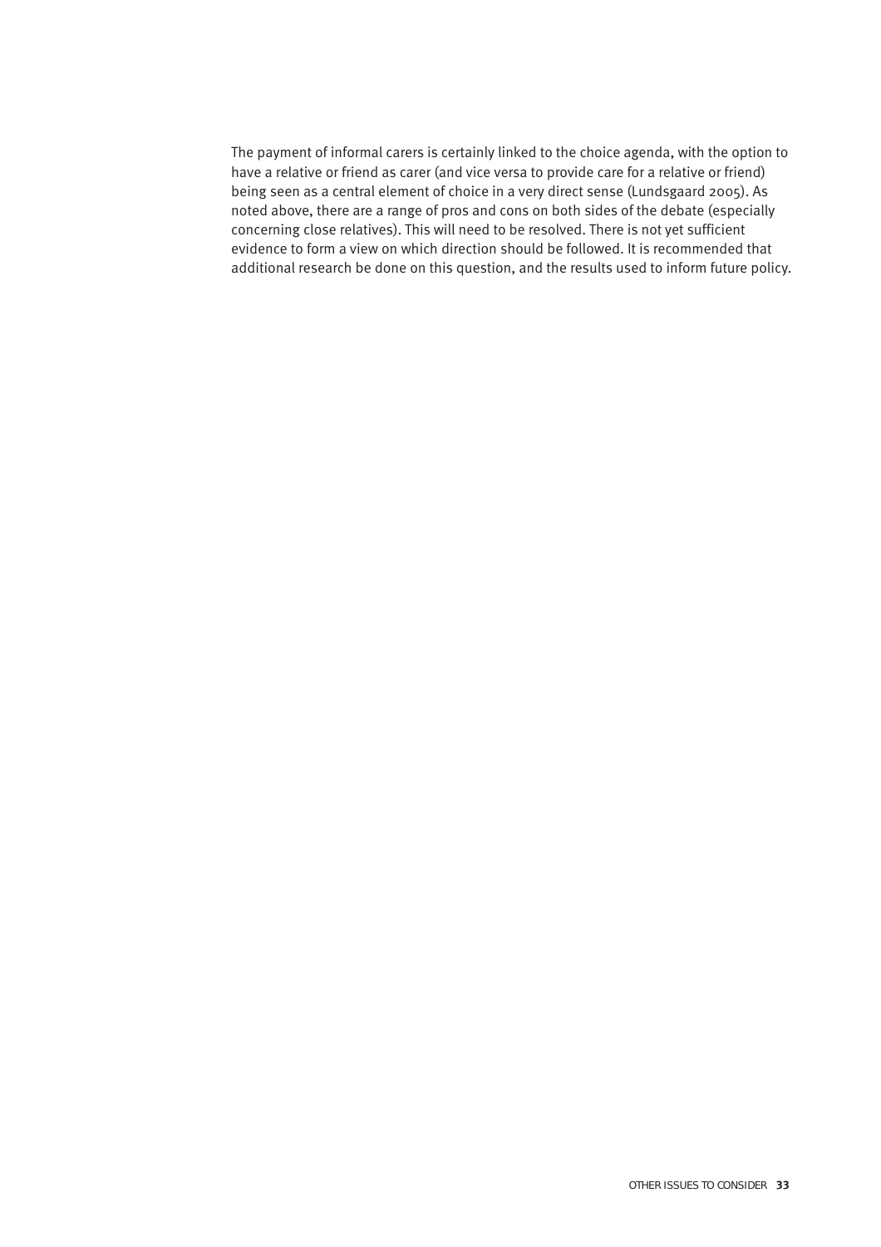The payment of informal carers is certainly linked to the choice agenda, with the option to have a relative or friend as carer (and vice versa to provide care for a relative or friend) being seen as a central element of choice in a very direct sense (Lundsgaard 2005). As noted above, there are a range of pros and cons on both sides of the debate (especially concerning close relatives). This will need to be resolved. There is not yet sufficient evidence to form a view on which direction should be followed. It is recommended that additional research be done on this question, and the results used to inform future policy.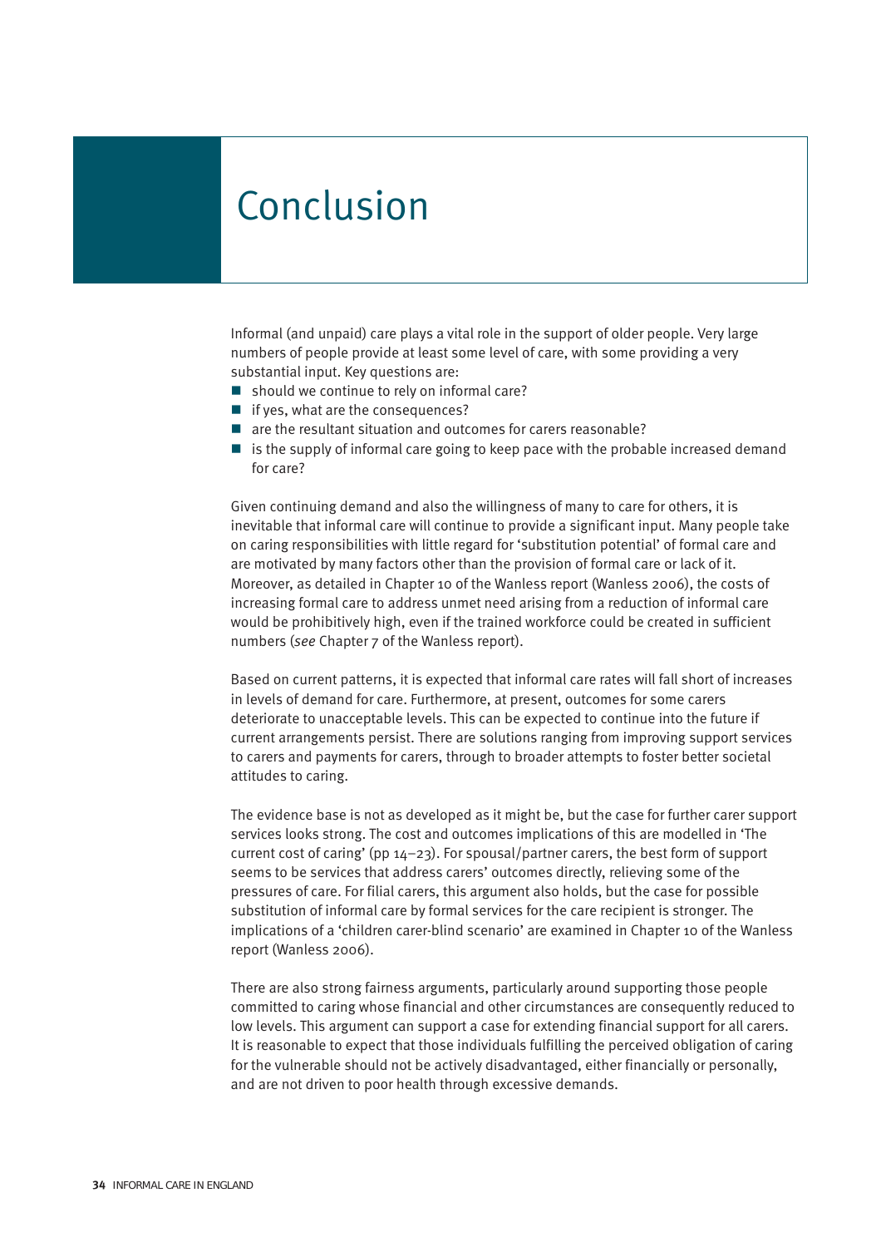# Conclusion

Informal (and unpaid) care plays a vital role in the support of older people. Very large numbers of people provide at least some level of care, with some providing a very substantial input. Key questions are:

- $\blacksquare$  should we continue to rely on informal care?
- $\blacksquare$  if yes, what are the consequences?
- are the resultant situation and outcomes for carers reasonable?
- $\blacksquare$  is the supply of informal care going to keep pace with the probable increased demand for care?

Given continuing demand and also the willingness of many to care for others, it is inevitable that informal care will continue to provide a significant input. Many people take on caring responsibilities with little regard for 'substitution potential' of formal care and are motivated by many factors other than the provision of formal care or lack of it. Moreover, as detailed in Chapter 10 of the Wanless report (Wanless 2006), the costs of increasing formal care to address unmet need arising from a reduction of informal care would be prohibitively high, even if the trained workforce could be created in sufficient numbers (*see* Chapter 7 of the Wanless report).

Based on current patterns, it is expected that informal care rates will fall short of increases in levels of demand for care. Furthermore, at present, outcomes for some carers deteriorate to unacceptable levels. This can be expected to continue into the future if current arrangements persist. There are solutions ranging from improving support services to carers and payments for carers, through to broader attempts to foster better societal attitudes to caring.

The evidence base is not as developed as it might be, but the case for further carer support services looks strong. The cost and outcomes implications of this are modelled in 'The current cost of caring' (pp 14–23). For spousal/partner carers, the best form of support seems to be services that address carers' outcomes directly, relieving some of the pressures of care. For filial carers, this argument also holds, but the case for possible substitution of informal care by formal services for the care recipient is stronger. The implications of a 'children carer-blind scenario' are examined in Chapter 10 of the Wanless report (Wanless 2006).

There are also strong fairness arguments, particularly around supporting those people committed to caring whose financial and other circumstances are consequently reduced to low levels. This argument can support a case for extending financial support for all carers. It is reasonable to expect that those individuals fulfilling the perceived obligation of caring for the vulnerable should not be actively disadvantaged, either financially or personally, and are not driven to poor health through excessive demands.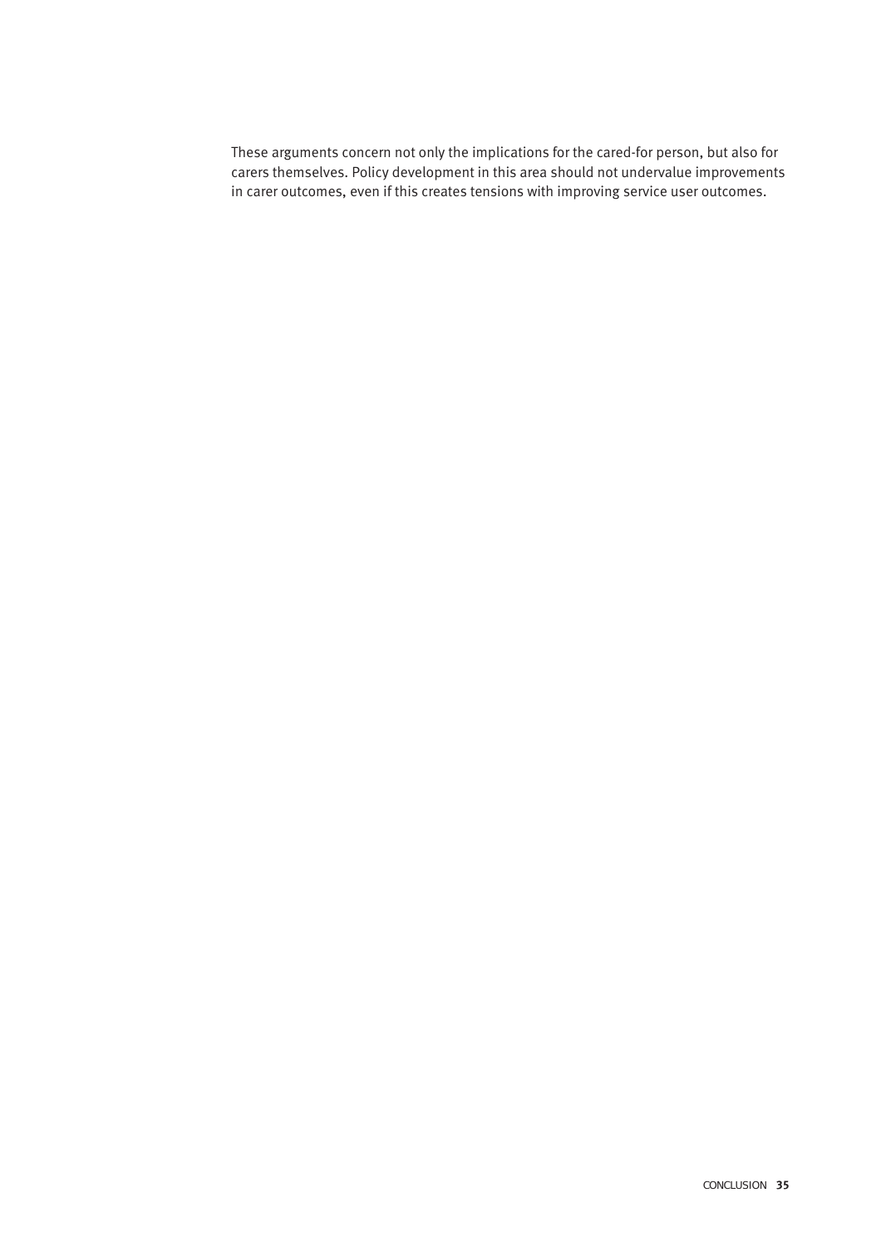These arguments concern not only the implications for the cared-for person, but also for carers themselves. Policy development in this area should not undervalue improvements in carer outcomes, even if this creates tensions with improving service user outcomes.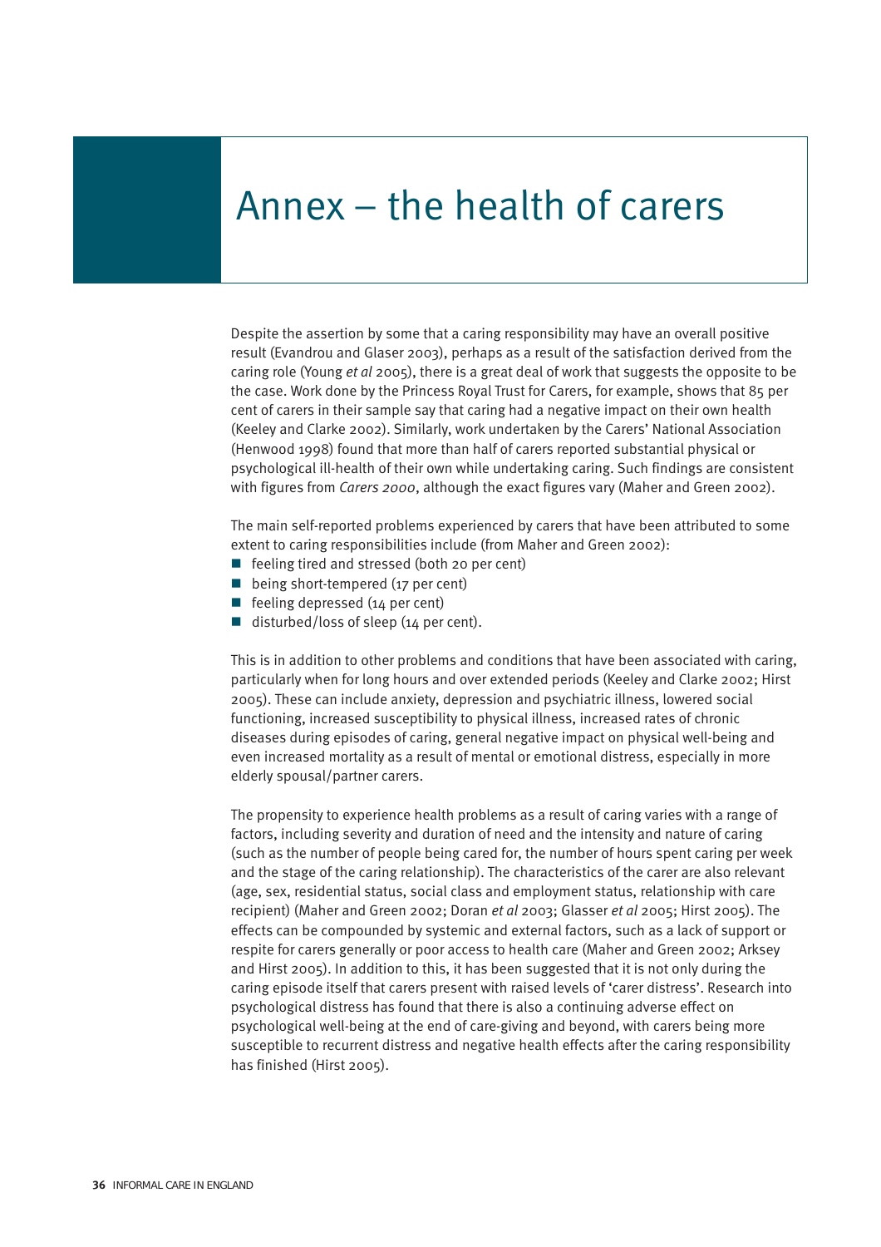# Annex – the health of carers

Despite the assertion by some that a caring responsibility may have an overall positive result (Evandrou and Glaser 2003), perhaps as a result of the satisfaction derived from the caring role (Young *et al* 2005), there is a great deal of work that suggests the opposite to be the case. Work done by the Princess Royal Trust for Carers, for example, shows that 85 per cent of carers in their sample say that caring had a negative impact on their own health (Keeley and Clarke 2002). Similarly, work undertaken by the Carers' National Association (Henwood 1998) found that more than half of carers reported substantial physical or psychological ill-health of their own while undertaking caring. Such findings are consistent with figures from *Carers 2000*, although the exact figures vary (Maher and Green 2002).

The main self-reported problems experienced by carers that have been attributed to some extent to caring responsibilities include (from Maher and Green 2002):

- $\blacksquare$  feeling tired and stressed (both 20 per cent)
- being short-tempered (17 per cent)
- Figure feeling depressed  $(14$  per cent)
- disturbed/loss of sleep  $(14$  per cent).

This is in addition to other problems and conditions that have been associated with caring, particularly when for long hours and over extended periods (Keeley and Clarke 2002; Hirst 2005). These can include anxiety, depression and psychiatric illness, lowered social functioning, increased susceptibility to physical illness, increased rates of chronic diseases during episodes of caring, general negative impact on physical well-being and even increased mortality as a result of mental or emotional distress, especially in more elderly spousal/partner carers.

The propensity to experience health problems as a result of caring varies with a range of factors, including severity and duration of need and the intensity and nature of caring (such as the number of people being cared for, the number of hours spent caring per week and the stage of the caring relationship). The characteristics of the carer are also relevant (age, sex, residential status, social class and employment status, relationship with care recipient) (Maher and Green 2002; Doran *et al* 2003; Glasser *et al* 2005; Hirst 2005). The effects can be compounded by systemic and external factors, such as a lack of support or respite for carers generally or poor access to health care (Maher and Green 2002; Arksey and Hirst 2005). In addition to this, it has been suggested that it is not only during the caring episode itself that carers present with raised levels of 'carer distress'. Research into psychological distress has found that there is also a continuing adverse effect on psychological well-being at the end of care-giving and beyond, with carers being more susceptible to recurrent distress and negative health effects after the caring responsibility has finished (Hirst 2005).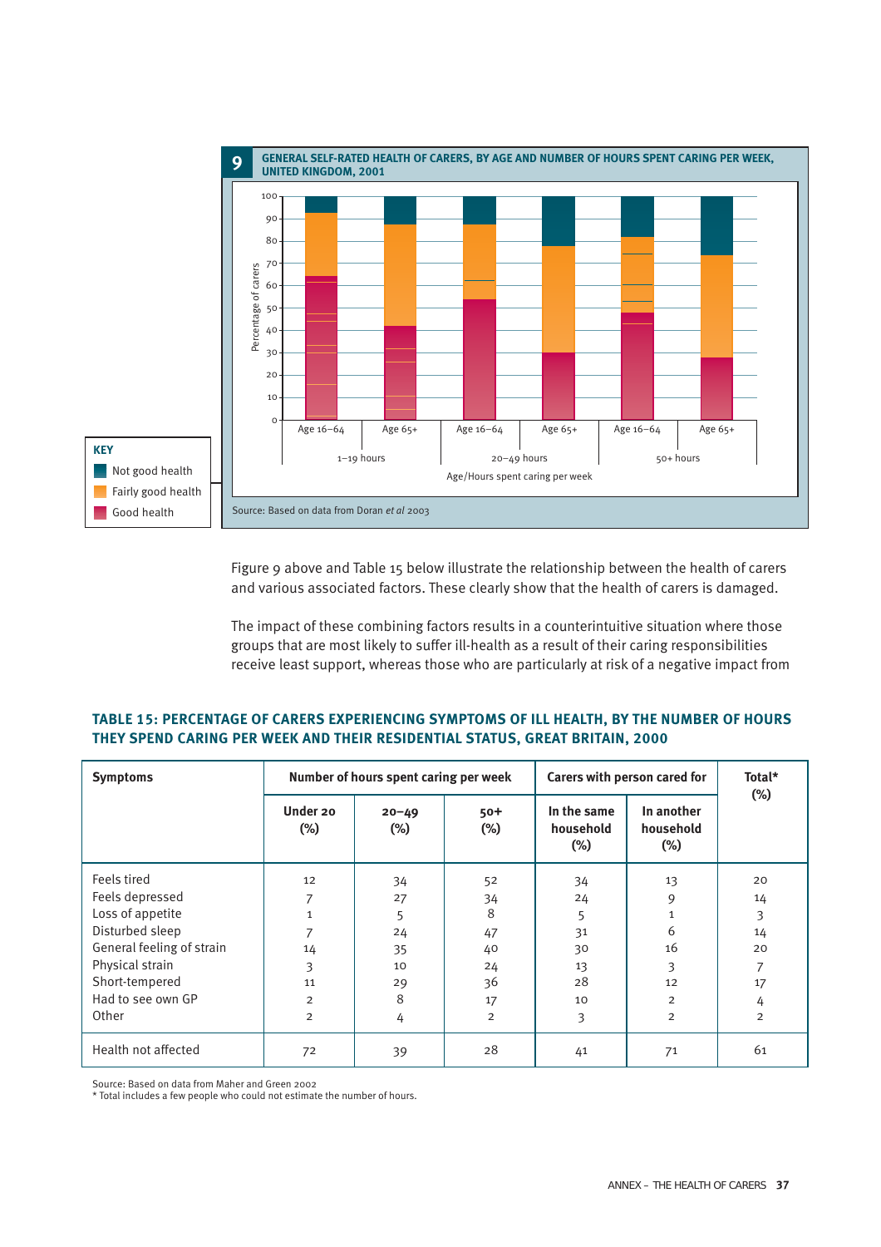

Figure 9 above and Table 15 below illustrate the relationship between the health of carers and various associated factors. These clearly show that the health of carers is damaged.

The impact of these combining factors results in a counterintuitive situation where those groups that are most likely to suffer ill-health as a result of their caring responsibilities receive least support, whereas those who are particularly at risk of a negative impact from

#### **TABLE 15: PERCENTAGE OF CARERS EXPERIENCING SYMPTOMS OF ILL HEALTH, BY THE NUMBER OF HOURS THEY SPEND CARING PER WEEK AND THEIR RESIDENTIAL STATUS, GREAT BRITAIN, 2000**

| <b>Symptoms</b>           | Number of hours spent caring per week |                     |                 | Carers with person cared for       |                                   | Total*<br>$(\%)$ |
|---------------------------|---------------------------------------|---------------------|-----------------|------------------------------------|-----------------------------------|------------------|
|                           | Under 20<br>$(\%)$                    | $20 - 49$<br>$(\%)$ | $50+$<br>$(\%)$ | In the same<br>household<br>$(\%)$ | In another<br>household<br>$(\%)$ |                  |
| Feels tired               | 12                                    | 34                  | 52              | 34                                 | 13                                | 20               |
| Feels depressed           |                                       | 27                  | 34              | 24                                 | 9                                 | 14               |
| Loss of appetite          |                                       | 5                   | 8               | 5                                  | $\mathbf{1}$                      | 3                |
| Disturbed sleep           |                                       | 24                  | 47              | 31                                 | 6                                 | 14               |
| General feeling of strain | 14                                    | 35                  | 40              | 30                                 | 16                                | 20               |
| Physical strain           | 3                                     | 10                  | 24              | 13                                 | 3                                 | 7                |
| Short-tempered            | 11                                    | 29                  | 36              | 28                                 | 12                                | 17               |
| Had to see own GP         | $\overline{2}$                        | 8                   | 17              | 10                                 | $\overline{2}$                    | 4                |
| Other                     | $\overline{2}$                        | 4                   | $\overline{2}$  | 3                                  | $\overline{2}$                    | $\overline{2}$   |
| Health not affected       | 72                                    | 39                  | 28              | 41                                 | 71                                | 61               |

Source: Based on data from Maher and Green 2002

\* Total includes a few people who could not estimate the number of hours.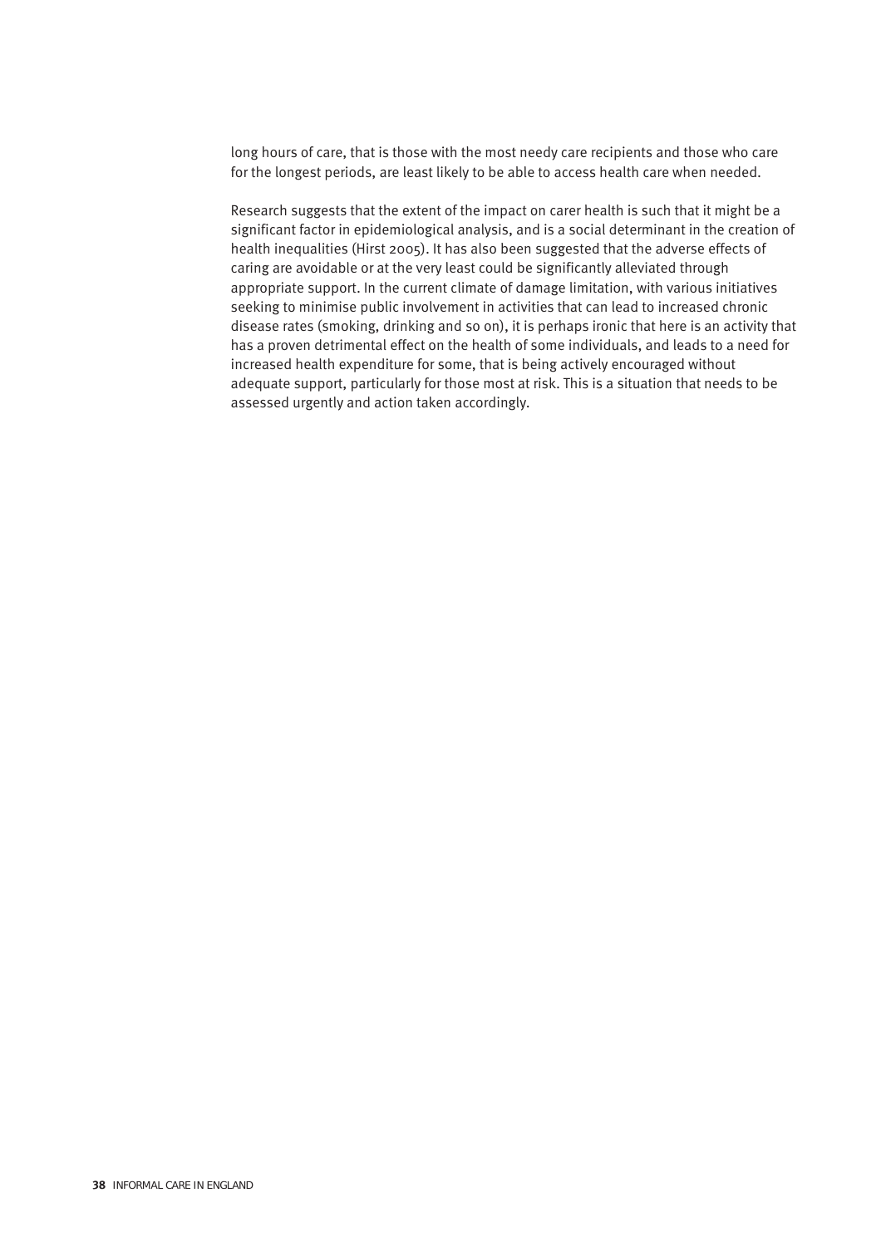long hours of care, that is those with the most needy care recipients and those who care for the longest periods, are least likely to be able to access health care when needed.

Research suggests that the extent of the impact on carer health is such that it might be a significant factor in epidemiological analysis, and is a social determinant in the creation of health inequalities (Hirst 2005). It has also been suggested that the adverse effects of caring are avoidable or at the very least could be significantly alleviated through appropriate support. In the current climate of damage limitation, with various initiatives seeking to minimise public involvement in activities that can lead to increased chronic disease rates (smoking, drinking and so on), it is perhaps ironic that here is an activity that has a proven detrimental effect on the health of some individuals, and leads to a need for increased health expenditure for some, that is being actively encouraged without adequate support, particularly for those most at risk. This is a situation that needs to be assessed urgently and action taken accordingly.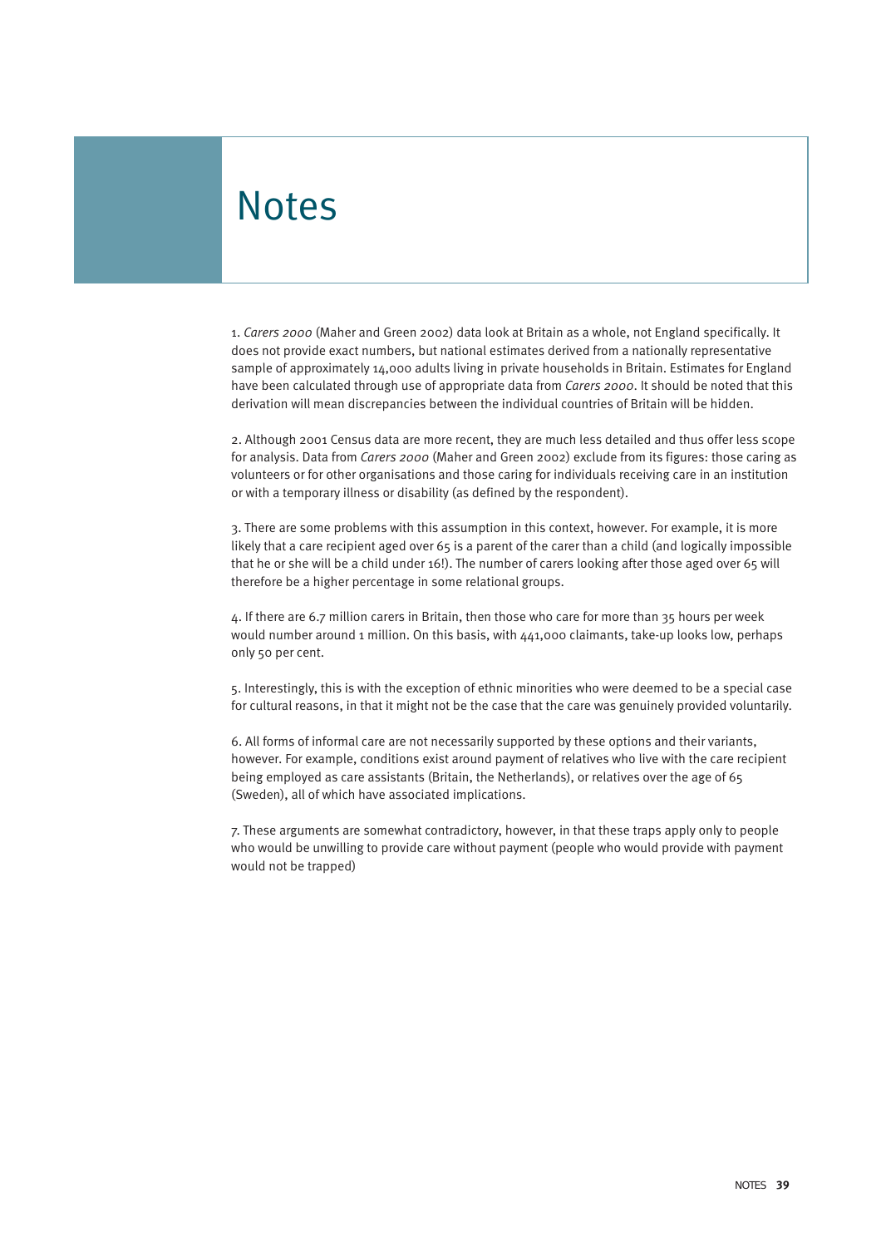# **Notes**

1. *Carers 2000* (Maher and Green 2002) data look at Britain as a whole, not England specifically. It does not provide exact numbers, but national estimates derived from a nationally representative sample of approximately 14,000 adults living in private households in Britain. Estimates for England have been calculated through use of appropriate data from *Carers 2000*. It should be noted that this derivation will mean discrepancies between the individual countries of Britain will be hidden.

2. Although 2001 Census data are more recent, they are much less detailed and thus offer less scope for analysis. Data from *Carers 2000* (Maher and Green 2002) exclude from its figures: those caring as volunteers or for other organisations and those caring for individuals receiving care in an institution or with a temporary illness or disability (as defined by the respondent).

3. There are some problems with this assumption in this context, however. For example, it is more likely that a care recipient aged over 65 is a parent of the carer than a child (and logically impossible that he or she will be a child under 16!). The number of carers looking after those aged over 65 will therefore be a higher percentage in some relational groups.

4. If there are 6.7 million carers in Britain, then those who care for more than 35 hours per week would number around 1 million. On this basis, with 441,000 claimants, take-up looks low, perhaps only 50 per cent.

5. Interestingly, this is with the exception of ethnic minorities who were deemed to be a special case for cultural reasons, in that it might not be the case that the care was genuinely provided voluntarily.

6. All forms of informal care are not necessarily supported by these options and their variants, however. For example, conditions exist around payment of relatives who live with the care recipient being employed as care assistants (Britain, the Netherlands), or relatives over the age of 65 (Sweden), all of which have associated implications.

7. These arguments are somewhat contradictory, however, in that these traps apply only to people who would be unwilling to provide care without payment (people who would provide with payment would not be trapped)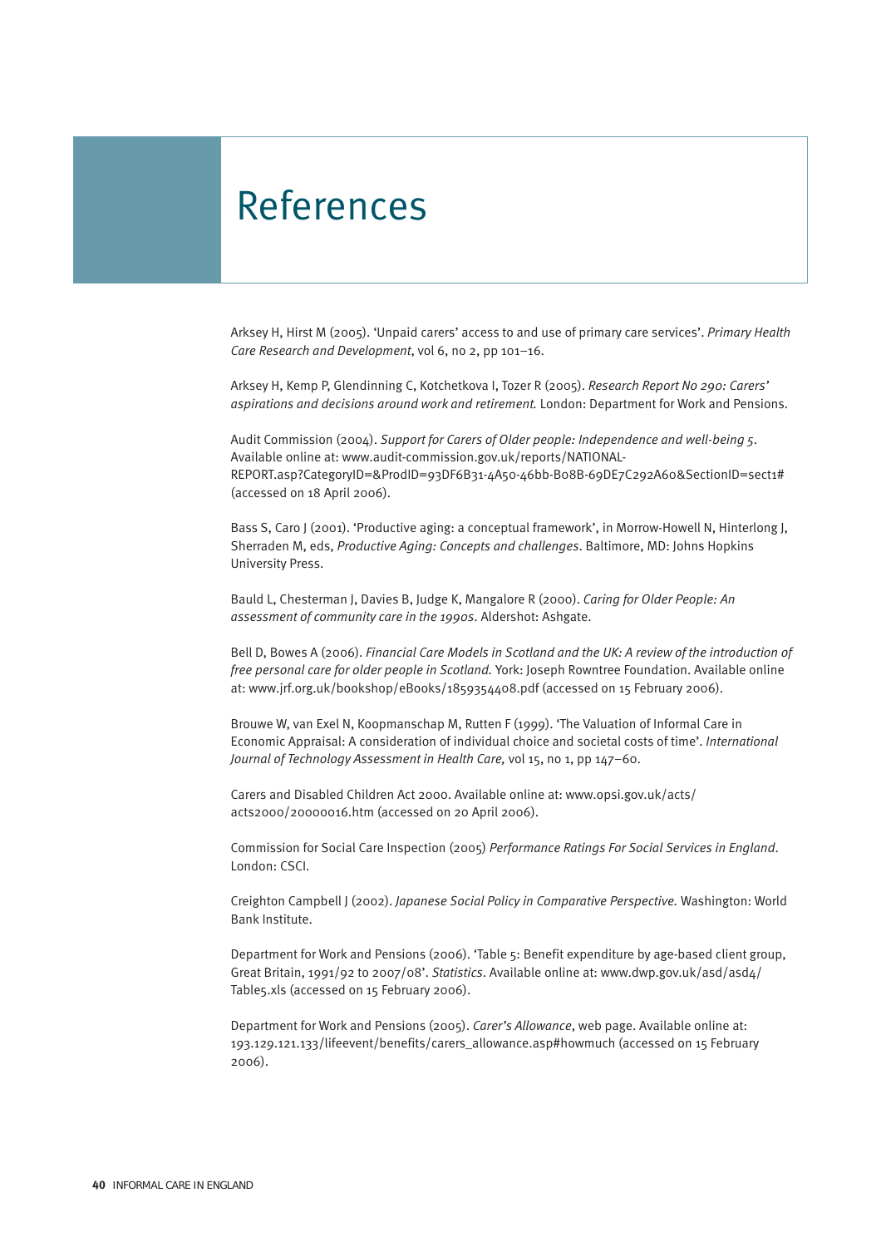# References

Arksey H, Hirst M (2005). 'Unpaid carers' access to and use of primary care services'. *Primary Health Care Research and Development*, vol 6, no 2, pp 101–16.

Arksey H, Kemp P, Glendinning C, Kotchetkova I, Tozer R (2005). *Research Report No 290: Carers' aspirations and decisions around work and retirement.* London: Department for Work and Pensions.

Audit Commission (2004). *Support for Carers of Older people: Independence and well-being 5*. Available online at: www.audit-commission.gov.uk/reports/NATIONAL-REPORT.asp?CategoryID=&ProdID=93DF6B31-4A50-46bb-B08B-69DE7C292A60&SectionID=sect1# (accessed on 18 April 2006).

Bass S, Caro J (2001). 'Productive aging: a conceptual framework', in Morrow-Howell N, Hinterlong J, Sherraden M, eds, *Productive Aging: Concepts and challenges*. Baltimore, MD: Johns Hopkins University Press.

Bauld L, Chesterman J, Davies B, Judge K, Mangalore R (2000). *Caring for Older People: An assessment of community care in the 1990s*. Aldershot: Ashgate.

Bell D, Bowes A (2006). *Financial Care Models in Scotland and the UK: A review of the introduction of free personal care for older people in Scotland.* York: Joseph Rowntree Foundation. Available online at: www.jrf.org.uk/bookshop/eBooks/1859354408.pdf (accessed on 15 February 2006).

Brouwe W, van Exel N, Koopmanschap M, Rutten F (1999). 'The Valuation of Informal Care in Economic Appraisal: A consideration of individual choice and societal costs of time'. *International Journal of Technology Assessment in Health Care,* vol 15, no 1, pp 147–60.

Carers and Disabled Children Act 2000. Available online at: www.opsi.gov.uk/acts/ acts2000/20000016.htm (accessed on 20 April 2006).

Commission for Social Care Inspection (2005) *Performance Ratings For Social Services in England*. London: CSCI.

Creighton Campbell J (2002). *Japanese Social Policy in Comparative Perspective.* Washington: World Bank Institute.

Department for Work and Pensions (2006). 'Table 5: Benefit expenditure by age-based client group, Great Britain, 1991/92 to 2007/08'. *Statistics*. Available online at: www.dwp.gov.uk/asd/asd4/ Table5.xls (accessed on 15 February 2006).

Department for Work and Pensions (2005). *Carer's Allowance*, web page. Available online at: 193.129.121.133/lifeevent/benefits/carers\_allowance.asp#howmuch (accessed on 15 February 2006).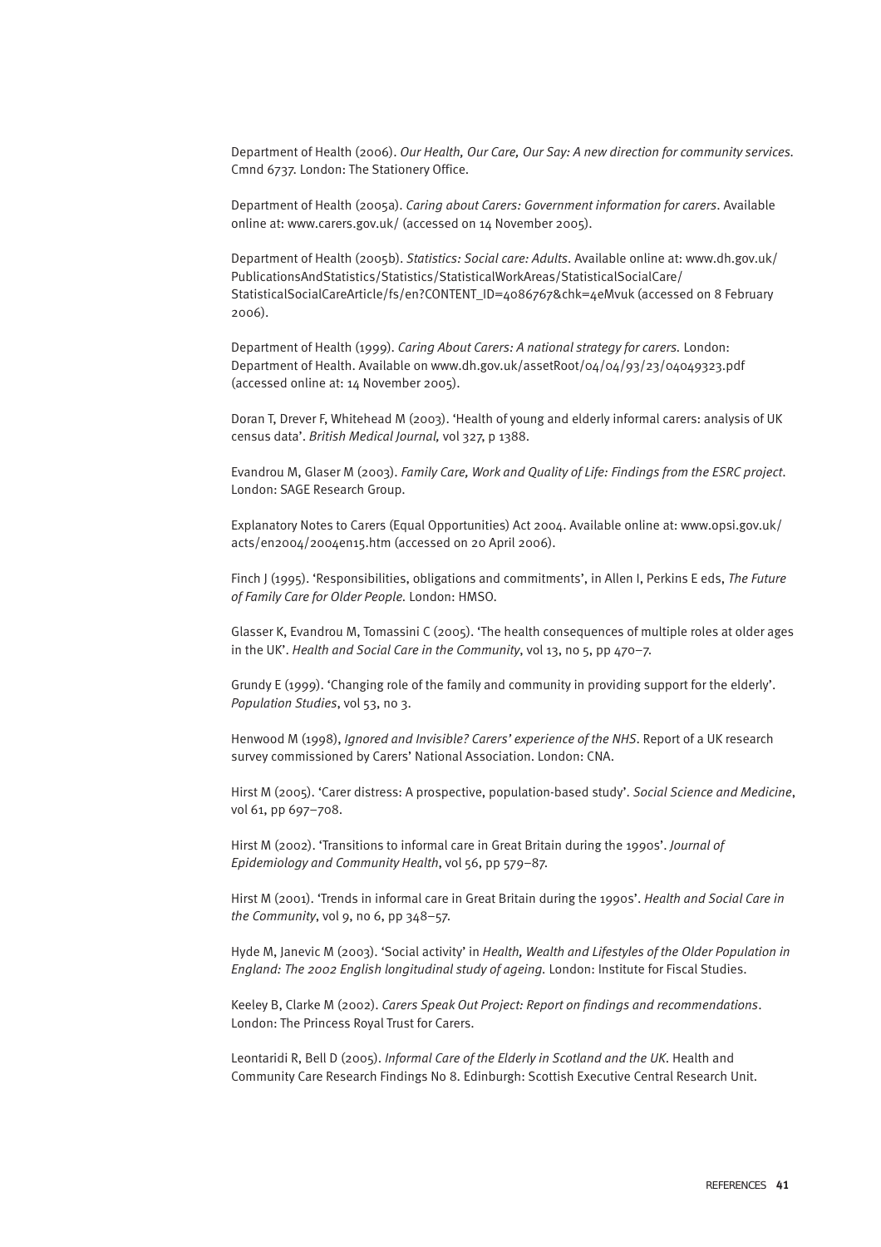Department of Health (2006). *Our Health, Our Care, Our Say: A new direction for community services.* Cmnd 6737. London: The Stationery Office.

Department of Health (2005a). *Caring about Carers: Government information for carers*. Available online at: www.carers.gov.uk/ (accessed on 14 November 2005).

Department of Health (2005b). *Statistics: Social care: Adults*. Available online at: www.dh.gov.uk/ PublicationsAndStatistics/Statistics/StatisticalWorkAreas/StatisticalSocialCare/ StatisticalSocialCareArticle/fs/en?CONTENT\_ID=4086767&chk=4eMvuk (accessed on 8 February 2006).

Department of Health (1999). *Caring About Carers: A national strategy for carers.* London: Department of Health. Available on www.dh.gov.uk/assetRoot/04/04/93/23/04049323.pdf (accessed online at: 14 November 2005).

Doran T, Drever F, Whitehead M (2003). 'Health of young and elderly informal carers: analysis of UK census data'. *British Medical Journal,* vol 327, p 1388.

Evandrou M, Glaser M (2003). *Family Care, Work and Quality of Life: Findings from the ESRC project*. London: SAGE Research Group.

Explanatory Notes to Carers (Equal Opportunities) Act 2004. Available online at: www.opsi.gov.uk/ acts/en2004/2004en15.htm (accessed on 20 April 2006).

Finch J (1995). 'Responsibilities, obligations and commitments', in Allen I, Perkins E eds, *The Future of Family Care for Older People.* London: HMSO.

Glasser K, Evandrou M, Tomassini C (2005). 'The health consequences of multiple roles at older ages in the UK'. *Health and Social Care in the Community*, vol 13, no 5, pp 470–7.

Grundy E (1999). 'Changing role of the family and community in providing support for the elderly'. *Population Studies*, vol 53, no 3.

Henwood M (1998), *Ignored and Invisible? Carers' experience of the NHS*. Report of a UK research survey commissioned by Carers' National Association. London: CNA.

Hirst M (2005). 'Carer distress: A prospective, population-based study'. *Social Science and Medicine*, vol 61, pp 697–708.

Hirst M (2002). 'Transitions to informal care in Great Britain during the 1990s'. *Journal of Epidemiology and Community Health*, vol 56, pp 579–87.

Hirst M (2001). 'Trends in informal care in Great Britain during the 1990s'. *Health and Social Care in the Community*, vol 9, no 6, pp 348–57.

Hyde M, Janevic M (2003). 'Social activity' in *Health, Wealth and Lifestyles of the Older Population in England: The 2002 English longitudinal study of ageing.* London: Institute for Fiscal Studies.

Keeley B, Clarke M (2002). *Carers Speak Out Project: Report on findings and recommendations*. London: The Princess Royal Trust for Carers.

Leontaridi R, Bell D (2005). *Informal Care of the Elderly in Scotland and the UK*. Health and Community Care Research Findings No 8. Edinburgh: Scottish Executive Central Research Unit.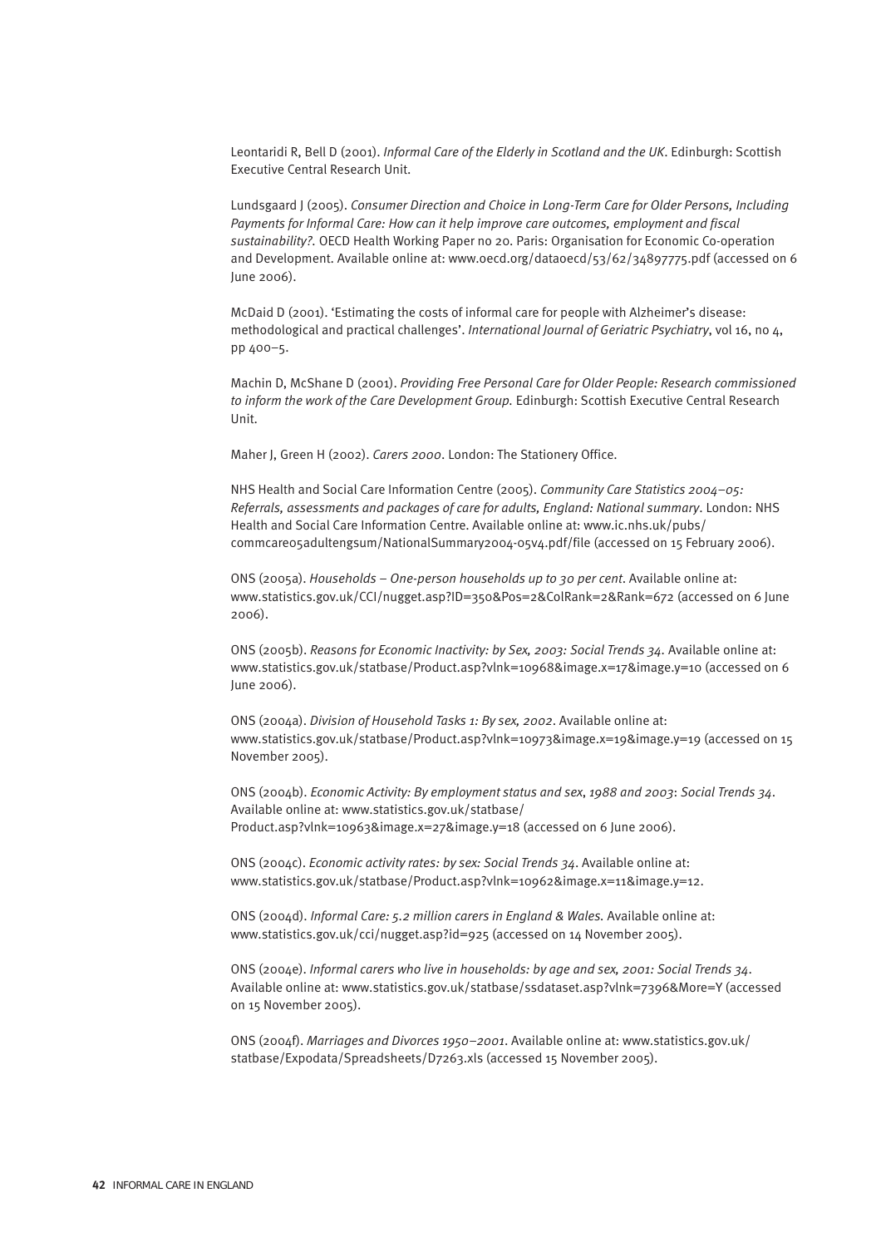Leontaridi R, Bell D (2001). *Informal Care of the Elderly in Scotland and the UK*. Edinburgh: Scottish Executive Central Research Unit.

Lundsgaard J (2005). *Consumer Direction and Choice in Long-Term Care for Older Persons, Including Payments for Informal Care: How can it help improve care outcomes, employment and fiscal sustainability?.* OECD Health Working Paper no 20. Paris: Organisation for Economic Co-operation and Development. Available online at: www.oecd.org/dataoecd/53/62/34897775.pdf (accessed on 6 June 2006).

McDaid D (2001). 'Estimating the costs of informal care for people with Alzheimer's disease: methodological and practical challenges'. *International Journal of Geriatric Psychiatry*, vol 16, no 4, pp 400–5.

Machin D, McShane D (2001). *Providing Free Personal Care for Older People: Research commissioned* to inform the work of the Care Development Group. Edinburgh: Scottish Executive Central Research Unit.

Maher J, Green H (2002). *Carers 2000*. London: The Stationery Office.

NHS Health and Social Care Information Centre (2005). *Community Care Statistics 2004–05: Referrals, assessments and packages of care for adults, England: National summary*. London: NHS Health and Social Care Information Centre. Available online at: www.ic.nhs.uk/pubs/ commcare05adultengsum/NationalSummary2004-05v4.pdf/file (accessed on 15 February 2006).

ONS (2005a). *Households – One-person households up to 30 per cent*. Available online at: www.statistics.gov.uk/CCI/nugget.asp?ID=350&Pos=2&ColRank=2&Rank=672 (accessed on 6 June 2006).

ONS (2005b). *Reasons for Economic Inactivity: by Sex, 2003: Social Trends 34.* Available online at: www.statistics.gov.uk/statbase/Product.asp?vlnk=10968&image.x=17&image.y=10 (accessed on 6 June 2006).

ONS (2004a). *Division of Household Tasks 1: By sex, 2002*. Available online at: www.statistics.gov.uk/statbase/Product.asp?vlnk=10973&image.x=19&image.y=19 (accessed on 15 November 2005).

ONS (2004b). *Economic Activity: By employment status and sex*, *1988 and 2003*: *Social Trends 34*. Available online at: www.statistics.gov.uk/statbase/ Product.asp?vlnk=10963&image.x=27&image.y=18 (accessed on 6 June 2006).

ONS (2004c). *Economic activity rates: by sex: Social Trends 34*. Available online at: www.statistics.gov.uk/statbase/Product.asp?vlnk=10962&image.x=11&image.y=12.

ONS (2004d). *Informal Care: 5.2 million carers in England & Wales.* Available online at: www.statistics.gov.uk/cci/nugget.asp?id=925 (accessed on 14 November 2005).

ONS (2004e). *Informal carers who live in households: by age and sex, 2001: Social Trends 34*. Available online at: www.statistics.gov.uk/statbase/ssdataset.asp?vlnk=7396&More=Y (accessed on 15 November 2005).

ONS (2004f). *Marriages and Divorces 1950–2001*. Available online at: www.statistics.gov.uk/ statbase/Expodata/Spreadsheets/D7263.xls (accessed 15 November 2005).